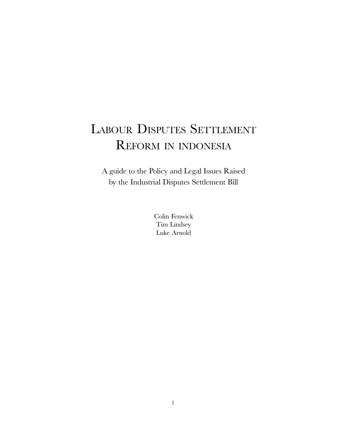# LABOUR DISPUTES SETTLEMENT REFORM IN INDONESIA

A guide to the Policy and Legal Issues Raised by the Industrial Disputes Settlement Bill

> Colin Fenwick Tim Lindsey Luke Arnold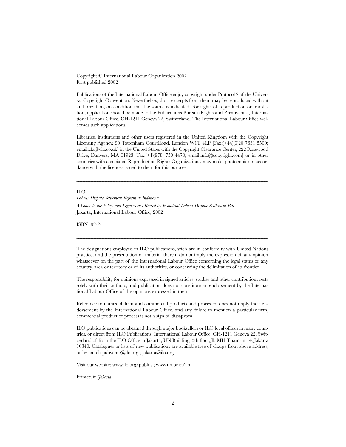Copyright © International Labour Organization 2002 First published 2002

Publications of the International Labour Office enjoy copyright under Protocol 2 of the Universal Copyright Convention. Nevertheless, short excerpts from them may be reproduced without authorization, on condition that the source is indicated. For rights of reproduction or translation, application should be made to the Publications Bureau (Rights and Permissions), International Labour Office, CH-1211 Geneva 22, Switzerland. The International Labour Office welcomes such applications.

Libraries, institutions and other users registered in the United Kingdom with the Copyright Licensing Agency, 90 Tottenham CourtRoad, London W1T 4LP [Fax:(+44)(0)20 7631 5500; email:cla@cla.co.uk] in the United States with the Copyright Clearance Center, 222 Rosewood Drive, Danvers, MA 01923 [Fax:(+1)(978) 750 4470; email:info@copyright.com] or in other countries with associated Reproduction Rights Organizations, may make photocopies in accordance with the licences issued to them for this purpose.

\_\_\_\_\_\_\_\_\_\_\_\_\_\_\_\_\_\_\_\_\_\_\_\_\_\_\_\_\_\_\_\_\_\_\_\_\_\_\_\_\_\_\_\_\_\_\_\_\_\_\_\_\_\_\_\_\_\_\_\_\_\_\_\_\_\_\_\_\_\_\_\_\_\_\_\_\_\_\_\_\_\_\_\_\_\_\_\_\_\_\_\_\_\_\_\_\_\_\_\_\_\_\_\_\_\_\_\_\_\_\_\_\_\_\_\_\_\_\_\_\_

#### ILO

Labour Dispute Settlement Reform in Indonesia A Guide to the Policy and Legal issues Raised by Insudtrial Labour Dispute Settlement Bill Jakarta, International Labour Office, 2002

ISBN 92-2-

The designations employed in ILO publications, wich are in conformity with United Nations practice, and the presentation of material therein do not imply the expression of any opinion whatsoever on the part of the International Labour Office concerning the legal status of any country, area or territory or of its authorities, or concerning the delimitation of its frontier.

\_\_\_\_\_\_\_\_\_\_\_\_\_\_\_\_\_\_\_\_\_\_\_\_\_\_\_\_\_\_\_\_\_\_\_\_\_\_\_\_\_\_\_\_\_\_\_\_\_\_\_\_\_\_\_\_\_\_\_\_\_\_\_\_\_\_\_\_\_\_\_\_\_\_\_\_\_\_\_\_\_\_\_\_\_\_\_\_\_\_\_\_\_\_\_\_\_\_\_\_\_\_\_\_\_\_\_\_\_\_\_\_\_\_\_\_\_\_\_\_\_

The responsibility for opinions expressed in signed articles, studies and other contributions rests solely with their authors, and publication does not constitute an endorsement by the International Labour Office of the opinions expressed in them.

Reference to names of firm and commercial products and processed does not imply their endorsement by the International Labour Office, and any failure to mention a particular firm, commercial product or process is not a sign of dissaproval.

ILO publications can be obtained through major booksellers or ILO local offices in many countries, or direct from ILO Publications, International Labour Office, CH-1211 Geneva 22, Switzerland of from the ILO Office in Jakarta, UN Building, 5th floor, Jl. MH Thamrin 14, Jakarta 10340. Catalogues or lists of new publications are available free of charge from above address, or by email: pubvente@ilo.org ; jakarta@ilo.org.

\_\_\_\_\_\_\_\_\_\_\_\_\_\_\_\_\_\_\_\_\_\_\_\_\_\_\_\_\_\_\_\_\_\_\_\_\_\_\_\_\_\_\_\_\_\_\_\_\_\_\_\_\_\_\_\_\_\_\_\_\_\_\_\_\_\_\_\_\_\_\_\_\_\_\_\_\_\_\_\_\_\_\_\_\_\_\_\_\_\_\_\_\_\_\_\_\_\_\_\_\_\_\_\_\_\_\_\_\_\_\_\_\_\_\_\_\_\_\_\_\_

Visit our website: www.ilo.org/publns ; www.un.or.id/ilo

Printed in *Jakarta*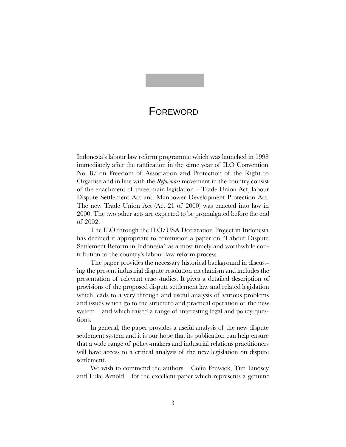## **FOREWORD**

Indonesia's labour law reform programme which was launched in 1998 immediately after the ratification in the same year of ILO Convention No. 87 on Freedom of Association and Protection of the Right to Organise and in line with the Reformasi movement in the country consist of the enachment of three main legislation Trade Union Act, labour Dispute Settlement Act and Manpower Development Protection Act. The new Trade Union Act (Act 21 of 2000) was enacted into law in 2000. The two other acts are expected to be promulgated before the end of 2002.

The ILO through the ILO/USA Declaration Project in Indonesia has deemed it appropriate to commision a paper on "Labour Dispute Settlement Reform in Indonesia" as a most timely and worthwhile contribution to the country's labour law reform process.

The paper provides the necessary historical background in discussing the present industrial dispute resolution mechanism and includes the presentation of relevant case studies. It gives a detailed description of provisions of the proposed dispute settlement law and related legislation which leads to a very through and useful analysis of various problems and issues which go to the structure and practical operation of the new system  $-$  and which raised a range of interesting legal and policy questions.

In general, the paper provides a useful analysis of the new dispute settlement system and it is our hope that its publication can help ensure that a wide range of policy-makers and industrial relations practitioners will have access to a critical analysis of the new legislation on dispute settlement.

We wish to commend the authors  $-$  Colin Fenwick, Tim Lindsey and Luke Arnold  $-$  for the excellent paper which represents a genuine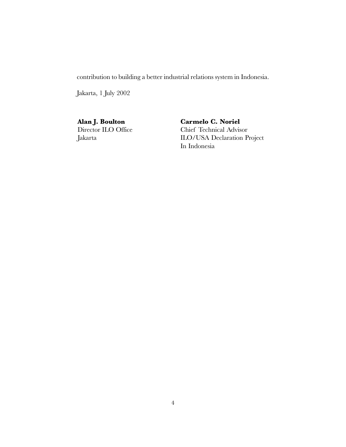contribution to building a better industrial relations system in Indonesia.

Jakarta, 1 July 2002

Alan J. Boulton Director ILO Office Jakarta

Carmelo C. Noriel Chief Technical Advisor ILO/USA Declaration Project In Indonesia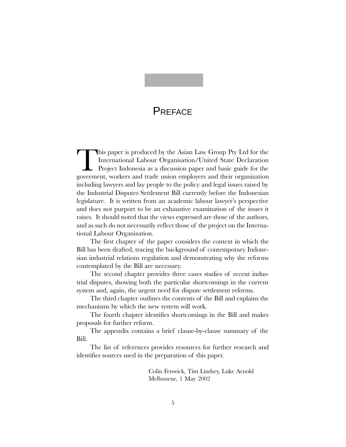## **PREFACE**

This paper is produced by the Asian Law Group Pty Ltd for the<br>International Labour Organisation/United State Declaration<br>Project Indonesia as a discussion paper and basic guide for the<br>government, workers and trade union e International Labour Organisation/United State Declaration Project Indonesia as a discussion paper and basic guide for the goverment, workers and trade union employers and their organization including lawyers and lay people to the policy and legal issues raised by the Industrial Disputes Settlement Bill currently before the Indonesian legislature. It is written from an academic labour lawyer's perspective and does not purport to be an exhaustive examination of the issues it raises. It should noted that the views expressed are those of the authors, and as such do not necessarily reflect those of the project on the International Labour Organization.

The first chapter of the paper considers the context in which the Bill has been drafted, tracing the background of contemporary Indonesian industrial relations regulation and demonstrating why the reforms contemplated by the Bill are necessary.

The second chapter provides three cases studies of recent industrial disputes, showing both the particular shortcomings in the current system and, again, the urgent need for dispute settlement reforms.

The third chapter outlines the contents of the Bill and explains the mechanisms by which the new system will work.

The fourth chapter identifies shortcomings in the Bill and makes proposals for further reform.

The appendix contains a brief clause-by-clause summary of the Bill.

The list of references provides resources for further research and identifies sources used in the preparation of this paper.

> Colin Fenwick, Tim Lindsey, Luke Arnold Melbourne, 1 May 2002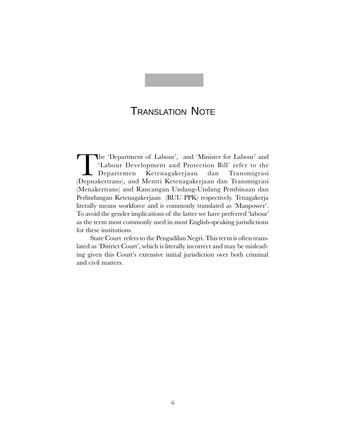## TRANSLATION NOTE

The 'Department of Labour', and 'Minister for Labour' and 'Labour Development and Protection Bill' refer to the Departemen Ketenagakerjaan dan Transmigrasi<br>(Depnakertrans), and Mentri Ketenagakerjaan dan Transmigrasi 'Labour Development and Protection Bill' refer to the Departemen Ketenagakerjaan dan Transmigrasi (Menakertrans) and Rancangan Undang-Undang Pembinaan dan Perlindungan Ketenagakerjaan (RUU PPK) respectively. Tenagakerja literally means workforce and is commonly translated as Manpower. To avoid the gender implications of the latter we have preferred 'labour' as the term most commonly used in most English-speaking jurisdictions for these institutions.

State Court refers to the Pengadilan Negri. This term is often translated as 'District Court', which is literally incorrect and may be misleading given this Court's extensive initial jurisdiction over both criminal and civil matters.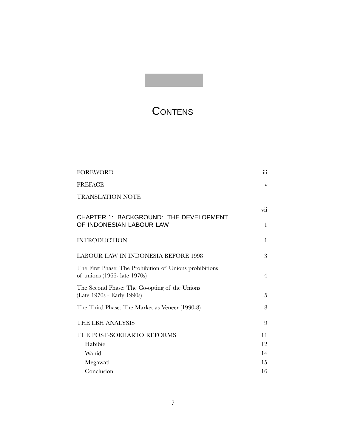# **CONTENS**

| <b>FOREWORD</b>                                                                                    | $\dddot{\text{iii}}$    |
|----------------------------------------------------------------------------------------------------|-------------------------|
| <b>PREFACE</b>                                                                                     | $\overline{\mathbf{V}}$ |
| <b>TRANSLATION NOTE</b>                                                                            |                         |
|                                                                                                    | vii                     |
| <b>CHAPTER 1: BACKGROUND: THE DEVELOPMENT</b><br>OF INDONESIAN LABOUR LAW                          | 1                       |
| <b>INTRODUCTION</b>                                                                                | $\mathbf{1}$            |
| <b>LABOUR LAW IN INDONESIA BEFORE 1998</b>                                                         | 3                       |
| The First Phase: The Prohibition of Unions prohibitions<br>of unions $(1966 - \text{late } 1970s)$ | $\overline{4}$          |
| The Second Phase: The Co-opting of the Unions<br>(Late 1970s - Early 1990s)                        | 5                       |
| The Third Phase: The Market as Veneer (1990-8)                                                     | 8                       |
| THE LBH ANALYSIS                                                                                   | 9                       |
| THE POST-SOEHARTO REFORMS                                                                          | 11                      |
| Habibie                                                                                            | 12                      |
| Wahid                                                                                              | 14                      |
| Megawati                                                                                           | 15                      |
| Conclusion                                                                                         | 16                      |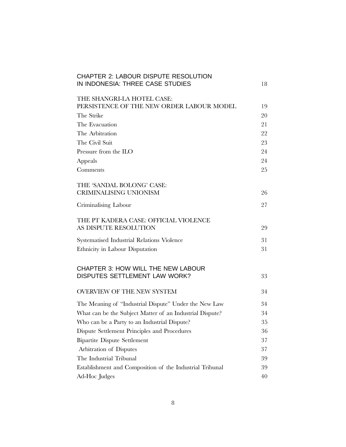| <b>CHAPTER 2: LABOUR DISPUTE RESOLUTION</b>              |    |
|----------------------------------------------------------|----|
| IN INDONESIA: THREE CASE STUDIES                         | 18 |
|                                                          |    |
| THE SHANGRI-LA HOTEL CASE:                               |    |
| PERSISTENCE OF THE NEW ORDER LABOUR MODEL                | 19 |
| The Strike                                               | 20 |
| The Evacuation                                           | 21 |
| The Arbitration                                          | 22 |
| The Civil Suit                                           | 23 |
| Pressure from the ILO                                    | 24 |
| Appeals                                                  | 24 |
| Comments                                                 | 25 |
| THE 'SANDAL BOLONG' CASE:                                |    |
| <b>CRIMINALISING UNIONISM</b>                            | 26 |
| Criminalising Labour                                     | 27 |
| THE PT KADERA CASE: OFFICIAL VIOLENCE                    |    |
| AS DISPUTE RESOLUTION                                    | 29 |
| Systematised Industrial Relations Violence               | 31 |
| Ethnicity in Labour Disputation                          | 31 |
| CHAPTER 3: HOW WILL THE NEW LABOUR                       |    |
| DISPUTES SETTLEMENT LAW WORK?                            | 33 |
| OVERVIEW OF THE NEW SYSTEM                               | 34 |
| The Meaning of "Industrial Dispute" Under the New Law    | 34 |
| What can be the Subject Matter of an Industrial Dispute? | 34 |
| Who can be a Party to an Industrial Dispute?             | 35 |
| Dispute Settlement Principles and Procedures             | 36 |
| <b>Bipartite Dispute Settlement</b>                      | 37 |
| Arbitration of Disputes                                  | 37 |
| The Industrial Tribunal                                  | 39 |
| Establishment and Composition of the Industrial Tribunal | 39 |
| Ad-Hoc Judges                                            | 40 |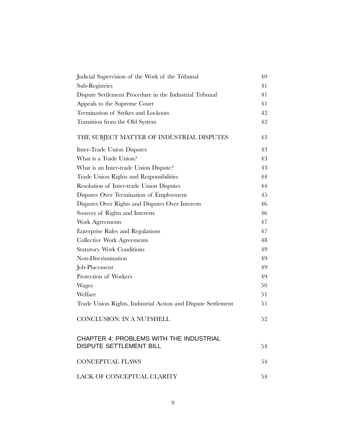| Judicial Supervision of the Work of the Tribunal             | 40 |
|--------------------------------------------------------------|----|
| Sub-Registries                                               | 41 |
| Dispute Settlement Procedure in the Industrial Tribunal      | 41 |
| Appeals to the Supreme Court                                 | 41 |
| Termination of Strikes and Lockouts                          | 42 |
| Transition from the Old System                               | 42 |
| THE SUBJECT MATTER OF INDUSTRIAL DISPUTES                    | 43 |
| Inter-Trade Union Disputes                                   | 43 |
| What is a Trade Union?                                       | 43 |
| What is an Inter-trade Union Dispute?                        | 43 |
| Trade Union Rights and Responsibilities                      | 44 |
| Resolution of Inter-trade Union Disputes                     | 44 |
| Disputes Over Termination of Employment                      | 45 |
| Disputes Over Rights and Disputes Over Interests             | 46 |
| Sources of Rights and Interests                              | 46 |
| Work Agreements                                              | 47 |
| Enterprise Rules and Regulations                             | 47 |
| Collective Work Agreements                                   | 48 |
| <b>Statutory Work Conditions</b>                             | 49 |
| Non-Discrimination                                           | 49 |
| Job-Placement                                                | 49 |
| Protection of Workers                                        | 49 |
| <b>Wages</b>                                                 | 50 |
| Welfare                                                      | 51 |
| Trade Union Rights, Industrial Action and Dispute Settlement | 51 |
| <b>CONCLUSION: IN A NUTSHELL</b>                             | 52 |
| <b>CHAPTER 4: PROBLEMS WITH THE INDUSTRIAL</b>               |    |
| <b>DISPUTE SETTLEMENT BILL</b>                               | 54 |
| <b>CONCEPTUAL FLAWS</b>                                      | 54 |
| LACK OF CONCEPTUAL CLARITY                                   | 54 |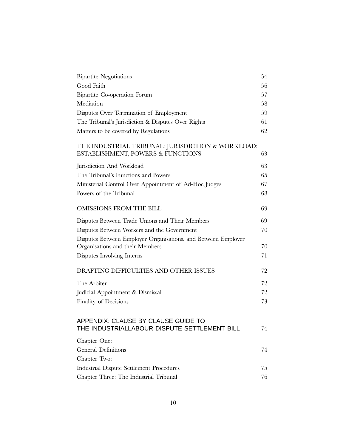| <b>Bipartite Negotiations</b>                                                                    | 54 |
|--------------------------------------------------------------------------------------------------|----|
| Good Faith                                                                                       | 56 |
| Bipartite Co-operation Forum                                                                     | 57 |
| Mediation                                                                                        | 58 |
| Disputes Over Termination of Employment                                                          | 59 |
| The Tribunal's Jurisdiction & Disputes Over Rights                                               | 61 |
| Matters to be covered by Regulations                                                             | 62 |
| THE INDUSTRIAL TRIBUNAL: JURISDICTION & WORKLOAD;<br>ESTABLISHMENT, POWERS & FUNCTIONS           | 63 |
| Jurisdiction And Workload                                                                        | 63 |
| The Tribunal's Functions and Powers                                                              | 65 |
| Ministerial Control Over Appointment of Ad-Hoc Judges                                            | 67 |
| Powers of the Tribunal                                                                           | 68 |
| OMISSIONS FROM THE BILL                                                                          | 69 |
| Disputes Between Trade Unions and Their Members                                                  | 69 |
| Disputes Between Workers and the Government                                                      | 70 |
| Disputes Between Employer Organisations, and Between Employer<br>Organisations and their Members | 70 |
| Disputes Involving Interns                                                                       | 71 |
| DRAFTING DIFFICULTIES AND OTHER ISSUES                                                           | 72 |
| The Arbiter                                                                                      | 72 |
| Judicial Appointment & Dismissal                                                                 | 72 |
| Finality of Decisions                                                                            | 73 |
| APPENDIX: CLAUSE BY CLAUSE GUIDE TO<br>THE INDUSTRIALLABOUR DISPUTE SETTLEMENT BILL              | 74 |
| Chapter One:                                                                                     |    |
| <b>General Definitions</b>                                                                       | 74 |
| Chapter Two:                                                                                     |    |
| <b>Industrial Dispute Settlement Procedures</b>                                                  | 75 |
| Chapter Three: The Industrial Tribunal                                                           | 76 |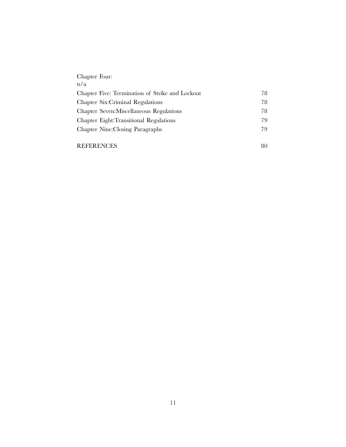| Chapter Four:                                   |    |
|-------------------------------------------------|----|
| n/a                                             |    |
| Chapter Five: Termination of Strike and Lockout | 78 |
| Chapter Six: Criminal Regulations               | 78 |
| Chapter Seven: Miscellaneous Regulations        | 78 |
| Chapter Eight: Transitional Regulations         | 79 |
| Chapter Nine: Closing Paragraphs                | 79 |
|                                                 |    |

| REFERENCES |  |
|------------|--|
|            |  |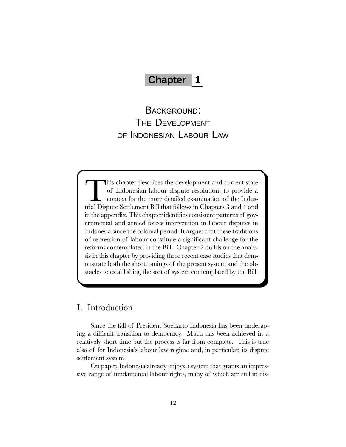## **Chapter 1**

BACKGROUND: THE DEVELOPMENT OF INDONESIAN LABOUR LAW

This chapter describes the development and current state of Indonesian labour dispute resolution, to provide a context for the more detailed examination of the Industrial Dispute Settlement Bill that follows in Chapters 3 and 4 and in the appendix. This chapter identifies consistent patterns of governmental and armed forces intervention in labour disputes in Indonesia since the colonial period. It argues that these traditions of repression of labour constitute a significant challenge for the reforms contemplated in the Bill. Chapter 2 builds on the analysis in this chapter by providing three recent case studies that demonstrate both the shortcomings of the present system and the obstacles to establishing the sort of system contemplated by the Bill.

### I. Introduction

Since the fall of President Soeharto Indonesia has been undergoing a difficult transition to democracy. Much has been achieved in a relatively short time but the process is far from complete. This is true also of for Indonesia's labour law regime and, in particular, its dispute settlement system.

On paper, Indonesia already enjoys a system that grants an impressive range of fundamental labour rights, many of which are still in dis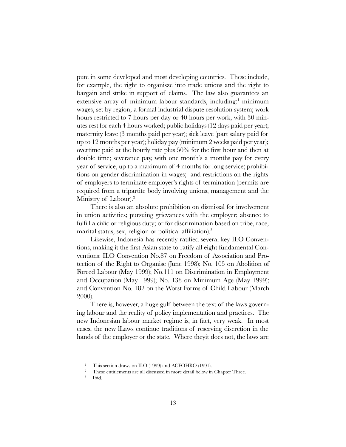pute in some developed and most developing countries. These include, for example, the right to organisze into trade unions and the right to bargain and strike in support of claims. The law also guarantees an extensive array of minimum labour standards, including:<sup>1</sup> minimum wages, set by region; a formal industrial dispute resolution system; work hours restricted to 7 hours per day or 40 hours per work, with 30 minutes rest for each 4 hours worked; public holidays (12 days paid per year); maternity leave (3 months paid per year); sick leave (part salary paid for up to 12 months per year); holiday pay (minimum 2 weeks paid per year); overtime paid at the hourly rate plus 50% for the first hour and then at double time; severance pay, with one month's a months pay for every year of service, up to a maximum of 4 months for long service; prohibitions on gender discrimination in wages; and restrictions on the rights of employers to terminate employer's rights of termination (permits are required from a tripartite body involving unions, management and the Ministry of Labour).2

There is also an absolute prohibition on dismissal for involvement in union activities; pursuing grievances with the employer; absence to fulfill a civic or religious duty; or for discrimination based on tribe, race, 9marital status, sex, religion or political affiliation).<sup>3</sup>

Likewise, Indonesia has recently ratified several key ILO Conventions, making it the first Asian state to ratify all eight fundamental Conventions: ILO Convention No.87 on Freedom of Association and Protection of the Right to Organise (June 1998); No. 105 on Abolition of Forced Labour (May 1999); No.111 on Discrimination in Employment and Occupation (May 1999); No. 138 on Minimum Age (May 1999); and Convention No. 182 on the Worst Forms of Child Labour (March 2000).

There is, however, a huge gulf between the text of the laws governing labour and the reality of policy implementation and practices. The new Indonesian labour market regime is, in fact, very weak. In most cases, the new lLaws continue traditions of reserving discretion in the hands of the employer or the state. Where theyit does not, the laws are

This section draws on ILO (1999) and ACFOHRO (1991).

<sup>2</sup> These entitlements are all discussed in more detail below in Chapter Three.

<sup>3</sup> Ibid.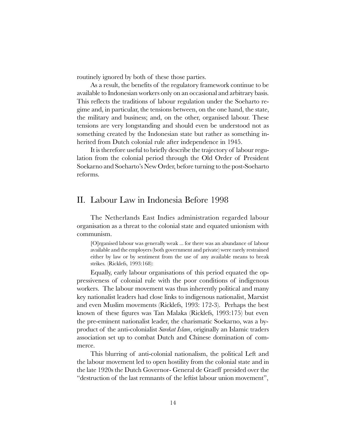routinely ignored by both of these those parties.

As a result, the benefits of the regulatory framework continue to be available to Indonesian workers only on an occasional and arbitrary basis. This reflects the traditions of labour regulation under the Soeharto regime and, in particular, the tensions between, on the one hand, the state, the military and business; and, on the other, organised labour. These tensions are very longstanding and should even be understood not as something created by the Indonesian state but rather as something inherited from Dutch colonial rule after independence in 1945.

It is therefore useful to briefly describe the trajectory of labour regulation from the colonial period through the Old Order of President Soekarno and Soeharto's New Order, before turning to the post-Soeharto reforms.

### II. Labour Law in Indonesia Before 1998

The Netherlands East Indies administration regarded labour organisation as a threat to the colonial state and equated unionism with communism.

[O]rganised labour was generally weak ... for there was an abundance of labour available and the employers (both government and private) were rarely restrained either by law or by sentiment from the use of any available means to break strikes. (Ricklefs, 1993:168):

Equally, early labour organisations of this period equated the oppressiveness of colonial rule with the poor conditions of indigenous workers. The labour movement was thus inherently political and many key nationalist leaders had close links to indigenous nationalist, Marxist and even Muslim movements (Ricklefs, 1993: 172-3). Perhaps the best known of these figures was Tan Malaka (Ricklefs, 1993:175) but even the pre-eminent nationalist leader, the charismatic Soekarno, was a byproduct of the anti-colonialist Sarekat Islam, originally an Islamic traders association set up to combat Dutch and Chinese domination of commerce.

This blurring of anti-colonial nationalism, the political Left and the labour movement led to open hostility from the colonial state and in the late 1920s the Dutch Governor- General de Graeff presided over the "destruction of the last remnants of the leftist labour union movement",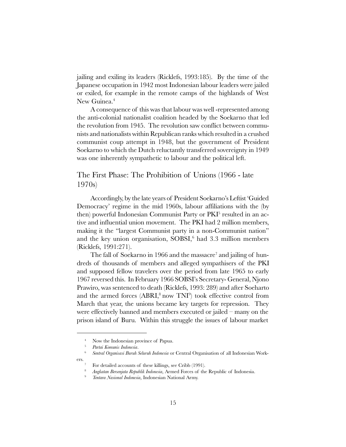jailing and exiling its leaders (Ricklefs, 1993:185). By the time of the Japanese occupation in 1942 most Indonesian labour leaders were jailed or exiled, for example in the remote camps of the highlands of West New Guinea.<sup>4</sup>

A consequence of this was that labour was well -represented among the anti-colonial nationalist coalition headed by the Soekarno that led the revolution from 1945. The revolution saw conflict between communists and nationalists within Republican ranks which resulted in a crushed communist coup attempt in 1948, but the government of President Soekarno to which the Dutch reluctantly transferred sovereignty in 1949 was one inherently sympathetic to labour and the political left.

The First Phase: The Prohibition of Unions (1966 - late 1970s)

Accordingly, by the late years of President Soekarno's Leftist 'Guided Democracy' regime in the mid 1960s, labour affiliations with the (by then) powerful Indonesian Communist Party or PKI<sup>5</sup> resulted in an active and influential union movement. The PKI had 2 million members, making it the "largest Communist party in a non-Communist nation" and the key union organisation, SOBSI,<sup>6</sup> had 3.3 million members (Ricklefs, 1991:271).

The fall of Soekarno in 1966 and the massacre<sup>7</sup> and jailing of hundreds of thousands of members and alleged sympathisers of the PKI and supposed fellow travelers over the period from late 1965 to early 1967 reversed this. In February 1966 SOBSIs Secretary- General, Njono Prawiro, was sentenced to death (Ricklefs, 1993: 289) and after Soeharto and the armed forces  $(ABRI, ^{8}$  now  $TNI^{9}$ ) took effective control from March that year, the unions became key targets for repression. They were effectively banned and members executed or jailed  $-$  many on the prison island of Buru. Within this struggle the issues of labour market

Now the Indonesian province of Papua.

Partai Komunis Indonesia.

<sup>6</sup> Sentral Organisasi Buruh Seluruh Indonesia or Central Organisation of all Indonesian Workers.

<sup>&</sup>lt;sup>7</sup> For detailed accounts of these killings, see Cribb (1991).

<sup>&</sup>lt;sup>8</sup> Angkatan Bersenjata Republik Indonesia, Armed Forces of the Republic of Indonesia.

<sup>&</sup>lt;sup>9</sup> Tentara Nasional Indonesia, Indonesian National Army.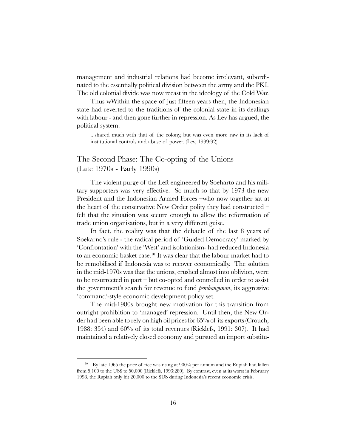management and industrial relations had become irrelevant, subordinated to the essentially political division between the army and the PKI. The old colonial divide was now recast in the ideology of the Cold War.

Thus wWithin the space of just fifteen years then, the Indonesian state had reverted to the traditions of the colonial state in its dealings with labour - and then gone further in repression. As Lev has argued, the political system:

...shared much with that of the colony, but was even more raw in its lack of institutional controls and abuse of power. (Lev, 1999:92)

### The Second Phase: The Co-opting of the Unions (Late 1970s - Early 1990s)

The violent purge of the Left engineered by Soeharto and his military supporters was very effective. So much so that by 1973 the new President and the Indonesian Armed Forces -who now together sat at the heart of the conservative New Order polity they had constructed felt that the situation was secure enough to allow the reformation of trade union organisations, but in a very different guise.

In fact, the reality was that the debacle of the last 8 years of Soekarno's rule - the radical period of 'Guided Democracy' marked by 'Confrontation' with the 'West' and isolationism- had reduced Indonesia to an economic basket case.10 It was clear that the labour market had to be remobilised if Indonesia was to recover economically. The solution in the mid-1970s was that the unions, crushed almost into oblivion, were to be resurrected in part  $-$  but co-opted and controlled in order to assist the government's search for revenue to fund *pembangunan*, its aggressive command-style economic development policy set.

The mid-1980s brought new motivation for this transition from outright prohibition to 'managed' repression. Until then, the New Order had been able to rely on high oil prices for 65% of its exports (Crouch, 1988: 354) and 60% of its total revenues (Ricklefs, 1991: 307). It had maintained a relatively closed economy and pursued an import substitu-

<sup>&</sup>lt;sup>10</sup> By late 1965 the price of rice was rising at 900% per annum and the Rupiah had fallen from 5,100 to the US\$ to 50,000 (Ricklefs, 1993:280). By contrast, even at its worst in February 1998, the Rupiah only hit 20,000 to the \$US during Indonesias recent economic crisis.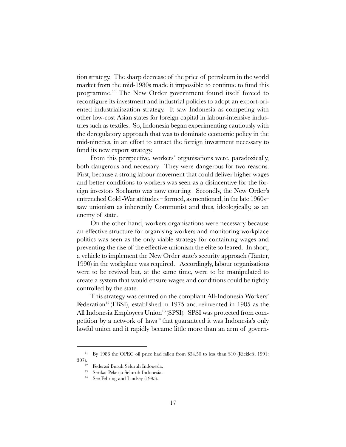tion strategy. The sharp decrease of the price of petroleum in the world market from the mid-1980s made it impossible to continue to fund this programme.11 The New Order government found itself forced to reconfigure its investment and industrial policies to adopt an export-oriented industrialiszation strategy. It saw Indonesia as competing with other low-cost Asian states for foreign capital in labour-intensive industries such as textiles. So, Indonesia began experimenting cautiously with the deregulatory approach that was to dominate economic policy in the mid-nineties, in an effort to attract the foreign investment necessary to fund its new export strategy.

From this perspective, workers' organisations were, paradoxically, both dangerous and necessary. They were dangerous for two reasons. First, because a strong labour movement that could deliver higher wages and better conditions to workers was seen as a disincentive for the foreign investors Soeharto was now courting. Secondly, the New Order's entrenched Cold -War attitudes  $-$  formed, as mentioned, in the late 1960s– saw unionism as inherently Communist and thus, ideologically, as an enemy of state.

On the other hand, workers organisations were necessary because an effective structure for organising workers and monitoring workplace politics was seen as the only viable strategy for containing wages and preventing the rise of the effective unionism the elite so feared. In short, a vehicle to implement the New Order state's security approach (Tanter, 1990) in the workplace was required. Accordingly, labour organisations were to be revived but, at the same time, were to be manipulated to create a system that would ensure wages and conditions could be tightly controlled by the state.

This strategy was centred on the compliant All-Indonesia Workers Federation<sup>12</sup> (FBSI), established in 1975 and reinvented in 1985 as the All Indonesia Employees Union<sup>13</sup> (SPSI). SPSI was protected from competition by a network of laws<sup>14</sup> that guaranteed it was Indonesia's only lawful union and it rapidly became little more than an arm of govern-

<sup>&</sup>lt;sup>11</sup> By 1986 the OPEC oil price had fallen from \$34.50 to less than \$10 (Ricklefs, 1991:

<sup>307).&</sup>lt;br><sup>12</sup> Federasi Buruh Seluruh Indonesia.

<sup>13</sup> Serikat Pekerja Seluruh Indonesia.

<sup>&</sup>lt;sup>14</sup> See Fehring and Lindsey (1995).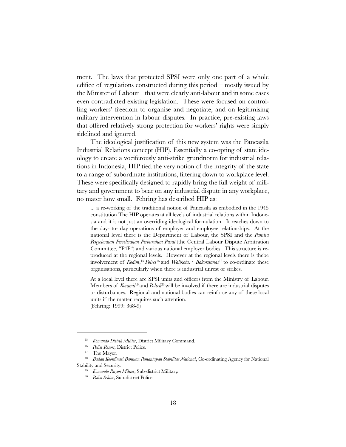ment. The laws that protected SPSI were only one part of a whole edifice of regulations constructed during this period  $-$  mostly issued by the Minister of Labour  $-$  that were clearly anti-labour and in some cases even contradicted existing legislation. These were focused on controlling workers' freedom to organise and negotiate, and on legitimising military intervention in labour disputes. In practice, pre-existing laws that offered relatively strong protection for workers' rights were simply sidelined and ignored.

The ideological justification of this new system was the Pancasila Industrial Relations concept (HIP). Essentially a co-opting of state ideology to create a vociferously anti-strike grundnorm for industrial relations in Indonesia, HIP tied the very notion of the integrity of the state to a range of subordinate institutions, filtering down to workplace level. These were specifically designed to rapidly bring the full weight of military and government to bear on any industrial dispute in any workplace, no mater how small. Fehring has described HIP as:

... a re-working of the traditional notion of Pancasila as embodied in the 1945 constitution The HIP operates at all levels of industrial relations within Indonesia and it is not just an overriding ideological formulation. It reaches down to the day- to- day operations of employer and employee relationships. At the national level there is the Department of Labour, the SPSI and the Panitia Penyelesaian Perselisahan Perburuhan Pusat (the Central Labour Dispute Arbitration Committee, "P4P") and various national employer bodies. This structure is reproduced at the regional levels. However at the regional levels there is thebe involvement of *Kodim*,<sup>15</sup> Polres<sup>16</sup> and *Walikota*.<sup>17</sup> Bakorstanas<sup>18</sup> to co-ordinate these organisations, particularly when there is industrial unrest or strikes.

At a local level there are SPSI units and officers from the Ministry of Labour. Members of  $Korami<sup>19</sup>$  and  $Polsek<sup>20</sup>$  will be involved if there are industrial disputes or disturbances. Regional and national bodies can reinforce any of these local units if the matter requires such attention. (Fehring: 1999: 368-9)

<sup>&</sup>lt;sup>15</sup> Komando Distrik Militer, District Military Command.

<sup>&</sup>lt;sup>16</sup> Polisi Resort, District Police.

<sup>&</sup>lt;sup>17</sup> The Mayor.

<sup>18</sup> Badan Koordinasi Bantuan Pemantapan Stabilitas National, Co-ordinating Agency for National Stability and Security.

<sup>&</sup>lt;sup>19</sup> Komando Rayon Militer, Sub-district Military.

<sup>&</sup>lt;sup>20</sup> Polisi Sektor, Sub-district Police.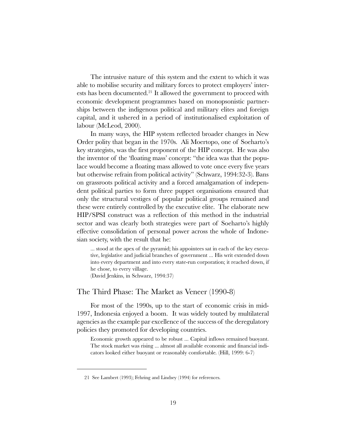The intrusive nature of this system and the extent to which it was able to mobilise security and military forces to protect employers' interests has been documented.<sup>21</sup> It allowed the government to proceed with economic development programmes based on monopsonistic partnerships between the indigenous political and military elites and foreign capital, and it ushered in a period of institutionalised exploitation of labour (McLeod, 2000).

In many ways, the HIP system reflected broader changes in New Order polity that began in the 1970s. Ali Moertopo, one of Soeharto's key strategists, was the first proponent of the HIP concept. He was also the inventor of the 'floating mass' concept: "the idea was that the populace would become a floating mass allowed to vote once every five years but otherwise refrain from political activity" (Schwarz, 1994:32-3). Bans on grassroots political activity and a forced amalgamation of independent political parties to form three puppet organisations ensured that only the structural vestiges of popular political groups remained and these were entirely controlled by the executive elite. The elaborate new HIP/SPSI construct was a reflection of this method in the industrial sector and was clearly both strategies were part of Soeharto's highly effective consolidation of personal power across the whole of Indonesian society, with the result that he:

... stood at the apex of the pyramid; his appointees sat in each of the key executive, legislative and judicial branches of government ... His writ extended down into every department and into every state-run corporation; it reached down, if he chose, to every village.

(David Jenkins, in Schwarz, 1994:37)

#### The Third Phase: The Market as Veneer (1990-8)

For most of the 1990s, up to the start of economic crisis in mid-1997, Indonesia enjoyed a boom. It was widely touted by multilateral agencies as the example par excellence of the success of the deregulatory policies they promoted for developing countries.

Economic growth appeared to be robust ... Capital inflows remained buoyant. The stock market was rising ... almost all available economic and financial indicators looked either buoyant or reasonably comfortable. (Hill, 1999: 6-7)

<sup>21</sup> See Lambert (1993); Fehring and Lindsey (1994) for references.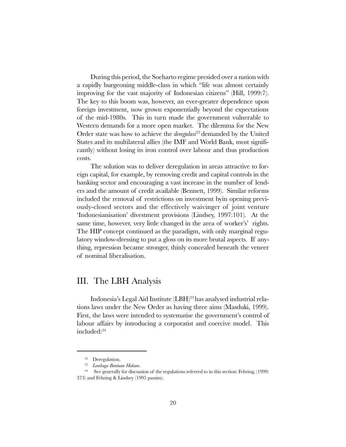During this period, the Soeharto regime presided over a nation with a rapidly burgeoning middle-class in which "life was almost certainly improving for the vast majority of Indonesian citizens" (Hill, 1999:7). The key to this boom was, however, an ever-greater dependence upon foreign investment, now grown exponentially beyond the expectations of the mid-1980s. This in turn made the government vulnerable to Western demands for a more open market. The dilemma for the New Order state was how to achieve the *deregulasi*<sup>22</sup> demanded by the United States and its multilateral allies (the IMF and World Bank, most significantly) without losing its iron control over labour and thus production costs.

The solution was to deliver deregulation in areas attractive to foreign capital, for example, by removing credit and capital controls in the banking sector and encouraging a vast increase in the number of lenders and the amount of credit available (Bennett, 1999). Similar reforms included the removal of restrictions on investment byin opening previously-closed sectors and the effectively waivinger of joint venture Indonesianisation' divestment provisions (Lindsey, 1997:101). At the same time, however, very little changed in the area of worker's' rights. The HIP concept continued as the paradigm, with only marginal regulatory window-dressing to put a gloss on its more brutal aspects. If anything, repression became stronger, thinly concealed beneath the veneer of nominal liberalisation.

### III. The LBH Analysis

Indonesia's Legal Aid Institute (LBH)<sup>23</sup> has analysed industrial relations laws under the New Order as having three aims (Masduki, 1999). First, the laws were intended to systematise the government's control of labour affairs by introducing a corporatist and coercive model. This included:24

<sup>22</sup> Deregulation.

Lembaga Bantuan Hukum.

<sup>&</sup>lt;sup>24</sup> See generally for discussion of the regulations referred to in this section: Fehring,  $(1999:$ 373) and Fehring & Lindsey (1995 passim).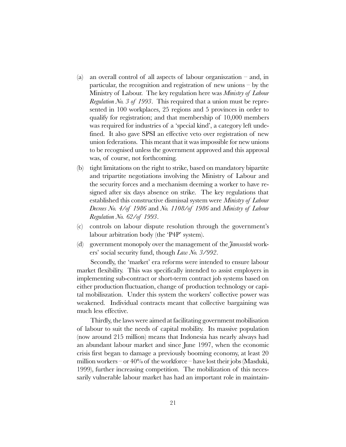- (a) an overall control of all aspects of labour organiszation  $-$  and, in particular, the recognition and registration of new unions  $-\mathbf{b}y$  the Ministry of Labour. The key regulation here was *Ministry of Labour Regulation No. 3 of 1993.* This required that a union must be represented in 100 workplaces, 25 regions and 5 provinces in order to qualify for registration; and that membership of 10,000 members was required for industries of a 'special kind', a category left undefined. It also gave SPSI an effective veto over registration of new union federations. This meant that it was impossible for new unions to be recognised unless the government approved and this approval was, of course, not forthcoming.
- (b) tight limitations on the right to strike, based on mandatory bipartite and tripartite negotiations involving the Ministry of Labour and the security forces and a mechanism deeming a worker to have resigned after six days absence on strike. The key regulations that established this constructive dismissal system were *Ministry of Labour* Decrees No. 4/of 1986 and No. 1108/of 1986 and Ministry of Labour Regulation No. 62/of 1993.
- $(c)$  controls on labour dispute resolution through the government's labour arbitration body (the 'P4P' system).
- (d) government monopoly over the management of the  $\tilde{\mathcal{J}}$ amsostek workers' social security fund, though  $Law\ N_0$ . 3/992.

Secondly, the 'market' era reforms were intended to ensure labour market flexibility. This was specifically intended to assist employers in implementing sub-contract or short-term contract job systems based on either production fluctuation, change of production technology or capital mobiliszation. Under this system the workers' collective power was weakened. Individual contracts meant that collective bargaining was much less effective.

Thirdly, the laws were aimed at facilitating government mobilisation of labour to suit the needs of capital mobility. Its massive population (now around 215 million) means that Indonesia has nearly always had an abundant labour market and since June 1997, when the economic crisis first began to damage a previously booming economy, at least 20 million workers – or  $40\%$  of the workforce – have lost their jobs (Masduki, 1999), further increasing competition. The mobilization of this necessarily vulnerable labour market has had an important role in maintain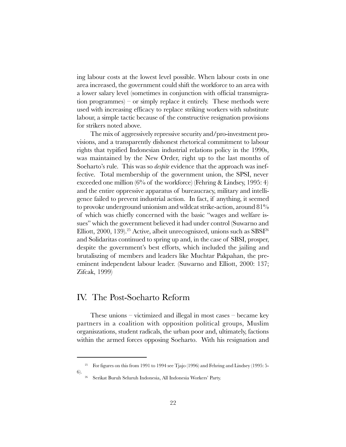ing labour costs at the lowest level possible. When labour costs in one area increased, the government could shift the workforce to an area with a lower salary level (sometimes in conjunction with official transmigration programmes)  $-$  or simply replace it entirely. These methods were used with increasing efficacy to replace striking workers with substitute labour, a simple tactic because of the constructive resignation provisions for strikers noted above.

The mix of aggressively repressive security and/pro-investment provisions, and a transparently dishonest rhetorical commitment to labour rights that typified Indonesian industrial relations policy in the 1990s, was maintained by the New Order, right up to the last months of Soeharto's rule. This was so *despite* evidence that the approach was ineffective. Total membership of the government union, the SPSI, never exceeded one million (6% of the workforce) (Fehring & Lindsey, 1995: 4) and the entire oppressive apparatus of bureaucracy, military and intelligence failed to prevent industrial action. In fact, if anything, it seemed to provoke underground unionism and wildcat strike-action, around 81% of which was chiefly concerned with the basic "wages and welfare issues" which the government believed it had under control (Suwarno and Elliott, 2000, 139).<sup>25</sup> Active, albeit unrecogniszed, unions such as  $SBSI<sup>26</sup>$ and Solidaritas continued to spring up and, in the case of SBSI, prosper, despite the government's best efforts, which included the jailing and brutaliszing of members and leaders like Muchtar Pakpahan, the preeminent independent labour leader. (Suwarno and Elliott, 2000: 137; Zifcak, 1999)

### IV. The Post-Soeharto Reform

These unions  $-$  victimized and illegal in most cases  $-$  became key partners in a coalition with opposition political groups, Muslim organiszations, student radicals, the urban poor and, ultimately, factions within the armed forces opposing Soeharto. With his resignation and

<sup>&</sup>lt;sup>25</sup> For figures on this from 1991 to 1994 see Tjajo (1996) and Fehring and Lindsey (1995: 5-6).

<sup>&</sup>lt;sup>26</sup> Serikat Buruh Seluruh Indonesia, All Indonesia Workers' Party.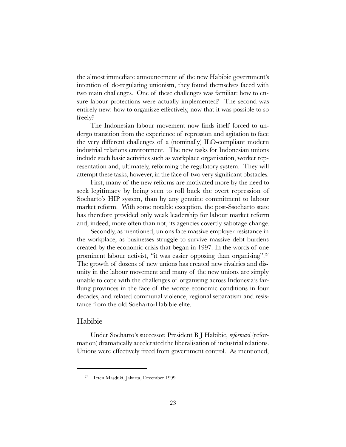the almost immediate announcement of the new Habibie government's intention of de-regulating unionism, they found themselves faced with two main challenges. One of these challenges was familiar: how to ensure labour protections were actually implemented? The second was entirely new: how to organisze effectively, now that it was possible to so freely?

The Indonesian labour movement now finds itself forced to undergo transition from the experience of repression and agitation to face the very different challenges of a (nominally) ILO-compliant modern industrial relations environment. The new tasks for Indonesian unions include such basic activities such as workplace organisation, worker representation and, ultimately, reforming the regulatory system. They will attempt these tasks, however, in the face of two very significant obstacles.

First, many of the new reforms are motivated more by the need to seek legitimacy by being seen to roll back the overt repression of Soeharto's HIP system, than by any genuine commitment to labour market reform. With some notable exception, the post-Ssoeharto state has therefore provided only weak leadership for labour market reform and, indeed, more often than not, its agencies covertly sabotage change.

Secondly, as mentioned, unions face massive employer resistance in the workplace, as businesses struggle to survive massive debt burdens created by the economic crisis that began in 1997. In the words of one prominent labour activist, "it was easier opposing than organising".<sup>27</sup> The growth of dozens of new unions has created new rivalries and disunity in the labour movement and many of the new unions are simply unable to cope with the challenges of organising across Indonesia's farflung provinces in the face of the worste economic conditions in four decades, and related communal violence, regional separatism and resistance from the old Soeharto-Habibie elite.

#### Habibie

Under Soeharto's successor, President B J Habibie, reformasi (reformation) dramatically accelerated the liberalisation of industrial relations. Unions were effectively freed from government control. As mentioned,

<sup>27</sup> Teten Masduki, Jakarta, December 1999.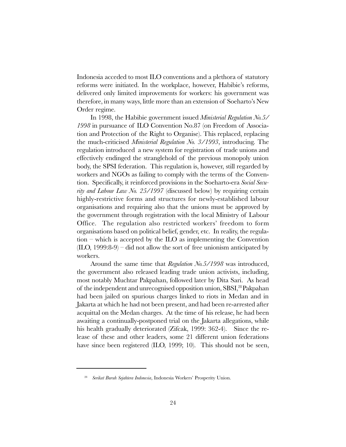Indonesia acceded to most ILO conventions and a plethora of statutory reforms were initiated. In the workplace, however, Habibie's reforms, delivered only limited improvements for workers: his government was therefore, in many ways, little more than an extension of Soeharto's New Order regime.

In 1998, the Habibie government issued Ministerial Regulation No.5/ 1998 in pursuance of ILO Convention No.87 (on Freedom of Association and Protection of the Right to Organise). This replaced, replacing the much-criticised Ministerial Regulation No. 3/1993, introducing. The regulation introduced a new system for registration of trade unions and effectively endinged the stranglehold of the previous monopoly union body, the SPSI federation. This regulation is, however, still regarded by workers and NGOs as failing to comply with the terms of the Convention. Specifically, it reinforced provisions in the Soeharto-era Social Security and Labour Law No. 25/1997 (discussed below) by requiring certain highly-restrictive forms and structures for newly-established labour organisations and requiring also that the unions must be approved by the government through registration with the local Ministry of Labour Office. The regulation also restricted workers' freedom to form organisations based on political belief, gender, etc. In reality, the regulation  $-$  which is accepted by the ILO as implementing the Convention  $(II.O, 1999:8-9)$  – did not allow the sort of free unionism anticipated by workers.

Around the same time that Regulation No.5/1998 was introduced, the government also released leading trade union activists, including, most notably Muchtar Pakpahan, followed later by Dita Sari. As head of the independent and unrecognised opposition union, SBSI,<sup>28</sup> Pakpahan had been jailed on spurious charges linked to riots in Medan and in Jakarta at which he had not been present, and had been re-arrested after acquittal on the Medan charges. At the time of his release, he had been awaiting a continually-postponed trial on the Jakarta allegations, while his health gradually deteriorated (Zifcak, 1999: 362-4). Since the release of these and other leaders, some 21 different union federations have since been registered (ILO, 1999; 10). This should not be seen,

<sup>&</sup>lt;sup>28</sup> Serikat Buruh Sejahtera Indonesia, Indonesia Workers' Prosperity Union.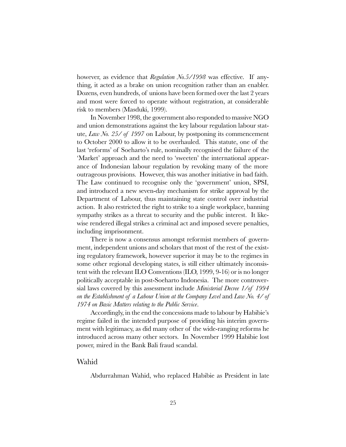however, as evidence that Regulation No.5/1998 was effective. If anything, it acted as a brake on union recognition rather than an enabler. Dozens, even hundreds, of unions have been formed over the last 2 years and most were forced to operate without registration, at considerable risk to members (Masduki, 1999).

In November 1998, the government also responded to massive NGO and union demonstrations against the key labour regulation labour statute, Law No. 25/ of 1997 on Labour, by postponing its commencement to October 2000 to allow it to be overhauled. This statute, one of the last 'reforms' of Soeharto's rule, nominally recognised the failure of the 'Market' approach and the need to 'sweeten' the international appearance of Indonesian labour regulation by revoking many of the more outrageous provisions. However, this was another initiative in bad faith. The Law continued to recognise only the 'government' union, SPSI, and introduced a new seven-day mechanism for strike approval by the Department of Labour, thus maintaining state control over industrial action. It also restricted the right to strike to a single workplace, banning sympathy strikes as a threat to security and the public interest. It likewise rendered illegal strikes a criminal act and imposed severe penalties, including imprisonment.

There is now a consensus amongst reformist members of government, independent unions and scholars that most of the rest of the existing regulatory framework, however superior it may be to the regimes in some other regional developing states, is still either ultimately inconsistent with the relevant ILO Conventions (ILO, 1999, 9-16) or is no longer politically acceptable in post-Soeharto Indonesia. The more controversial laws covered by this assessment include Ministerial Decree 1/of 1994 on the Establishment of a Labour Union at the Company Level and Law No. 4/ of 1974 on Basic Matters relating to the Public Service.

Accordingly, in the end the concessions made to labour by Habibie's regime failed in the intended purpose of providing his interim government with legitimacy, as did many other of the wide-ranging reforms he introduced across many other sectors. In November 1999 Habibie lost power, mired in the Bank Bali fraud scandal.

#### Wahid

Abdurrahman Wahid, who replaced Habibie as President in late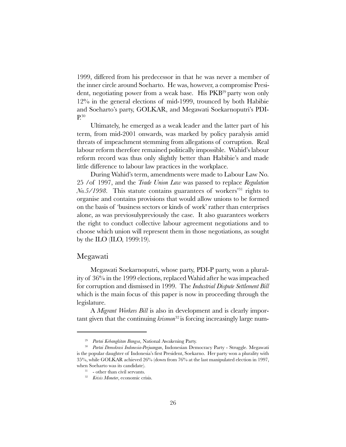1999, differed from his predecessor in that he was never a member of the inner circle around Soeharto. He was, however, a compromise President, negotiating power from a weak base. His PKB<sup>29</sup> party won only 12% in the general elections of mid-1999, trounced by both Habibie and Soeharto's party, GOLKAR, and Megawati Soekarnoputri's PDI-P.30

Ultimately, he emerged as a weak leader and the latter part of his term, from mid-2001 onwards, was marked by policy paralysis amid threats of impeachment stemming from allegations of corruption. Real labour reform therefore remained politically impossible. Wahid's labour reform record was thus only slightly better than Habibie's and made little difference to labour law practices in the workplace.

During Wahid's term, amendments were made to Labour Law No. 25 / of 1997, and the *Trade Union Law* was passed to replace Regulation  $\mathcal{N}0.5\overline{\smash{/}}1998$ . This statute contains guarantees of workers<sup>31</sup> rights to organise and contains provisions that would allow unions to be formed on the basis of 'business sectors or kinds of work' rather than enterprises alone, as was previosulypreviously the case. It also guarantees workers the right to conduct collective labour agreement negotiations and to choose which union will represent them in those negotiations, as sought by the ILO (ILO, 1999:19).

#### Megawati

Megawati Soekarnoputri, whose party, PDI-P party, won a plurality of 36% in the 1999 elections, replaced Wahid after he was impeached for corruption and dismissed in 1999. The Industrial Dispute Settlement Bill which is the main focus of this paper is now in proceeding through the legislature.

A Migrant Workers Bill is also in development and is clearly important given that the continuing  $krsmon^{32}$  is forcing increasingly large num-

<sup>29</sup> Partai Kebangkitan Bangsa, National Awakening Party.

<sup>&</sup>lt;sup>30</sup> Partai Demokrasi Indonesia-Perjuangan, Indonesian Democracy Party - Struggle. Megawati is the popular daughter of Indonesia's first President, Soekarno. Her party won a plurality with 35%, while GOLKAR achieved 26% (down from 76% at the last manipulated election in 1997, when Soeharto was its candidate).

<sup>&</sup>lt;sup>31</sup> - other than civil servants.

<sup>&</sup>lt;sup>32</sup> Krisis Moneter, economic crisis.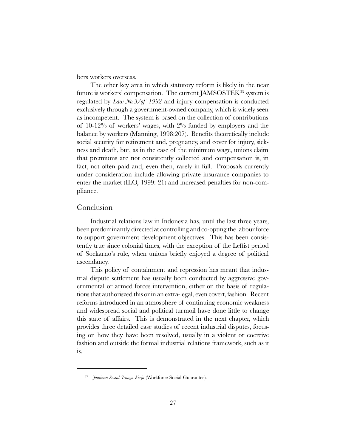bers workers overseas.

The other key area in which statutory reform is likely in the near future is workers' compensation. The current JAMSOSTEK $^{33}$  system is regulated by *Law No.3/of 1992* and injury compensation is conducted exclusively through a government-owned company, which is widely seen as incompetent. The system is based on the collection of contributions of  $10-12\%$  of workers' wages, with  $2\%$  funded by employers and the balance by workers (Manning, 1998:207). Benefits theoretically include social security for retirement and, pregnancy, and cover for injury, sickness and death, but, as in the case of the minimum wage, unions claim that premiums are not consistently collected and compensation is, in fact, not often paid and, even then, rarely in full. Proposals currently under consideration include allowing private insurance companies to enter the market (ILO, 1999: 21) and increased penalties for non-compliance.

#### Conclusion

Industrial relations law in Indonesia has, until the last three years, been predominantly directed at controlling and co-opting the labour force to support government development objectives. This has been consistently true since colonial times, with the exception of the Leftist period of Soekarnos rule, when unions briefly enjoyed a degree of political ascendancy.

This policy of containment and repression has meant that industrial dispute settlement has usually been conducted by aggressive governmental or armed forces intervention, either on the basis of regulations that authoriszed this or in an extra-legal, even covert, fashion. Recent reforms introduced in an atmosphere of continuing economic weakness and widespread social and political turmoil have done little to change this state of affairs. This is demonstrated in the next chapter, which provides three detailed case studies of recent industrial disputes, focusing on how they have been resolved, usually in a violent or coercive fashion and outside the formal industrial relations framework, such as it is.

<sup>&</sup>lt;sup>33</sup> Jaminan Sosial Tenaga Kerja (Workforce Social Guarantee).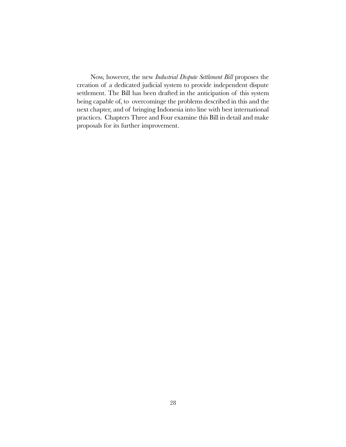Now, however, the new Industrial Dispute Settlement Bill proposes the creation of a dedicated judicial system to provide independent dispute settlement. The Bill has been drafted in the anticipation of this system being capable of, to overcominge the problems described in this and the next chapter, and of bringing Indonesia into line with best international practices. Chapters Three and Four examine this Bill in detail and make proposals for its further improvement.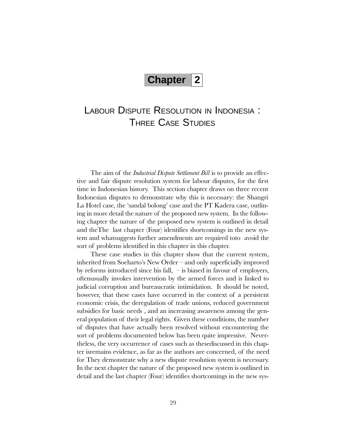## **Chapter 2**

## LABOUR DISPUTE RESOLUTION IN INDONESIA : THREE CASE STUDIES

The aim of the *Industrial Dispute Settlement Bill* is to provide an effective and fair dispute resolution system for labour disputes, for the first time in Indonesian history. This section chapter draws on three recent Indonesian disputes to demonstrate why this is necessary: the Shangri La Hotel case, the 'sandal bolong' case and the PT Kadera case, outlining in more detail the nature of the proposed new system. In the following chapter the nature of the proposed new system is outlined in detail and theThe last chapter (Four) identifies shortcomings in the new system and whatsuggests further amendments are required toto avoid the sort of problems identified in this chapter in this chapter.

These case studies in this chapter show that the current system, inherited from Soeharto's New Order  $-$  and only superficially improved by reforms introduced since his fall,  $-$  is biased in favour of employers, oftenusually invokes intervention by the armed forces and is linked to judicial corruption and bureaucratic intimidation. It should be noted, however, that these cases have occurred in the context of a persistent economic crisis, the deregulation of trade unions, reduced government subsidies for basic needs , and an increasing awareness among the general population of their legal rights. Given these conditions, the number of disputes that have actually been resolved without encountering the sort of problems documented below has been quite impressive. Nevertheless, the very occurrence of cases such as thesediscussed in this chapter isremains evidence, as far as the authors are concerned, of the need for They demonstrate why a new dispute resolution system is necessary. In the next chapter the nature of the proposed new system is outlined in detail and the last chapter (Four) identifies shortcomings in the new sys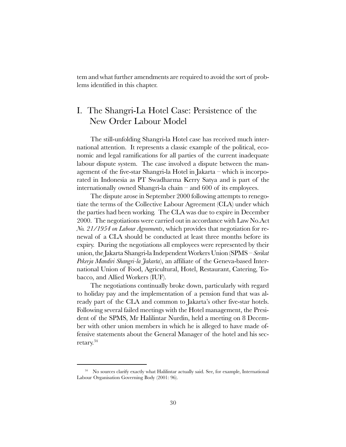tem and what further amendments are required to avoid the sort of problems identified in this chapter.

### I. The Shangri-La Hotel Case: Persistence of the New Order Labour Model

The still-unfolding Shangri-la Hotel case has received much international attention. It represents a classic example of the political, economic and legal ramifications for all parties of the current inadequate labour dispute system. The case involved a dispute between the management of the five-star Shangri-la Hotel in Jakarta  $-$  which is incorporated in Indonesia as PT Swadharma Kerry Satya and is part of the internationally owned Shangri-la chain  $-$  and 600 of its employees.

The dispute arose in September 2000 following attempts to renegotiate the terms of the Collective Labour Agreement (CLA) under which the parties had been working. The CLA was due to expire in December 2000. The negotiations were carried out in accordance with Law No.Act No. 21/1954 on Labour Agreements, which provides that negotiation for renewal of a CLA should be conducted at least three months before its expiry. During the negotiations all employees were represented by their union, the Jakarta Shangri-la Independent Workers Union (SPMS – Serikat Pekerja Mandiri Shangri-la Jakarta), an affiliate of the Geneva-based International Union of Food, Agricultural, Hotel, Restaurant, Catering, Tobacco, and Allied Workers (IUF).

The negotiations continually broke down, particularly with regard to holiday pay and the implementation of a pension fund that was already part of the CLA and common to Jakarta's other five-star hotels. Following several failed meetings with the Hotel management, the President of the SPMS, Mr Halilintar Nurdin, held a meeting on 8 December with other union members in which he is alleged to have made offensive statements about the General Manager of the hotel and his secretary.34

<sup>&</sup>lt;sup>34</sup> No sources clarify exactly what Halilintar actually said. See, for example, International Labour Organisation Governing Body (2001: 96).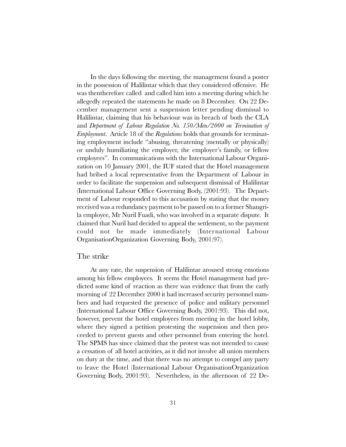In the days following the meeting, the management found a poster in the possession of Halilintar which that they considered offensive. He was thentherefore called and called him into a meeting during which he allegedly repeated the statements he made on 8 December. On 22 December management sent a suspension letter pending dismissal to Halilintar, claiming that his behaviour was in breach of both the CLA and Department of Labour Regulation No. 150/Men/2000 on Termination of *Employment.* Article 18 of the *Regulations* holds that grounds for terminating employment include "abusing, threatening (mentally or physically) or unduly humiliating the employer, the employer's family, or fellow employees". In communications with the International Labour Organization on 10 January 2001, the IUF stated that the Hotel management had bribed a local representative from the Department of Labour in order to facilitate the suspension and subsequent dismissal of Halilintar (International Labour Office Governing Body, (2001:93). The Department of Labour responded to this accusation by stating that the money received was a redundancy payment to be passed on to a former Shangrila employee, Mr Nuril Fuadi, who was involved in a separate dispute. It claimed that Nuril had decided to appeal the settlement, so the payment could not be made immediately (International Labour OrganisationOrganization Governing Body, 2001:97).

#### The strike

At any rate, the suspension of Halilintar aroused strong emotions among his fellow employees. It seems the Hotel management had predicted some kind of reaction as there was evidence that from the early morning of 22 December 2000 it had increased security personnel numbers and had requested the presence of police and military personnel (International Labour Office Governing Body, 2001:93). This did not, however, prevent the hotel employees from meeting in the hotel lobby, where they signed a petition protesting the suspension and then proceeded to prevent guests and other personnel from entering the hotel. The SPMS has since claimed that the protest was not intended to cause a cessation of all hotel activities, as it did not involve all union members on duty at the time, and that there was no attempt to compel any party to leave the Hotel (International Labour OrganisationOrganization Governing Body, 2001:93). Nevertheless, in the afternoon of 22 De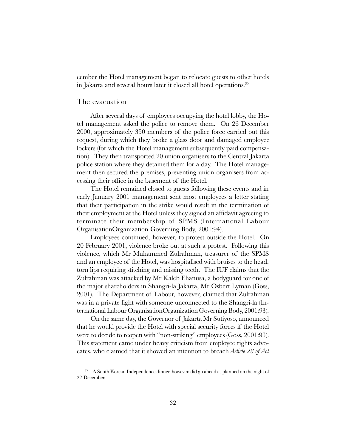cember the Hotel management began to relocate guests to other hotels in Jakarta and several hours later it closed all hotel operations.<sup>35</sup>

#### The evacuation

After several days of employees occupying the hotel lobby, the Hotel management asked the police to remove them. On 26 December 2000, approximately 350 members of the police force carried out this request, during which they broke a glass door and damaged employee lockers (for which the Hotel management subsequently paid compensation). They then transported 20 union organisers to the Central Jakarta police station where they detained them for a day. The Hotel management then secured the premises, preventing union organisers from accessing their office in the basement of the Hotel.

The Hotel remained closed to guests following these events and in early January 2001 management sent most employees a letter stating that their participation in the strike would result in the termination of their employment at the Hotel unless they signed an affidavit agreeing to terminate their membership of SPMS (International Labour OrganisationOrganization Governing Body, 2001:94).

Employees continued, however, to protest outside the Hotel. On 20 February 2001, violence broke out at such a protest. Following this violence, which Mr Muhammed Zulrahman, treasurer of the SPMS and an employee of the Hotel, was hospitalised with bruises to the head, torn lips requiring stitching and missing teeth. The IUF claims that the Zulrahman was attacked by Mr Kaleb Ehanusa, a bodyguard for one of the major shareholders in Shangri-la Jakarta, Mr Osbert Lyman (Goss, 2001). The Department of Labour, however, claimed that Zulrahman was in a private fight with someone unconnected to the Shangri-la (International Labour OrganisationOrganization Governing Body, 2001:93).

On the same day, the Governor of Jakarta Mr Sutiyoso, announced that he would provide the Hotel with special security forces if the Hotel were to decide to reopen with "non-striking" employees (Goss, 2001:93). This statement came under heavy criticism from employee rights advocates, who claimed that it showed an intention to breach Article 28 of Act

<sup>35</sup> A South Korean Independence dinner, however, did go ahead as planned on the night of 22 December.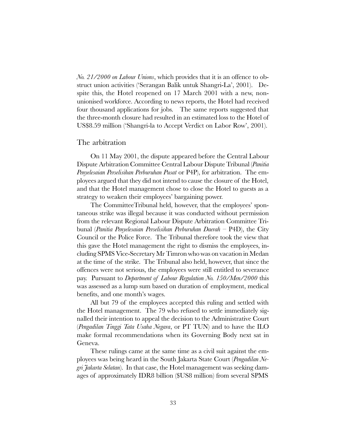No. 21/2000 on Labour Unions, which provides that it is an offence to obstruct union activities ('Serangan Balik untuk Shangri-La', 2001). Despite this, the Hotel reopened on 17 March 2001 with a new, nonunionised workforce. According to news reports, the Hotel had received four thousand applications for jobs. The same reports suggested that the three-month closure had resulted in an estimated loss to the Hotel of US\$8.59 million (Shangri-la to Accept Verdict on Labor Row, 2001).

#### The arbitration

On 11 May 2001, the dispute appeared before the Central Labour Dispute Arbitration Committee Central Labour Dispute Tribunal (Panitia Penyelesaian Perselisihan Perburuhan Pusat or P4P), for arbitration. The employees argued that they did not intend to cause the closure of the Hotel, and that the Hotel management chose to close the Hotel to guests as a strategy to weaken their employees' bargaining power.

The CommitteeTribunal held, however, that the employees' spontaneous strike was illegal because it was conducted without permission from the relevant Regional Labour Dispute Arbitration Committee Tribunal (Panitia Penyelesaian Perselisihan Perburuhan Daerah –  $P4D$ ), the City Council or the Police Force. The Tribunal therefore took the view that this gave the Hotel management the right to dismiss the employees, including SPMS Vice-Secretary Mr Timron who was on vacation in Medan at the time of the strike. The Tribunal also held, however, that since the offences were not serious, the employees were still entitled to severance pay. Pursuant to Department of Labour Regulation No. 150/Men/2000 this was assessed as a lump sum based on duration of employment, medical benefits, and one month's wages.

All but 79 of the employees accepted this ruling and settled with the Hotel management. The 79 who refused to settle immediately signalled their intention to appeal the decision to the Administrative Court (Pengadilan Tinggi Tata Usaha Negara, or PT TUN) and to have the ILO make formal recommendations when its Governing Body next sat in Geneva.

These rulings came at the same time as a civil suit against the employees was being heard in the South Jakarta State Court (Pengadilan Negri Jakarta Selatan). In that case, the Hotel management was seeking damages of approximately IDR8 billion (\$US8 million) from several SPMS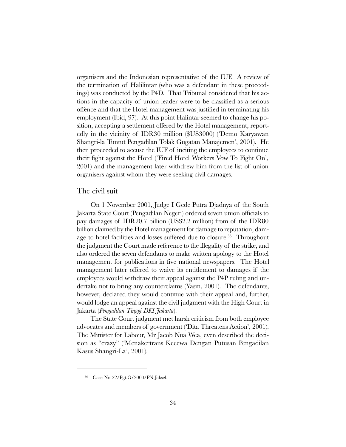organisers and the Indonesian representative of the IUF. A review of the termination of Halilintar (who was a defendant in these proceedings) was conducted by the P4D. That Tribunal considered that his actions in the capacity of union leader were to be classified as a serious offence and that the Hotel management was justified in terminating his employment (Ibid, 97). At this point Halintar seemed to change his position, accepting a settlement offered by the Hotel management, reportedly in the vicinity of IDR30 million (\$US3000) (Demo Karyawan Shangri-la Tuntut Pengadilan Tolak Gugatan Manajemen', 2001). He then proceeded to accuse the IUF of inciting the employees to continue their fight against the Hotel ('Fired Hotel Workers Vow To Fight On', 2001) and the management later withdrew him from the list of union organisers against whom they were seeking civil damages.

#### The civil suit

On 1 November 2001, Judge I Gede Putra Djadnya of the South Jakarta State Court (Pengadilan Negeri) ordered seven union officials to pay damages of IDR20.7 billion (US\$2.2 million) from of the IDR80 billion claimed by the Hotel management for damage to reputation, damage to hotel facilities and losses suffered due to closure.<sup>36</sup> Throughout the judgment the Court made reference to the illegality of the strike, and also ordered the seven defendants to make written apology to the Hotel management for publications in five national newspapers. The Hotel management later offered to waive its entitlement to damages if the employees would withdraw their appeal against the P4P ruling and undertake not to bring any counterclaims (Yasin, 2001). The defendants, however, declared they would continue with their appeal and, further, would lodge an appeal against the civil judgment with the High Court in Jakarta (Pengadilan Tinggi DKI Jakarta).

The State Court judgment met harsh criticism from both employee advocates and members of government ('Dita Threatens Action', 2001). The Minister for Labour, Mr Jacob Nua Wea, even described the decision as "crazy" ('Menakertrans Kecewa Dengan Putusan Pengadilan Kasus Shangri-La', 2001).

<sup>36</sup> Case No 22/Pgt.G/2000/PN Jaksel.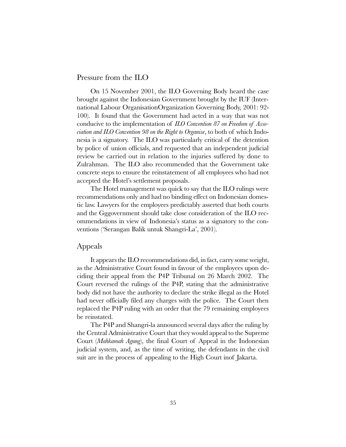#### Pressure from the ILO

On 15 November 2001, the ILO Governing Body heard the case brought against the Indonesian Government brought by the IUF (International Labour OrganisationOrganization Governing Body, 2001: 92- 100). It found that the Government had acted in a way that was not conducive to the implementation of ILO Convention 87 on Freedom of Association and ILO Convention 98 on the Right to Organise, to both of which Indonesia is a signatory. The ILO was particularly critical of the detention by police of union officials, and requested that an independent judicial review be carried out in relation to the injuries suffered by done to Zulrahman. The ILO also recommended that the Government take concrete steps to ensure the reinstatement of all employees who had not accepted the Hotel's settlement proposals.

The Hotel management was quick to say that the ILO rulings were recommendations only and had no binding effect on Indonesian domestic law. Lawyers for the employees predictably asserted that both courts and the Gggovernment should take close consideration of the ILO recommendations in view of Indonesia's status as a signatory to the conventions ('Serangan Balik untuk Shangri-La', 2001).

#### Appeals

It appears the ILO recommendations did, in fact, carry some weight, as the Administrative Court found in favour of the employees upon deciding their appeal from the P4P Tribunal on 26 March 2002. The Court reversed the rulings of the P4P, stating that the administrative body did not have the authority to declare the strike illegal as the Hotel had never officially filed any charges with the police. The Court then replaced the P4P ruling with an order that the 79 remaining employees be reinstated.

The P4P and Shangri-la announced several days after the ruling by the Central Administrative Court that they would appeal to the Supreme Court (Mahkamah Agung), the final Court of Appeal in the Indonesian judicial system, and, as the time of writing, the defendants in the civil suit are in the process of appealing to the High Court inof Jakarta.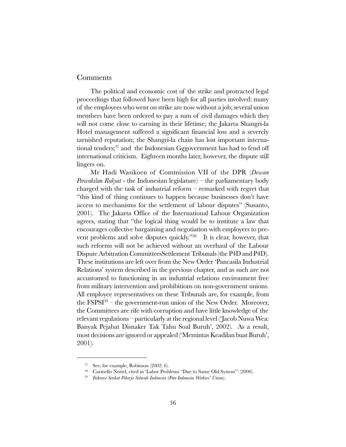#### Comments

The political and economic cost of the strike and protracted legal proceedings that followed have been high for all parties involved: many of the employees who went on strike are now without a job; several union members have been ordered to pay a sum of civil damages which they will not come close to earning in their lifetime; the Jakarta Shangri-la Hotel management suffered a significant financial loss and a severely tarnished reputation; the Shangri-la chain has lost important international tenders;<sup>37</sup> and the Indonesian Gggovernment has had to fend off international criticism. Eighteen months later, however, the dispute still lingers on.

Mr Hadi Wasikoen of Commission VII of the DPR (Dewan *Perwakilan Rakyat* - the Indonesian legislature) – the parliamentary body charged with the task of industrial reform  $-$  remarked with regret that "this kind of thing continues to happen because businesses don't have access to mechanisms for the settlement of labour disputes" (Susanto, 2001). The Jakarta Office of the International Labour Organization agrees, stating that "the logical thing would be to institute a law that encourages collective bargaining and negotiation with employers to prevent problems and solve disputes quickly. $38$  It is clear, however, that such reforms will not be achieved without an overhaul of the Labour Dispute Arbitration CommitteesSettlement Tribunals (the P4D and P4D). These institutions are left over from the New Order Pancasila Industrial Relations' system described in the previous chapter, and as such are not accustomed to functioning in an industrial relations environment free from military intervention and prohibitions on non-government unions. All employee representatives on these Tribunals are, for example, from the  $FSPST^{39}$  – the government-run union of the New Order. Moreover, the Committees are rife with corruption and have little knowledge of the relevant regulations – particularly at the regional level (Jacob Nuwa Wea: Banyak Pejabat Disnaker Tak Tahu Soal Buruh, 2002). As a result, most decisions are ignored or appealed ('Memintas Keadilan buat Buruh', 2001).

<sup>37</sup> See, for example, Robinson (2002: 6).

<sup>&</sup>lt;sup>38</sup> Carmello Noriel, cited in 'Labor Problems "Due to Same Old System"' (2000).

<sup>&</sup>lt;sup>39</sup> Federasi Serikat Pekerja Seluruh Indonesia (Pan-Indonesia Workers' Union).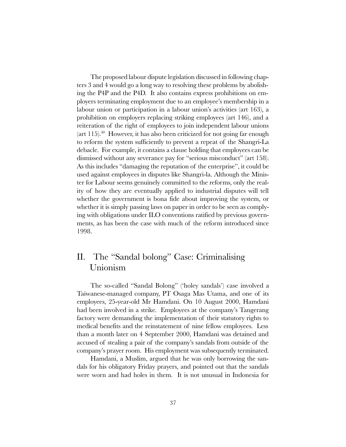The proposed labour dispute legislation discussed in following chapters 3 and 4 would go a long way to resolving these problems by abolishing the P4P and the P4D. It also contains express prohibitions on employers terminating employment due to an employee's membership in a labour union or participation in a labour union's activities (art 163), a prohibition on employers replacing striking employees (art 146), and a reiteration of the right of employees to join independent labour unions  $(\text{art } 115).$ <sup>40</sup> However, it has also been criticized for not going far enough to reform the system sufficiently to prevent a repeat of the Shangri-La debacle. For example, it contains a clause holding that employees can be dismissed without any severance pay for "serious misconduct" (art 158). As this includes "damaging the reputation of the enterprise", it could be used against employees in disputes like Shangri-la. Although the Minister for Labour seems genuinely committed to the reforms, only the reality of how they are eventually applied to industrial disputes will tell whether the government is bona fide about improving the system, or whether it is simply passing laws on paper in order to be seen as complying with obligations under ILO conventions ratified by previous governments, as has been the case with much of the reform introduced since 1998.

# II. The "Sandal bolong" Case: Criminalising Unionism

The so-called "Sandal Bolong" ('holey sandals') case involved a Taiwanese-managed company, PT Osaga Mas Utama, and one of its employees, 25-year-old Mr Hamdani. On 10 August 2000, Hamdani had been involved in a strike. Employees at the company's Tangerang factory were demanding the implementation of their statutory rights to medical benefits and the reinstatement of nine fellow employees. Less than a month later on 4 September 2000, Hamdani was detained and accused of stealing a pair of the company's sandals from outside of the company's prayer room. His employment was subsequently terminated.

Hamdani, a Muslim, argued that he was only borrowing the sandals for his obligatory Friday prayers, and pointed out that the sandals were worn and had holes in them. It is not unusual in Indonesia for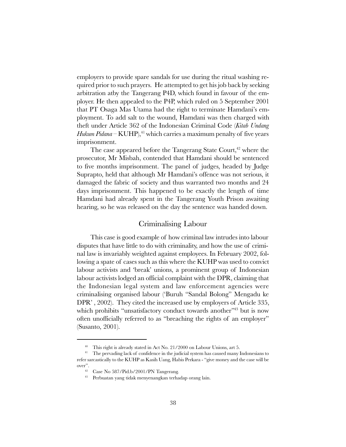employers to provide spare sandals for use during the ritual washing required prior to such prayers. He attempted to get his job back by seeking arbitration atby the Tangerang P4D, which found in favour of the employer. He then appealed to the P4P, which ruled on 5 September 2001 that PT Osaga Mas Utama had the right to terminate Hamdanis employment. To add salt to the wound, Hamdani was then charged with theft under Article 362 of the Indonesian Criminal Code (Kitab Undang Hukum Pidana – KUHP),<sup>41</sup> which carries a maximum penalty of five years imprisonment.

The case appeared before the Tangerang State Court, $42$  where the prosecutor, Mr Misbah, contended that Hamdani should be sentenced to five months imprisonment. The panel of judges, headed by Judge Suprapto, held that although Mr Hamdanis offence was not serious, it damaged the fabric of society and thus warranted two months and 24 days imprisonment. This happened to be exactly the length of time Hamdani had already spent in the Tangerang Youth Prison awaiting hearing, so he was released on the day the sentence was handed down.

### Criminalising Labour

This case is good example of how criminal law intrudes into labour disputes that have little to do with criminality, and how the use of criminal law is invariably weighted against employees. In February 2002, following a spate of cases such as this where the KUHP was used to convict labour activists and 'break' unions, a prominent group of Indonesian labour activists lodged an official complaint with the DPR, claiming that the Indonesian legal system and law enforcement agencies were criminalising organised labour ('Buruh "Sandal Bolong" Mengadu ke DPR', 2002). They cited the increased use by employers of Article 335, which prohibits "unsatisfactory conduct towards another"<sup>43</sup> but is now often unofficially referred to as "breaching the rights of an employer" (Susanto, 2001).

<sup>40</sup> This right is already stated in Act No. 21/2000 on Labour Unions, art 5.

<sup>&</sup>lt;sup>41</sup> The pervading lack of confidence in the judicial system has caused many Indonesians to refer sarcastically to the KUHP as Kasih Uang, Habis Perkara - "give money and the case will be over".

<sup>42</sup> Case No 587/Pid.b/2001/PN Tangerang.

<sup>43</sup> Perbuatan yang tidak menyenangkan terhadap orang lain.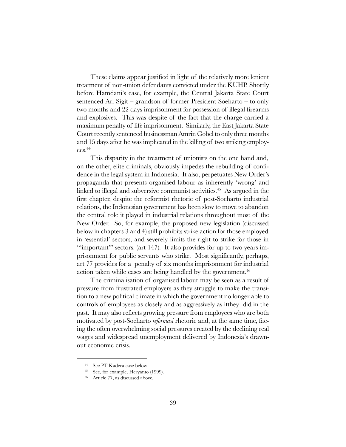These claims appear justified in light of the relatively more lenient treatment of non-union defendants convicted under the KUHP. Shortly before Hamdanis case, for example, the Central Jakarta State Court sentenced Ari Sigit  $-$  grandson of former President Soeharto  $-$  to only two months and 22 days imprisonment for possession of illegal firearms and explosives. This was despite of the fact that the charge carried a maximum penalty of life imprisonment. Similarly, the East Jakarta State Court recently sentenced businessman Amrin Gobel to only three months and 15 days after he was implicated in the killing of two striking employees.44

This disparity in the treatment of unionists on the one hand and, on the other, elite criminals, obviously impedes the rebuilding of confidence in the legal system in Indonesia. It also, perpetuates New Order's propaganda that presents organised labour as inherently 'wrong' and linked to illegal and subversive communist activities.<sup>45</sup> As argued in the first chapter, despite the reformist rhetoric of post-Soeharto industrial relations, the Indonesian government has been slow to move to abandon the central role it played in industrial relations throughout most of the New Order. So, for example, the proposed new legislation (discussed below in chapters 3 and 4) still prohibits strike action for those employed in 'essential' sectors, and severely limits the right to strike for those in "important" sectors. (art  $147$ ). It also provides for up to two years imprisonment for public servants who strike. Most significantly, perhaps, art 77 provides for a penalty of six months imprisonment for industrial action taken while cases are being handled by the government.<sup>46</sup>

The criminalisation of organised labour may be seen as a result of pressure from frustrated employers as they struggle to make the transition to a new political climate in which the government no longer able to controls of employees as closely and as aggressively as itthey did in the past. It may also reflects growing pressure from employees who are both motivated by post-Soeharto *reformasi* rhetoric and, at the same time, facing the often overwhelming social pressures created by the declining real wages and widespread unemployment delivered by Indonesia's drawnout economic crisis.

<sup>44</sup> See PT Kadera case below.

<sup>45</sup> See, for example, Heryanto (1999).

<sup>56</sup> Article 77, as discussed above.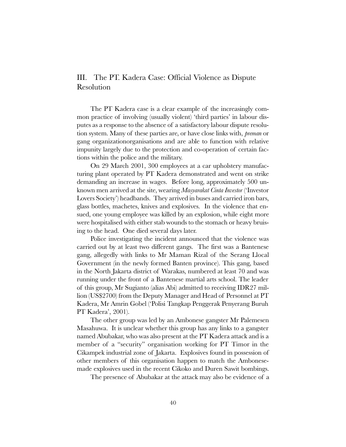# III. The PT. Kadera Case: Official Violence as Dispute Resolution

The PT Kadera case is a clear example of the increasingly common practice of involving (usually violent) third parties' in labour disputes as a response to the absence of a satisfactory labour dispute resolution system. Many of these parties are, or have close links with, preman or gang organizationorganisations and are able to function with relative impunity largely due to the protection and co-operation of certain factions within the police and the military.

On 29 March 2001, 300 employees at a car upholstery manufacturing plant operated by PT Kadera demonstrated and went on strike demanding an increase in wages. Before long, approximately 500 unknown men arrived at the site, wearing *Masyarakat Cinta Investor* ('Investor Lovers Society) headbands. They arrived in buses and carried iron bars, glass bottles, machetes, knives and explosives. In the violence that ensued, one young employee was killed by an explosion, while eight more were hospitalised with either stab wounds to the stomach or heavy bruising to the head. One died several days later.

Police investigating the incident announced that the violence was carried out by at least two different gangs. The first was a Bantenese gang, allegedly with links to Mr Maman Rizal of the Serang Llocal Government (in the newly formed Banten province). This gang, based in the North Jakarta district of Warakas, numbered at least 70 and was running under the front of a Bantenese martial arts school. The leader of this group, Mr Sugianto (alias Abi) admitted to receiving IDR27 million (US\$2700) from the Deputy Manager and Head of Personnel at PT Kadera, Mr Amrin Gobel (Polisi Tangkap Penggerak Penyerang Buruh PT Kadera', 2001).

The other group was led by an Ambonese gangster Mr Palemesen Masahuwa. It is unclear whether this group has any links to a gangster named Abubakar, who was also present at the PT Kadera attack and is a member of a "security" organisation working for PT Timor in the Cikampek industrial zone of Jakarta. Explosives found in possession of other members of this organisation happen to match the Ambonesemade explosives used in the recent Cikoko and Duren Sawit bombings.

The presence of Abubakar at the attack may also be evidence of a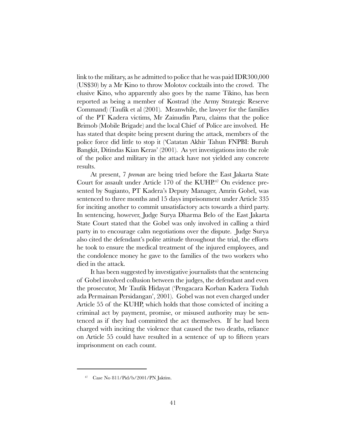link to the military, as he admitted to police that he was paid IDR300,000 (US\$30) by a Mr Kino to throw Molotov cocktails into the crowd. The elusive Kino, who apparently also goes by the name Tikino, has been reported as being a member of Kostrad (the Army Strategic Reserve Command) (Taufik et al (2001). Meanwhile, the lawyer for the families of the PT Kadera victims, Mr Zainudin Paru, claims that the police Brimob (Mobile Brigade) and the local Chief of Police are involved. He has stated that despite being present during the attack, members of the police force did little to stop it (Catatan Akhir Tahun FNPBI: Buruh Bangkit, Ditindas Kian Keras' (2001). As yet investigations into the role of the police and military in the attack have not yielded any concrete results.

At present, 7 *preman* are being tried before the East Jakarta State Court for assault under Article 170 of the KUHP.<sup>47</sup> On evidence presented by Sugianto, PT Kadera's Deputy Manager, Amrin Gobel, was sentenced to three months and 15 days imprisonment under Article 335 for inciting another to commit unsatisfactory acts towards a third party. In sentencing, however, Judge Surya Dharma Belo of the East Jakarta State Court stated that the Gobel was only involved in calling a third party in to encourage calm negotiations over the dispute. Judge Surya also cited the defendant's polite attitude throughout the trial, the efforts he took to ensure the medical treatment of the injured employees, and the condolence money he gave to the families of the two workers who died in the attack.

It has been suggested by investigative journalists that the sentencing of Gobel involved collusion between the judges, the defendant and even the prosecutor, Mr Taufik Hidayat (Pengacara Korban Kadera Tuduh ada Permainan Persidangan, 2001). Gobel was not even charged under Article 55 of the KUHP, which holds that those convicted of inciting a criminal act by payment, promise, or misused authority may be sentenced as if they had committed the act themselves. If he had been charged with inciting the violence that caused the two deaths, reliance on Article 55 could have resulted in a sentence of up to fifteen years imprisonment on each count.

<sup>47</sup> Case No 811/Pid/b/2001/PN Jaktim.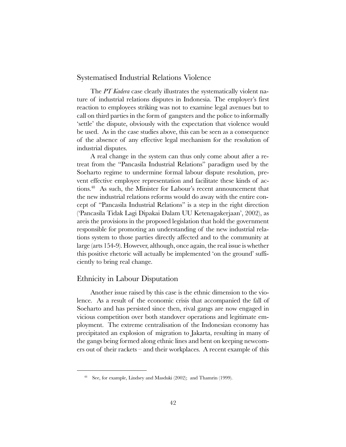## Systematised Industrial Relations Violence

The PT Kadera case clearly illustrates the systematically violent nature of industrial relations disputes in Indonesia. The employer's first reaction to employees striking was not to examine legal avenues but to call on third parties in the form of gangsters and the police to informally 'settle' the dispute, obviously with the expectation that violence would be used. As in the case studies above, this can be seen as a consequence of the absence of any effective legal mechanism for the resolution of industrial disputes.

A real change in the system can thus only come about after a retreat from the "Pancasila Industrial Relations" paradigm used by the Soeharto regime to undermine formal labour dispute resolution, prevent effective employee representation and facilitate these kinds of actions.<sup>48</sup> As such, the Minister for Labour's recent announcement that the new industrial relations reforms would do away with the entire concept of "Pancasila Industrial Relations" is a step in the right direction (Pancasila Tidak Lagi Dipakai Dalam UU Ketenagakerjaan, 2002), as areis the provisions in the proposed legislation that hold the government responsible for promoting an understanding of the new industrial relations system to those parties directly affected and to the community at large (arts 154-9). However, although, once again, the real issue is whether this positive rhetoric will actually be implemented 'on the ground' sufficiently to bring real change.

# Ethnicity in Labour Disputation

Another issue raised by this case is the ethnic dimension to the violence. As a result of the economic crisis that accompanied the fall of Soeharto and has persisted since then, rival gangs are now engaged in vicious competition over both standover operations and legitimate employment. The extreme centralisation of the Indonesian economy has precipitated an explosion of migration to Jakarta, resulting in many of the gangs being formed along ethnic lines and bent on keeping newcomers out of their rackets  $-$  and their workplaces. A recent example of this

<sup>48</sup> See, for example, Lindsey and Masduki (2002); and Thamrin (1999).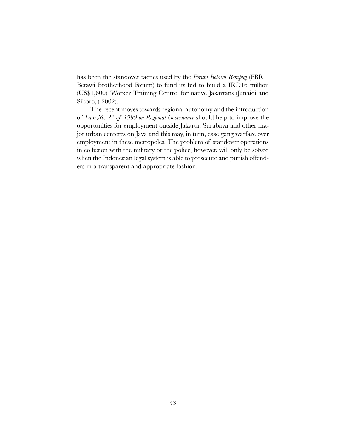has been the standover tactics used by the Forum Betawi Rempug (FBR  $-$ Betawi Brotherhood Forum) to fund its bid to build a IRD16 million (US\$1,600) 'Worker Training Centre' for native Jakartans (Junaidi and Siboro, ( 2002).

The recent moves towards regional autonomy and the introduction of Law No. 22 of 1999 on Regional Governance should help to improve the opportunities for employment outside Jakarta, Surabaya and other major urban centeres on Java and this may, in turn, ease gang warfare over employment in these metropoles. The problem of standover operations in collusion with the military or the police, however, will only be solved when the Indonesian legal system is able to prosecute and punish offenders in a transparent and appropriate fashion.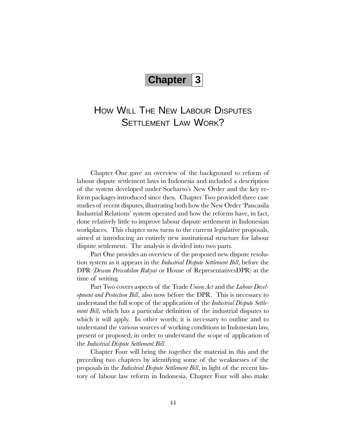# **Chapter 3**

# HOW WILL THE NEW LABOUR DISPUTES SETTI FMENT LAW WORK?

Chapter One gave an overview of the background to reform of labour dispute settlement laws in Indonesia and included a description of the system developed under Soeharto's New Order and the key reform packages introduced since then. Chapter Two provided three case studies of recent disputes, illustrating both how the New Order Pancasila Industrial Relations' system operated and how the reforms have, in fact, done relatively little to improve labour dispute settlement in Indonesian workplaces. This chapter now turns to the current legislative proposals, aimed at introducing an entirely new institutional structure for labour dispute settlement. The analysis is divided into two parts.

Part One provides an overview of the proposed new dispute resolution system as it appears in the Industrial Dispute Settlement Bill, before the DPR (Dewan Perwakilan Rakyat or House of RepresentativesDPR) at the time of writing.

Part Two covers aspects of the Trade Union Act and the Labour Development and Protection Bill, also now before the DPR. This is necessary to understand the full scope of the application of the *Industrial Dispute Settlement Bill*, which has a particular definition of the industrial disputes to which it will apply. In other words, it is necessary to outline and to understand the various sources of working conditions in Indonesian law, present or proposed, in order to understand the scope of application of the Industrial Dispute Settlement Bill.

Chapter Four will bring the together the material in this and the preceding two chapters by identifying some of the weaknesses of the proposals in the Industrial Dispute Settlement Bill, in light of the recent history of labour law reform in Indonesia. Chapter Four will also make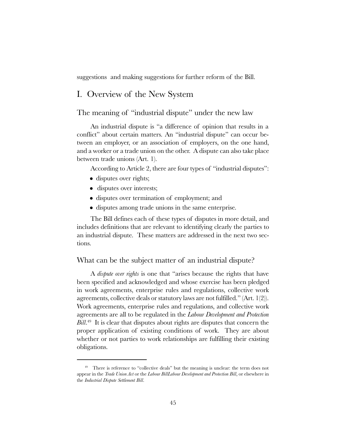suggestions and making suggestions for further reform of the Bill.

# I. Overview of the New System

# The meaning of "industrial dispute" under the new law

An industrial dispute is "a difference of opinion that results in a conflict" about certain matters. An "industrial dispute" can occur between an employer, or an association of employers, on the one hand, and a worker or a trade union on the other. A dispute can also take place between trade unions (Art. 1).

According to Article 2, there are four types of "industrial disputes":

- disputes over rights;
- disputes over interests;
- disputes over termination of employment; and
- disputes among trade unions in the same enterprise.

The Bill defines each of these types of disputes in more detail, and includes definitions that are relevant to identifying clearly the parties to an industrial dispute. These matters are addressed in the next two sections.

## What can be the subject matter of an industrial dispute?

A *dispute over rights* is one that "arises because the rights that have been specified and acknowledged and whose exercise has been pledged in work agreements, enterprise rules and regulations, collective work agreements, collective deals or statutory laws are not fulfilled." (Art.  $1(2)$ ). Work agreements, enterprise rules and regulations, and collective work agreements are all to be regulated in the Labour Development and Protection Bill.<sup>49</sup> It is clear that disputes about rights are disputes that concern the proper application of existing conditions of work. They are about whether or not parties to work relationships are fulfilling their existing obligations.

 $49$  There is reference to "collective deals" but the meaning is unclear: the term does not appear in the Trade Union Act or the Labour BillLabour Development and Protection Bill, or elsewhere in the Industrial Dispute Settlement Bill.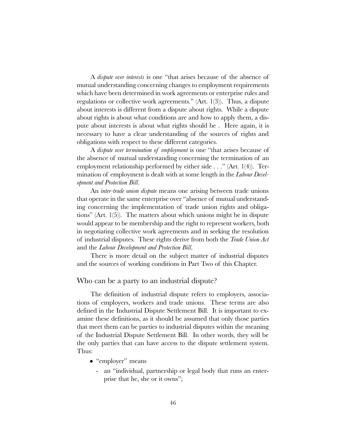A *dispute over interests* is one "that arises because of the absence of mutual understanding concerning changes to employment requirements which have been determined in work agreements or enterprise rules and regulations or collective work agreements." (Art.  $1(3)$ ). Thus, a dispute about interests is different from a dispute about rights. While a dispute about rights is about what conditions are and how to apply them, a dispute about interests is about what rights should be . Here again, it is necessary to have a clear understanding of the sources of rights and obligations with respect to these different categories.

A *dispute over termination of employment* is one "that arises because of the absence of mutual understanding concerning the termination of an employment relationship performed by either side  $\ldots$  " (Art. 1(4)). Termination of employment is dealt with at some length in the *Labour Devel*opment and Protection Bill.

An *inter-trade union dispute* means one arising between trade unions that operate in the same enterprise over "absence of mutual understanding concerning the implementation of trade union rights and obligations" (Art.  $1(5)$ ). The matters about which unions might be in dispute would appear to be membership and the right to represent workers, both in negotiating collective work agreements and in seeking the resolution of industrial disputes. These rights derive from both the Trade Union Act and the Labour Development and Protection Bill.

There is more detail on the subject matter of industrial disputes and the sources of working conditions in Part Two of this Chapter.

#### Who can be a party to an industrial dispute?

The definition of industrial dispute refers to employers, associations of employers, workers and trade unions. These terms are also defined in the Industrial Dispute Settlement Bill. It is important to examine these definitions, as it should be assumed that only those parties that meet them can be parties to industrial disputes within the meaning of the Industrial Dispute Settlement Bill. In other words, they will be the only parties that can have access to the dispute settlement system. Thus:

- $\bullet$  "employer" means
	- an "individual, partnership or legal body that runs an enterprise that he, she or it owns";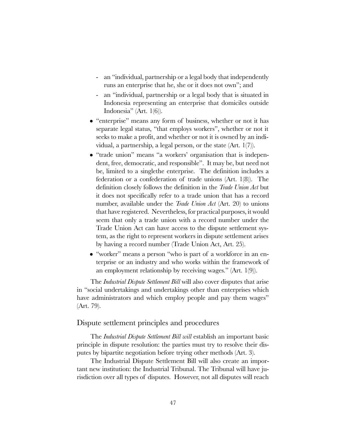- an "individual, partnership or a legal body that independently runs an enterprise that he, she or it does not own"; and
- an "individual, partnership or a legal body that is situated in Indonesia representing an enterprise that domiciles outside Indonesia" (Art.  $1(6)$ ).
- "enterprise" means any form of business, whether or not it has separate legal status, "that employs workers", whether or not it seeks to make a profit, and whether or not it is owned by an individual, a partnership, a legal person, or the state (Art. 1(7)).
- "trade union" means "a workers' organisation that is independent, free, democratic, and responsible". It may be, but need not be, limited to a singlethe enterprise. The definition includes a federation or a confederation of trade unions (Art. 1(8)). The definition closely follows the definition in the Trade Union Act but it does not specifically refer to a trade union that has a record number, available under the *Trade Union Act* (Art. 20) to unions that have registered. Nevertheless, for practical purposes, it would seem that only a trade union with a record number under the Trade Union Act can have access to the dispute settlement system, as the right to represent workers in dispute settlement arises by having a record number (Trade Union Act, Art. 25).
- "worker" means a person "who is part of a workforce in an enterprise or an industry and who works within the framework of an employment relationship by receiving wages."  $(Art. 1(9)).$

The *Industrial Dispute Settlement Bill* will also cover disputes that arise in "social undertakings and undertakings other than enterprises which have administrators and which employ people and pay them wages" (Art. 79).

# Dispute settlement principles and procedures

The Industrial Dispute Settlement Bill will establish an important basic principle in dispute resolution: the parties must try to resolve their disputes by bipartite negotiation before trying other methods (Art. 3).

The Industrial Dispute Settlement Bill will also create an important new institution: the Industrial Tribunal. The Tribunal will have jurisdiction over all types of disputes. However, not all disputes will reach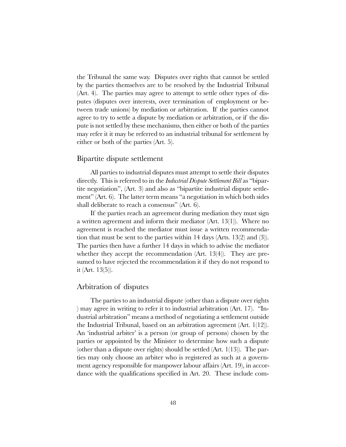the Tribunal the same way. Disputes over rights that cannot be settled by the parties themselves are to be resolved by the Industrial Tribunal (Art. 4). The parties may agree to attempt to settle other types of disputes (disputes over interests, over termination of employment or between trade unions) by mediation or arbitration. If the parties cannot agree to try to settle a dispute by mediation or arbitration, or if the dispute is not settled by these mechanisms, then either or both of the parties may refer it it may be referred to an industrial tribunal for settlement by either or both of the parties (Art. 5).

# Bipartite dispute settlement

All parties to industrial disputes must attempt to settle their disputes directly. This is referred to in the *Industrial Dispute Settlement Bill* as "bipartite negotiation",  $(Art. 3)$  and also as "bipartite industrial dispute settlement" (Art.  $6$ ). The latter term means "a negotiation in which both sides shall deliberate to reach a consensus" (Art. 6).

If the parties reach an agreement during mediation they must sign a written agreement and inform their mediator (Art. 13(1)). Where no agreement is reached the mediator must issue a written recommendation that must be sent to the parties within 14 days (Arts. 13(2) and (3)). The parties then have a further 14 days in which to advise the mediator whether they accept the recommendation (Art. 13(4)). They are presumed to have rejected the recommendation it if they do not respond to it (Art. 13(5)).

# Arbitration of disputes

The parties to an industrial dispute (other than a dispute over rights ) may agree in writing to refer it to industrial arbitration  $(Art. 17)$ . "Industrial arbitration" means a method of negotiating a settlement outside the Industrial Tribunal, based on an arbitration agreement (Art. 1(12)). An 'industrial arbiter' is a person (or group of persons) chosen by the parties or appointed by the Minister to determine how such a dispute (other than a dispute over rights) should be settled (Art. 1(13)). The parties may only choose an arbiter who is registered as such at a government agency responsible for manpower labour affairs (Art. 19), in accordance with the qualifications specified in Art. 20. These include com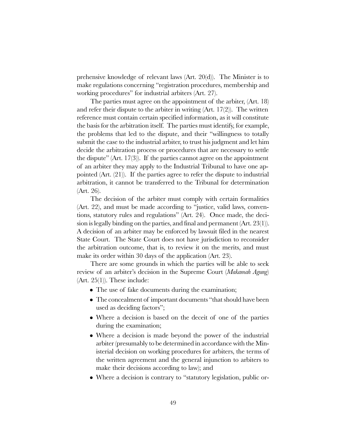prehensive knowledge of relevant laws (Art. 20(d)). The Minister is to make regulations concerning "registration procedures, membership and working procedures" for industrial arbiters (Art. 27).

The parties must agree on the appointment of the arbiter, (Art. 18) and refer their dispute to the arbiter in writing (Art. 17(2)). The written reference must contain certain specified information, as it will constitute the basis for the arbitration itself. The parties must identify, for example, the problems that led to the dispute, and their willingness to totally submit the case to the industrial arbiter, to trust his judgment and let him decide the arbitration process or procedures that are necessary to settle the dispute" (Art. 17(3)). If the parties cannot agree on the appointment of an arbiter they may apply to the Industrial Tribunal to have one appointed (Art. (21)). If the parties agree to refer the dispute to industrial arbitration, it cannot be transferred to the Tribunal for determination (Art. 26).

The decision of the arbiter must comply with certain formalities  $(Art. 22)$ , and must be made according to "justice, valid laws, conventions, statutory rules and regulations" (Art. 24). Once made, the decision is legally binding on the parties, and final and permanent (Art. 23(1)). A decision of an arbiter may be enforced by lawsuit filed in the nearest State Court. The State Court does not have jurisdiction to reconsider the arbitration outcome, that is, to review it on the merits, and must make its order within 30 days of the application (Art. 23).

There are some grounds in which the parties will be able to seek review of an arbiter's decision in the Supreme Court (Makamah Agung)  $(Art. 25(1))$ . These include:

- The use of fake documents during the examination;
- The concealment of important documents "that should have been used as deciding factors";
- Where a decision is based on the deceit of one of the parties during the examination;
- Where a decision is made beyond the power of the industrial arbiter (presumably to be determined in accordance with the Ministerial decision on working procedures for arbiters, the terms of the written agreement and the general injunction to arbiters to make their decisions according to law); and
- Where a decision is contrary to "statutory legislation, public or-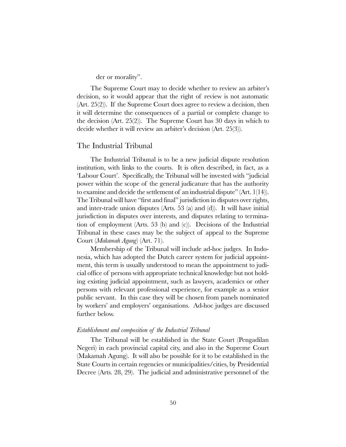der or morality".

The Supreme Court may to decide whether to review an arbiter's decision, so it would appear that the right of review is not automatic (Art. 25(2)). If the Supreme Court does agree to review a decision, then it will determine the consequences of a partial or complete change to the decision (Art. 25(2)). The Supreme Court has 30 days in which to decide whether it will review an arbiter's decision  $(Art. 25(3)).$ 

## The Industrial Tribunal

The Industrial Tribunal is to be a new judicial dispute resolution institution, with links to the courts. It is often described, in fact, as a 'Labour Court'. Specifically, the Tribunal will be invested with "judicial" power within the scope of the general judicature that has the authority to examine and decide the settlement of an industrial dispute" (Art.  $1(14)$ ). The Tribunal will have "first and final" jurisdiction in disputes over rights, and inter-trade union disputes (Arts. 53 (a) and (d)). It will have initial jurisdiction in disputes over interests, and disputes relating to termination of employment (Arts. 53 (b) and (c)). Decisions of the Industrial Tribunal in these cases may be the subject of appeal to the Supreme Court (Makamah Agung) (Art. 71).

Membership of the Tribunal will include ad-hoc judges. In Indonesia, which has adopted the Dutch career system for judicial appointment, this term is usually understood to mean the appointment to judicial office of persons with appropriate technical knowledge but not holding existing judicial appointment, such as lawyers, academics or other persons with relevant professional experience, for example as a senior public servant. In this case they will be chosen from panels nominated by workers' and employers' organisations. Ad-hoc judges are discussed further below.

#### Establishment and composition of the Industrial Tribunal

The Tribunal will be established in the State Court (Pengadilan Negeri) in each provincial capital city, and also in the Supreme Court (Makamah Agung). It will also be possible for it to be established in the State Courts in certain regencies or municipalities/cities, by Presidential Decree (Arts. 28, 29). The judicial and administrative personnel of the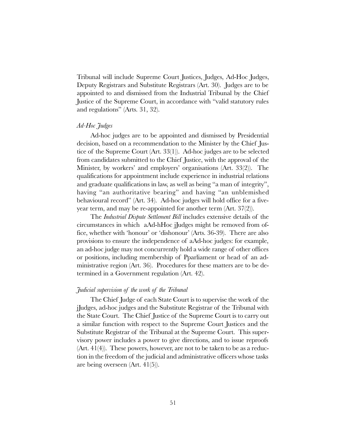Tribunal will include Supreme Court Justices, Judges, Ad-Hoc Judges, Deputy Registrars and Substitute Registrars (Art. 30). Judges are to be appointed to and dismissed from the Industrial Tribunal by the Chief Justice of the Supreme Court, in accordance with "valid statutory rules and regulations" (Arts.  $31, 32$ ).

#### Ad-Hoc Judges

Ad-hoc judges are to be appointed and dismissed by Presidential decision, based on a recommendation to the Minister by the Chief Justice of the Supreme Court (Art. 33(1)). Ad-hoc judges are to be selected from candidates submitted to the Chief Justice, with the approval of the Minister, by workers' and employers' organisations  $(Art. 33(2))$ . The qualifications for appointment include experience in industrial relations and graduate qualifications in law, as well as being "a man of integrity". having "an authoritative bearing" and having "an unblemished behavioural record" (Art. 34). Ad-hoc judges will hold office for a fiveyear term, and may be re-appointed for another term (Art. 37(2)).

The Industrial Dispute Settlement Bill includes extensive details of the circumstances in which aAd-hHoc jJudges might be removed from office, whether with 'honour' or 'dishonour' (Arts. 36-39). There are also provisions to ensure the independence of aAd-hoc judges: for example, an ad-hoc judge may not concurrently hold a wide range of other offices or positions, including membership of Pparliament or head of an administrative region (Art. 36). Procedures for these matters are to be determined in a Government regulation (Art. 42).

## Judicial supervision of the work of the Tribunal

The Chief Judge of each State Court is to supervise the work of the jJudges, ad-hoc judges and the Substitute Registrar of the Tribunal with the State Court. The Chief Justice of the Supreme Court is to carry out a similar function with respect to the Supreme Court Justices and the Substitute Registrar of the Tribunal at the Supreme Court. This supervisory power includes a power to give directions, and to issue reproofs  $(Art. 41(4))$ . These powers, however, are not to be taken to be as a reduction in the freedom of the judicial and administrative officers whose tasks are being overseen (Art. 41(5)).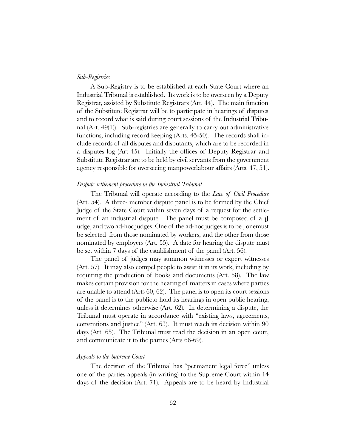#### Sub-Registries

A Sub-Registry is to be established at each State Court where an Industrial Tribunal is established. Its work is to be overseen by a Deputy Registrar, assisted by Substitute Registrars (Art. 44). The main function of the Substitute Registrar will be to participate in hearings of disputes and to record what is said during court sessions of the Industrial Tribunal (Art. 49(1)). Sub-registries are generally to carry out administrative functions, including record keeping (Arts. 45-50). The records shall include records of all disputes and disputants, which are to be recorded in a disputes log (Art 45). Initially the offices of Deputy Registrar and Substitute Registrar are to be held by civil servants from the government agency responsible for overseeing manpowerlabour affairs (Arts. 47, 51).

#### Dispute settlement procedure in the Industrial Tribunal

The Tribunal will operate according to the Law of Civil Procedure (Art. 54). A three- member dispute panel is to be formed by the Chief Judge of the State Court within seven days of a request for the settlement of an industrial dispute. The panel must be composed of a jJ udge, and two ad-hoc judges. One of the ad-hoc judges is to be , onemust be selected from those nominated by workers, and the other from those nominated by employers (Art. 55). A date for hearing the dispute must be set within 7 days of the establishment of the panel (Art. 56).

The panel of judges may summon witnesses or expert witnesses (Art. 57). It may also compel people to assist it in its work, including by requiring the production of books and documents (Art. 58). The law makes certain provision for the hearing of matters in cases where parties are unable to attend (Arts 60, 62). The panel is to open its court sessions of the panel is to the publicto hold its hearings in open public hearing, unless it determines otherwise (Art. 62). In determining a dispute, the Tribunal must operate in accordance with "existing laws, agreements, conventions and justice" (Art.  $63$ ). It must reach its decision within  $90$ days (Art. 65). The Tribunal must read the decision in an open court, and communicate it to the parties (Arts 66-69).

#### Appeals to the Supreme Court

The decision of the Tribunal has "permanent legal force" unless one of the parties appeals (in writing) to the Supreme Court within 14 days of the decision (Art. 71). Appeals are to be heard by Industrial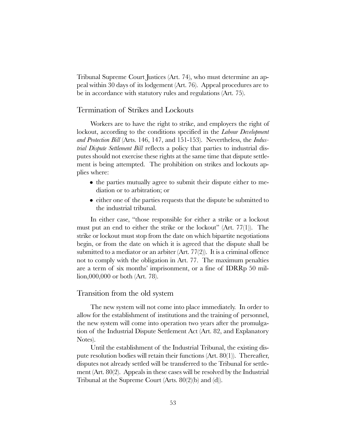Tribunal Supreme Court Justices (Art. 74), who must determine an appeal within 30 days of its lodgement (Art. 76). Appeal procedures are to be in accordance with statutory rules and regulations (Art. 75).

# Termination of Strikes and Lockouts

Workers are to have the right to strike, and employers the right of lockout, according to the conditions specified in the *Labour Development* and Protection Bill (Arts. 146, 147, and 151-153). Nevertheless, the Industrial Dispute Settlement Bill reflects a policy that parties to industrial disputes should not exercise these rights at the same time that dispute settlement is being attempted. The prohibition on strikes and lockouts applies where:

- the parties mutually agree to submit their dispute either to mediation or to arbitration; or
- either one of the parties requests that the dispute be submitted to the industrial tribunal.

In either case, "those responsible for either a strike or a lockout must put an end to either the strike or the lockout"  $(Art. 77(1))$ . The strike or lockout must stop from the date on which bipartite negotiations begin, or from the date on which it is agreed that the dispute shall be submitted to a mediator or an arbiter  $(Art. 77(2))$ . It is a criminal offence not to comply with the obligation in Art. 77. The maximum penalties are a term of six months' imprisonment, or a fine of IDRRp 50 million,000,000 or both (Art. 78).

#### Transition from the old system

The new system will not come into place immediately. In order to allow for the establishment of institutions and the training of personnel, the new system will come into operation two years after the promulgation of the Industrial Dispute Settlement Act (Art. 82, and Explanatory Notes).

Until the establishment of the Industrial Tribunal, the existing dispute resolution bodies will retain their functions (Art. 80(1)). Thereafter, disputes not already settled will be transferred to the Tribunal for settlement (Art. 80(2). Appeals in these cases will be resolved by the Industrial Tribunal at the Supreme Court (Arts. 80(2)(b) and (d)).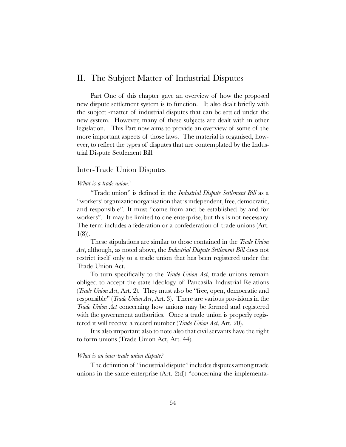# II. The Subject Matter of Industrial Disputes

Part One of this chapter gave an overview of how the proposed new dispute settlement system is to function. It also dealt briefly with the subject -matter of industrial disputes that can be settled under the new system. However, many of these subjects are dealt with in other legislation. This Part now aims to provide an overview of some of the more important aspects of those laws. The material is organised, however, to reflect the types of disputes that are contemplated by the Industrial Dispute Settlement Bill.

# Inter-Trade Union Disputes

### What is a trade union?

"Trade union" is defined in the Industrial Dispute Settlement Bill as a "workers' organizationorganisation that is independent, free, democratic, and responsible". It must "come from and be established by and for workers". It may be limited to one enterprise, but this is not necessary. The term includes a federation or a confederation of trade unions (Art.  $1(8)$ .

These stipulations are similar to those contained in the *Trade Union* Act, although, as noted above, the *Industrial Dispute Settlement Bill* does not restrict itself only to a trade union that has been registered under the Trade Union Act.

To turn specifically to the *Trade Union Act*, trade unions remain obliged to accept the state ideology of Pancasila Industrial Relations (*Trade Union Act*, Art. 2). They must also be "free, open, democratic and responsible" (*Trade Union Act*, Art. 3). There are various provisions in the Trade Union Act concerning how unions may be formed and registered with the government authorities. Once a trade union is properly registered it will receive a record number (Trade Union Act, Art. 20).

It is also important also to note also that civil servants have the right to form unions (Trade Union Act, Art. 44).

#### What is an inter-trade union dispute?

The definition of "industrial dispute" includes disputes among trade unions in the same enterprise  $(Art. 2(d))$  "concerning the implementa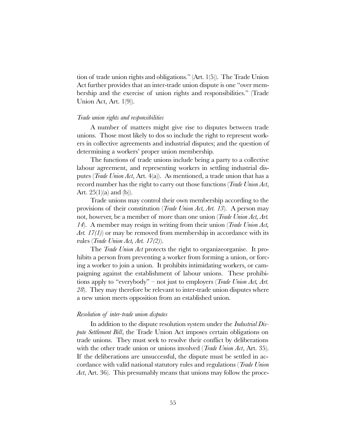tion of trade union rights and obligations." (Art. 1(5)). The Trade Union Act further provides that an inter-trade union dispute is one "over membership and the exercise of union rights and responsibilities." (Trade Union Act, Art. 1(9)).

#### Trade union rights and responsibilities

A number of matters might give rise to disputes between trade unions. Those most likely to dos so include the right to represent workers in collective agreements and industrial disputes; and the question of determining a workers' proper union membership.

The functions of trade unions include being a party to a collective labour agreement, and representing workers in settling industrial disputes (Trade Union Act, Art. 4(a)). As mentioned, a trade union that has a record number has the right to carry out those functions (*Trade Union Act*, Art.  $25(1)(a)$  and  $(b)$ ).

Trade unions may control their own membership according to the provisions of their constitution (Trade Union Act, Art. 13). A person may not, however, be a member of more than one union (Trade Union Act, Art. 14). A member may resign in writing from their union (*Trade Union Act*, Art.  $17(1)$  or may be removed from membership in accordance with its rules (*Trade Union Act, Art. 17(2)*).

The *Trade Union Act* protects the right to organizeorganise. It prohibits a person from preventing a worker from forming a union, or forcing a worker to join a union. It prohibits intimidating workers, or campaigning against the establishment of labour unions. These prohibitions apply to "everybody" – not just to employers (*Trade Union Act, Art.* 28). They may therefore be relevant to inter-trade union disputes where a new union meets opposition from an established union.

#### Resolution of inter-trade union disputes

In addition to the dispute resolution system under the *Industrial Dis*pute Settlement Bill, the Trade Union Act imposes certain obligations on trade unions. They must seek to resolve their conflict by deliberations with the other trade union or unions involved (*Trade Union Act*, Art. 35). If the deliberations are unsuccessful, the dispute must be settled in accordance with valid national statutory rules and regulations (Trade Union Act, Art. 36). This presumably means that unions may follow the proce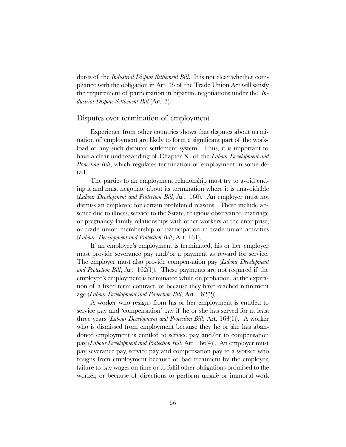dures of the *Industrial Dispute Settlement Bill*. It is not clear whether compliance with the obligation in Art. 35 of the Trade Union Act will satisfy the requirement of participation in bipartite negotiations under the  $In$ dustrial Dispute Settlement Bill (Art. 3).

# Disputes over termination of employment

Experience from other countries shows that disputes about termination of employment are likely to form a significant part of the workload of any such disputes settlement system. Thus, it is important to have a clear understanding of Chapter XI of the *Labour Development and* Protection Bill, which regulates termination of employment in some detail.

The parties to an employment relationship must try to avoid ending it and must negotiate about its termination where it is unavoidable (*Labour Development and Protection Bill*, Art. 160). An employer must not dismiss an employee for certain prohibited reasons. These include absence due to illness, service to the Sstate, religious observance, marriage or pregnancy, family relationships with other workers at the enterprise, or trade union membership or participation in trade union activities (Labour Development and Protection Bill, Art. 161).

If an employee's employment is terminated, his or her employer must provide severance pay and/or a payment as reward for service. The employer must also provide compensation pay (*Labour Development* and Protection Bill, Art. 162(1)). These payments are not required if the employee's employment is terminated while on probation, at the expiration of a fixed term contract, or because they have reached retirement age (Labour Development and Protection Bill, Art. 162(2)).

A worker who resigns from his or her employment is entitled to service pay and 'compensation' pay if he or she has served for at least three years (Labour Development and Protection Bill, Art. 163(1)). A worker who is dismissed from employment because they he or she has abandoned employment is entitled to service pay and/or to compensation pay (Labour Development and Protection Bill, Art. 166(4)). An employer must pay severance pay, service pay and compensation pay to a worker who resigns from employment because of bad treatment by the employer, failure to pay wages on time or to fulfil other obligations promised to the worker, or because of directions to perform unsafe or immoral work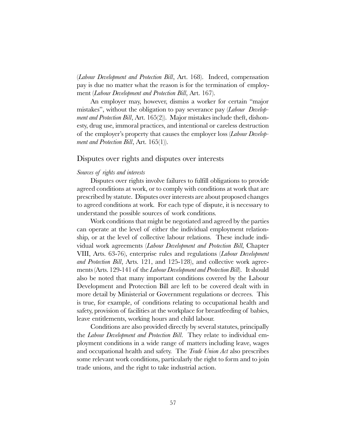(Labour Development and Protection Bill, Art. 168). Indeed, compensation pay is due no matter what the reason is for the termination of employment (*Labour Development and Protection Bill*, Art. 167).

An employer may, however, dismiss a worker for certain "major mistakes", without the obligation to pay severance pay (*Labour Develop*ment and Protection Bill, Art. 165(2)). Major mistakes include theft, dishonesty, drug use, immoral practices, and intentional or careless destruction of the employer's property that causes the employer loss (*Labour Develop*ment and Protection Bill, Art.  $165(1)$ ).

# Disputes over rights and disputes over interests

#### Sources of rights and interests

Disputes over rights involve failures to fulfill obligations to provide agreed conditions at work, or to comply with conditions at work that are prescribed by statute. Disputes over interests are about proposed changes to agreed conditions at work. For each type of dispute, it is necessary to understand the possible sources of work conditions.

Work conditions that might be negotiated and agreed by the parties can operate at the level of either the individual employment relationship, or at the level of collective labour relations. These include individual work agreements (Labour Development and Protection Bill, Chapter VIII, Arts. 63-76), enterprise rules and regulations (Labour Development and Protection Bill, Arts. 121, and 125-128), and collective work agreements (Arts. 129-141 of the *Labour Development and Protection Bill*). It should also be noted that many important conditions covered by the Labour Development and Protection Bill are left to be covered dealt with in more detail by Ministerial or Government regulations or decrees. This is true, for example, of conditions relating to occupational health and safety, provision of facilities at the workplace for breastfeeding of babies, leave entitlements, working hours and child labour.

Conditions are also provided directly by several statutes, principally the Labour Development and Protection Bill. They relate to individual employment conditions in a wide range of matters including leave, wages and occupational health and safety. The *Trade Union Act* also prescribes some relevant work conditions, particularly the right to form and to join trade unions, and the right to take industrial action.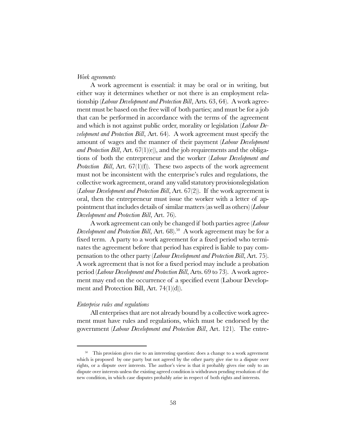#### Work agreements

A work agreement is essential: it may be oral or in writing, but either way it determines whether or not there is an employment relationship (*Labour Development and Protection Bill*, Arts. 63, 64). A work agreement must be based on the free will of both parties; and must be for a job that can be performed in accordance with the terms of the agreement and which is not against public order, morality or legislation (*Labour De*velopment and Protection Bill, Art. 64). A work agreement must specify the amount of wages and the manner of their payment (Labour Development and Protection Bill, Art.  $67(1)(e)$ , and the job requirements and the obligations of both the entrepreneur and the worker (Labour Development and *Protection Bill, Art.*  $67(1)(f)$ . These two aspects of the work agreement must not be inconsistent with the enterprise's rules and regulations, the collective work agreement, orand any valid statutory provisionslegislation (*Labour Development and Protection Bill*, Art.  $67(2)$ ). If the work agreement is oral, then the entrepreneur must issue the worker with a letter of appointment that includes details of similar matters (as well as others) (Labour Development and Protection Bill, Art. 76).

A work agreement can only be changed if both parties agree (Labour Development and Protection Bill, Art.  $68$ ).<sup>50</sup> A work agreement may be for a fixed term. A party to a work agreement for a fixed period who terminates the agreement before that period has expired is liable to pay compensation to the other party (Labour Development and Protection Bill, Art. 75). A work agreement that is not for a fixed period may include a probation period (Labour Development and Protection Bill, Arts. 69 to 73). A work agreement may end on the occurrence of a specified event (Labour Development and Protection Bill, Art. 74(1)(d)).

#### Enterprise rules and regulations

All enterprises that are not already bound by a collective work agreement must have rules and regulations, which must be endorsed by the government (Labour Development and Protection Bill, Art. 121). The entre-

<sup>&</sup>lt;sup>50</sup> This provision gives rise to an interesting question: does a change to a work agreement which is proposed by one party but not agreed by the other party give rise to a dispute over rights, or a dispute over interests. The author's view is that it probably gives rise only to an dispute over interests unless the existing agreed condition is withdrawn pending resolution of the new condition, in which case disputes probably arise in respect of both rights and interests.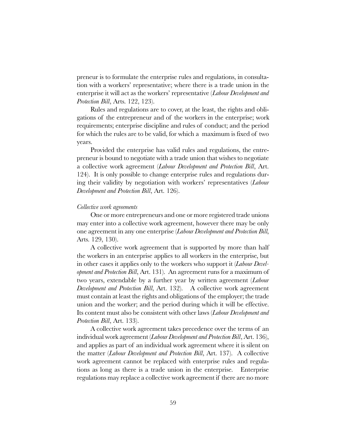preneur is to formulate the enterprise rules and regulations, in consultation with a workers' representative; where there is a trade union in the enterprise it will act as the workers' representative (Labour Development and Protection Bill, Arts. 122, 123).

Rules and regulations are to cover, at the least, the rights and obligations of the entrepreneur and of the workers in the enterprise; work requirements; enterprise discipline and rules of conduct; and the period for which the rules are to be valid, for which a maximum is fixed of two years.

Provided the enterprise has valid rules and regulations, the entrepreneur is bound to negotiate with a trade union that wishes to negotiate a collective work agreement (Labour Development and Protection Bill, Art. 124). It is only possible to change enterprise rules and regulations during their validity by negotiation with workers' representatives (Labour Development and Protection Bill, Art. 126).

#### Collective work agreements

One or more entrepreneurs and one or more registered trade unions may enter into a collective work agreement, however there may be only one agreement in any one enterprise (Labour Development and Protection Bill, Arts. 129, 130).

A collective work agreement that is supported by more than half the workers in an enterprise applies to all workers in the enterprise, but in other cases it applies only to the workers who support it (Labour Development and Protection Bill, Art. 131). An agreement runs for a maximum of two years, extendable by a further year by written agreement (Labour Development and Protection Bill, Art. 132). A collective work agreement must contain at least the rights and obligations of the employer; the trade union and the worker; and the period during which it will be effective. Its content must also be consistent with other laws (*Labour Development and* Protection Bill, Art. 133).

A collective work agreement takes precedence over the terms of an individual work agreement (*Labour Development and Protection Bill*, Art. 136), and applies as part of an individual work agreement where it is silent on the matter (Labour Development and Protection Bill, Art. 137). A collective work agreement cannot be replaced with enterprise rules and regulations as long as there is a trade union in the enterprise. Enterprise regulations may replace a collective work agreement if there are no more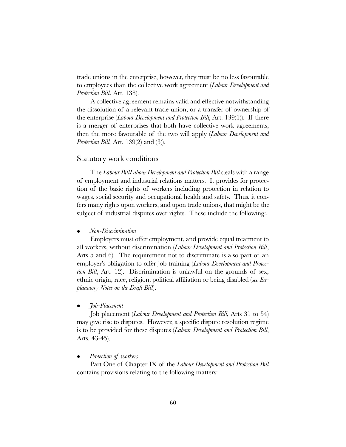trade unions in the enterprise, however, they must be no less favourable to employees than the collective work agreement (*Labour Development and* Protection Bill, Art. 138).

A collective agreement remains valid and effective notwithstanding the dissolution of a relevant trade union, or a transfer of ownership of the enterprise (*Labour Development and Protection Bill*, Art. 139(1)). If there is a merger of enterprises that both have collective work agreements, then the more favourable of the two will apply (Labour Development and *Protection Bill*, Art. 139 $(2)$  and  $(3)$ .

## Statutory work conditions

The Labour BillLabour Development and Protection Bill deals with a range of employment and industrial relations matters. It provides for protection of the basic rights of workers including protection in relation to wages, social security and occupational health and safety. Thus, it confers many rights upon workers, and upon trade unions, that might be the subject of industrial disputes over rights. These include the following:.

#### <sup>l</sup> Non-Discrimination

Employers must offer employment, and provide equal treatment to all workers, without discrimination (Labour Development and Protection Bill, Arts 5 and 6). The requirement not to discriminate is also part of an employer's obligation to offer job training (Labour Development and Protection Bill, Art. 12). Discrimination is unlawful on the grounds of sex, ethnic origin, race, religion, political affiliation or being disabled (see Explanatory Notes on the Draft Bill).

#### <sup>l</sup> Job-Placement

Job placement (Labour Development and Protection Bill, Arts 31 to 54) may give rise to disputes. However, a specific dispute resolution regime is to be provided for these disputes (Labour Development and Protection Bill, Arts. 43-45).

#### Protection of workers

Part One of Chapter IX of the Labour Development and Protection Bill contains provisions relating to the following matters: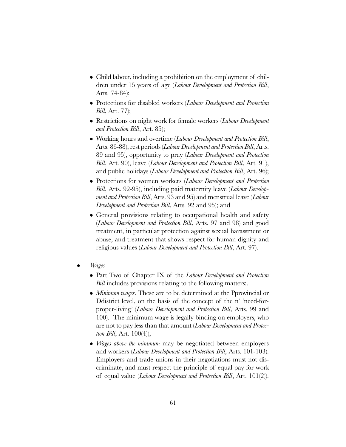- Child labour, including a prohibition on the employment of children under 15 years of age (Labour Development and Protection Bill, Arts. 74-84);
- $\bullet$  Protections for disabled workers (Labour Development and Protection Bill, Art. 77);
- $\bullet$  Restrictions on night work for female workers (*Labour Development* and Protection Bill, Art. 85);
- Working hours and overtime (*Labour Development and Protection Bill*, Arts. 86-88), rest periods (Labour Development and Protection Bill, Arts. 89 and 95), opportunity to pray (Labour Development and Protection Bill, Art. 90), leave (Labour Development and Protection Bill, Art. 91), and public holidays (Labour Development and Protection Bill, Art. 96);
- Protections for women workers (Labour Development and Protection Bill, Arts. 92-95), including paid maternity leave (*Labour Develop*ment and Protection Bill, Arts. 93 and 95) and menstrual leave (Labour Development and Protection Bill, Arts. 92 and 95); and
- General provisions relating to occupational health and safety (Labour Development and Protection Bill, Arts. 97 and 98) and good treatment, in particular protection against sexual harassment or abuse, and treatment that shows respect for human dignity and religious values (*Labour Development and Protection Bill*, Art. 97).
- <sup>l</sup> Wages
	- Part Two of Chapter IX of the Labour Development and Protection Bill includes provisions relating to the following matters:.
	- $\bullet$  *Minimum wages*. These are to be determined at the Pprovincial or Ddistrict level, on the basis of the concept of the n' 'need-forproper-living' (Labour Development and Protection Bill, Arts. 99 and 100). The minimum wage is legally binding on employers, who are not to pay less than that amount (Labour Development and Protection Bill, Art.  $100(4)$ ;
	- $\bullet$  *Wages above the minimum* may be negotiated between employers and workers (Labour Development and Protection Bill, Arts. 101-103). Employers and trade unions in their negotiations must not discriminate, and must respect the principle of equal pay for work of equal value (Labour Development and Protection Bill, Art. 101(2)).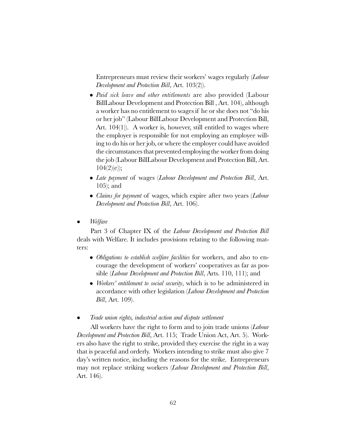Entrepreneurs must review their workers' wages regularly (*Labour* Development and Protection Bill, Art. 103(2)).

- Paid sick leave and other entitlements are also provided (Labour BillLabour Development and Protection Bill , Art. 104), although a worker has no entitlement to wages if he or she does not "do his or her job" (Labour BillLabour Development and Protection Bill, Art. 104(1)). A worker is, however, still entitled to wages where the employer is responsible for not employing an employee willing to do his or her job, or where the employer could have avoided the circumstances that prevented employing the worker from doing the job (Labour BillLabour Development and Protection Bill, Art.  $104(2)(e);$
- Late payment of wages (Labour Development and Protection Bill, Art. 105); and
- Claims for payment of wages, which expire after two years (Labour Development and Protection Bill, Art. 106).
- $\bullet$  *Welfare*

Part 3 of Chapter IX of the *Labour Development and Protection Bill* deals with Welfare. It includes provisions relating to the following matters:

- Obligations to establish welfare facilities for workers, and also to encourage the development of workers' cooperatives as far as possible (Labour Development and Protection Bill, Arts. 110, 111); and
- Workers' entitlement to social security, which is to be administered in accordance with other legislation (Labour Development and Protection *Bill*, Art. 109).

#### <sup>l</sup> Trade union rights, industrial action and dispute settlement

All workers have the right to form and to join trade unions (Labour Development and Protection Bill, Art. 115; Trade Union Act, Art. 5). Workers also have the right to strike, provided they exercise the right in a way that is peaceful and orderly. Workers intending to strike must also give 7 day's written notice, including the reasons for the strike. Entrepreneurs may not replace striking workers (*Labour Development and Protection Bill*, Art. 146).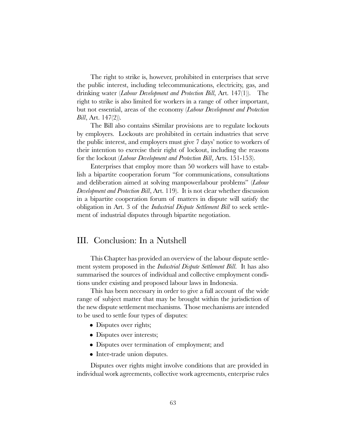The right to strike is, however, prohibited in enterprises that serve the public interest, including telecommunications, electricity, gas, and drinking water (*Labour Development and Protection Bill*, Art. 147(1)). The right to strike is also limited for workers in a range of other important, but not essential, areas of the economy (Labour Development and Protection *Bill*, Art.  $147(2)$ .

The Bill also contains sSimilar provisions are to regulate lockouts by employers. Lockouts are prohibited in certain industries that serve the public interest, and employers must give 7 days' notice to workers of their intention to exercise their right of lockout, including the reasons for the lockout (Labour Development and Protection Bill, Arts. 151-153).

Enterprises that employ more than 50 workers will have to establish a bipartite cooperation forum "for communications, consultations and deliberation aimed at solving manpowerlabour problems" (Labour Development and Protection Bill, Art. 119). It is not clear whether discussion in a bipartite cooperation forum of matters in dispute will satisfy the obligation in Art. 3 of the *Industrial Dispute Settlement Bill* to seek settlement of industrial disputes through bipartite negotiation.

# III. Conclusion: In a Nutshell

This Chapter has provided an overview of the labour dispute settlement system proposed in the *Industrial Dispute Settlement Bill*. It has also summarised the sources of individual and collective employment conditions under existing and proposed labour laws in Indonesia.

This has been necessary in order to give a full account of the wide range of subject matter that may be brought within the jurisdiction of the new dispute settlement mechanisms. Those mechanisms are intended to be used to settle four types of disputes:

- Disputes over rights;
- Disputes over interests;
- Disputes over termination of employment; and
- Inter-trade union disputes.

Disputes over rights might involve conditions that are provided in individual work agreements, collective work agreements, enterprise rules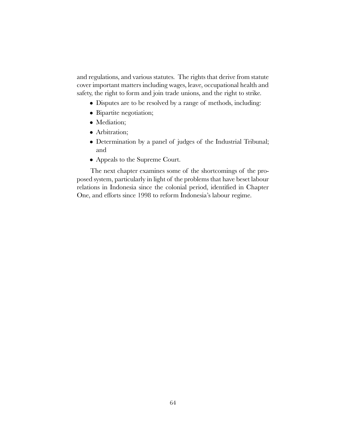and regulations, and various statutes. The rights that derive from statute cover important matters including wages, leave, occupational health and safety, the right to form and join trade unions, and the right to strike.

- Disputes are to be resolved by a range of methods, including:
- Bipartite negotiation;
- Mediation;
- Arbitration;
- Determination by a panel of judges of the Industrial Tribunal; and
- Appeals to the Supreme Court.

The next chapter examines some of the shortcomings of the proposed system, particularly in light of the problems that have beset labour relations in Indonesia since the colonial period, identified in Chapter One, and efforts since 1998 to reform Indonesia's labour regime.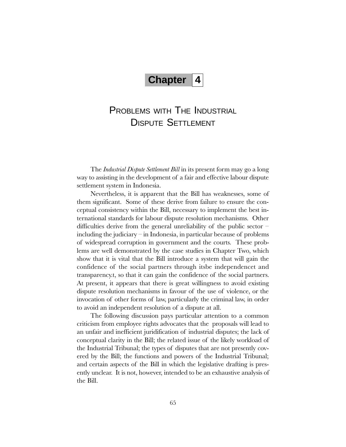# Chapter 4

# PROBLEMS WITH THE INDUSTRIAL DISPUTE SETTLEMENT

The *Industrial Dispute Settlement Bill* in its present form may go a long way to assisting in the development of a fair and effective labour dispute settlement system in Indonesia.

Nevertheless, it is apparent that the Bill has weaknesses, some of them significant. Some of these derive from failure to ensure the conceptual consistency within the Bill, necessary to implement the best international standards for labour dispute resolution mechanisms. Other difficulties derive from the general unreliability of the public sector  $$ including the judiciary  $-\text{in}$  Indonesia, in particular because of problems of widespread corruption in government and the courts. These problems are well demonstrated by the case studies in Chapter Two, which show that it is vital that the Bill introduce a system that will gain the confidence of the social partners through itsbe independencet and transparency.t, so that it can gain the confidence of the social partners. At present, it appears that there is great willingness to avoid existing dispute resolution mechanisms in favour of the use of violence, or the invocation of other forms of law, particularly the criminal law, in order to avoid an independent resolution of a dispute at all.

The following discussion pays particular attention to a common criticism from employee rights advocates that the proposals will lead to an unfair and inefficient juridification of industrial disputes; the lack of conceptual clarity in the Bill; the related issue of the likely workload of the Industrial Tribunal; the types of disputes that are not presently covered by the Bill; the functions and powers of the Industrial Tribunal; and certain aspects of the Bill in which the legislative drafting is presently unclear. It is not, however, intended to be an exhaustive analysis of the Bill.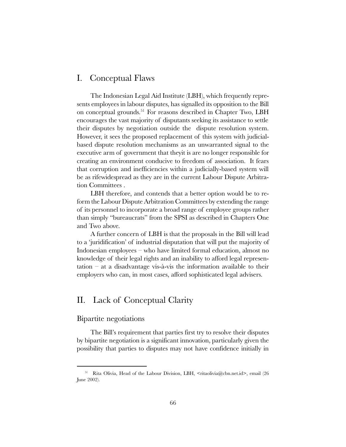# I. Conceptual Flaws

The Indonesian Legal Aid Institute (LBH), which frequently represents employees in labour disputes, has signalled its opposition to the Bill on conceptual grounds.51 For reasons described in Chapter Two, LBH encourages the vast majority of disputants seeking its assistance to settle their disputes by negotiation outside the dispute resolution system. However, it sees the proposed replacement of this system with judicialbased dispute resolution mechanisms as an unwarranted signal to the executive arm of government that theyit is are no longer responsible for creating an environment conducive to freedom of association. It fears that corruption and inefficiencies within a judicially-based system will be as rifewidespread as they are in the current Labour Dispute Arbitration Committees .

LBH therefore, and contends that a better option would be to reform the Labour Dispute Arbitration Committees by extending the range of its personnel to incorporate a broad range of employee groups rather than simply "bureaucrats" from the SPSI as described in Chapters One and Two above.

A further concern of LBH is that the proposals in the Bill will lead to a 'juridification' of industrial disputation that will put the majority of Indonesian employees  $-\omega$  who have limited formal education, almost no knowledge of their legal rights and an inability to afford legal representation  $-$  at a disadvantage vis-à-vis the information available to their employers who can, in most cases, afford sophisticated legal advisers.

# II. Lack of Conceptual Clarity

# Bipartite negotiations

The Bill's requirement that parties first try to resolve their disputes by bipartite negotiation is a significant innovation, particularly given the possibility that parties to disputes may not have confidence initially in

<sup>&</sup>lt;sup>51</sup> Rita Olivia, Head of the Labour Division, LBH, <ritaolivia@cbn.net.id>, email (26 June 2002).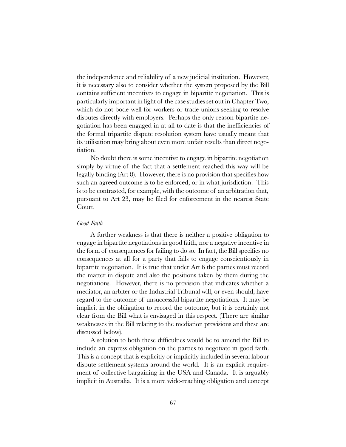the independence and reliability of a new judicial institution. However, it is necessary also to consider whether the system proposed by the Bill contains sufficient incentives to engage in bipartite negotiation. This is particularly important in light of the case studies set out in Chapter Two, which do not bode well for workers or trade unions seeking to resolve disputes directly with employers. Perhaps the only reason bipartite negotiation has been engaged in at all to date is that the inefficiencies of the formal tripartite dispute resolution system have usually meant that its utilisation may bring about even more unfair results than direct negotiation.

No doubt there is some incentive to engage in bipartite negotiation simply by virtue of the fact that a settlement reached this way will be legally binding (Art 8). However, there is no provision that specifies how such an agreed outcome is to be enforced, or in what jurisdiction. This is to be contrasted, for example, with the outcome of an arbitration that, pursuant to Art 23, may be filed for enforcement in the nearest State Court.

### Good Faith

A further weakness is that there is neither a positive obligation to engage in bipartite negotiations in good faith, nor a negative incentive in the form of consequences for failing to do so. In fact, the Bill specifies no consequences at all for a party that fails to engage conscientiously in bipartite negotiation. It is true that under Art 6 the parties must record the matter in dispute and also the positions taken by them during the negotiations. However, there is no provision that indicates whether a mediator, an arbiter or the Industrial Tribunal will, or even should, have regard to the outcome of unsuccessful bipartite negotiations. It may be implicit in the obligation to record the outcome, but it is certainly not clear from the Bill what is envisaged in this respect. (There are similar weaknesses in the Bill relating to the mediation provisions and these are discussed below).

A solution to both these difficulties would be to amend the Bill to include an express obligation on the parties to negotiate in good faith. This is a concept that is explicitly or implicitly included in several labour dispute settlement systems around the world. It is an explicit requirement of collective bargaining in the USA and Canada. It is arguably implicit in Australia. It is a more wide-reaching obligation and concept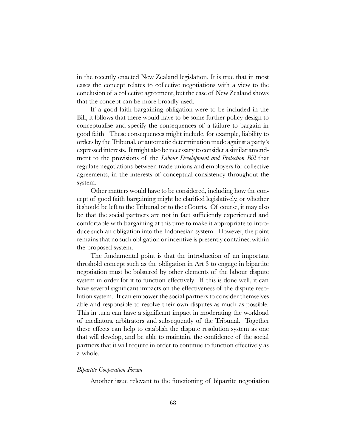in the recently enacted New Zealand legislation. It is true that in most cases the concept relates to collective negotiations with a view to the conclusion of a collective agreement, but the case of New Zealand shows that the concept can be more broadly used.

If a good faith bargaining obligation were to be included in the Bill, it follows that there would have to be some further policy design to conceptualise and specify the consequences of a failure to bargain in good faith. These consequences might include, for example, liability to orders by the Tribunal, or automatic determination made against a party's expressed interests. It might also be necessary to consider a similar amendment to the provisions of the *Labour Development and Protection Bill* that regulate negotiations between trade unions and employers for collective agreements, in the interests of conceptual consistency throughout the system.

Other matters would have to be considered, including how the concept of good faith bargaining might be clarified legislatively, or whether it should be left to the Tribunal or to the cCourts. Of course, it may also be that the social partners are not in fact sufficiently experienced and comfortable with bargaining at this time to make it appropriate to introduce such an obligation into the Indonesian system. However, the point remains that no such obligation or incentive is presently contained within the proposed system.

The fundamental point is that the introduction of an important threshold concept such as the obligation in Art 3 to engage in bipartite negotiation must be bolstered by other elements of the labour dispute system in order for it to function effectively. If this is done well, it can have several significant impacts on the effectiveness of the dispute resolution system. It can empower the social partners to consider themselves able and responsible to resolve their own disputes as much as possible. This in turn can have a significant impact in moderating the workload of mediators, arbitrators and subsequently of the Tribunal. Together these effects can help to establish the dispute resolution system as one that will develop, and be able to maintain, the confidence of the social partners that it will require in order to continue to function effectively as a whole.

#### Bipartite Cooperation Forum

Another issue relevant to the functioning of bipartite negotiation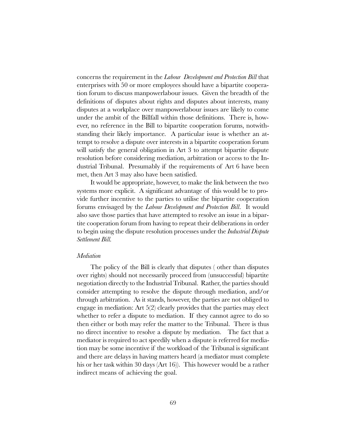concerns the requirement in the Labour Development and Protection Bill that enterprises with 50 or more employees should have a bipartite cooperation forum to discuss manpowerlabour issues. Given the breadth of the definitions of disputes about rights and disputes about interests, many disputes at a workplace over manpowerlabour issues are likely to come under the ambit of the Billfall within those definitions. There is, however, no reference in the Bill to bipartite cooperation forums, notwithstanding their likely importance. A particular issue is whether an attempt to resolve a dispute over interests in a bipartite cooperation forum will satisfy the general obligation in Art 3 to attempt bipartite dispute resolution before considering mediation, arbitration or access to the Industrial Tribunal. Presumably if the requirements of Art 6 have been met, then Art 3 may also have been satisfied.

It would be appropriate, however, to make the link between the two systems more explicit. A significant advantage of this would be to provide further incentive to the parties to utilise the bipartite cooperation forums envisaged by the Labour Development and Protection Bill. It would also save those parties that have attempted to resolve an issue in a bipartite cooperation forum from having to repeat their deliberations in order to begin using the dispute resolution processes under the *Industrial Dispute* Settlement Bill.

#### Mediation

The policy of the Bill is clearly that disputes ( other than disputes over rights) should not necessarily proceed from (unsuccessful) bipartite negotiation directly to the Industrial Tribunal. Rather, the parties should consider attempting to resolve the dispute through mediation, and/or through arbitration. As it stands, however, the parties are not obliged to engage in mediation: Art 5(2) clearly provides that the parties may elect whether to refer a dispute to mediation. If they cannot agree to do so then either or both may refer the matter to the Tribunal. There is thus no direct incentive to resolve a dispute by mediation. The fact that a mediator is required to act speedily when a dispute is referred for mediation may be some incentive if the workload of the Tribunal is significant and there are delays in having matters heard (a mediator must complete his or her task within 30 days (Art 16)). This however would be a rather indirect means of achieving the goal.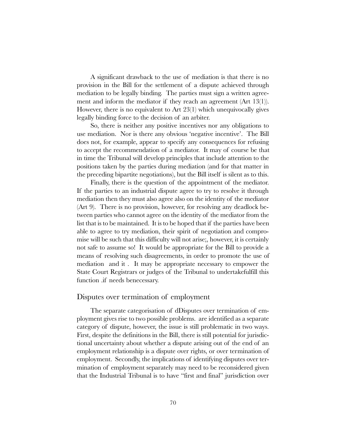A significant drawback to the use of mediation is that there is no provision in the Bill for the settlement of a dispute achieved through mediation to be legally binding. The parties must sign a written agreement and inform the mediator if they reach an agreement (Art 13(1)). However, there is no equivalent to Art 23(1) which unequivocally gives legally binding force to the decision of an arbiter.

So, there is neither any positive incentives nor any obligations to use mediation. Nor is there any obvious 'negative incentive'. The Bill does not, for example, appear to specify any consequences for refusing to accept the recommendation of a mediator. It may of course be that in time the Tribunal will develop principles that include attention to the positions taken by the parties during mediation (and for that matter in the preceding bipartite negotiations), but the Bill itself is silent as to this.

Finally, there is the question of the appointment of the mediator. If the parties to an industrial dispute agree to try to resolve it through mediation then they must also agree also on the identity of the mediator (Art 9). There is no provision, however, for resolving any deadlock between parties who cannot agree on the identity of the mediator from the list that is to be maintained. It is to be hoped that if the parties have been able to agree to try mediation, their spirit of negotiation and compromise will be such that this difficulty will not arise;, however, it is certainly not safe to assume so! It would be appropriate for the Bill to provide a means of resolving such disagreements, in order to promote the use of mediation and it . It may be appropriate necessary to empower the State Court Registrars or judges of the Tribunal to undertakefulfill this function .if needs benecessary.

## Disputes over termination of employment

The separate categorisation of dDisputes over termination of employment gives rise to two possible problems. are identified as a separate category of dispute, however, the issue is still problematic in two ways. First, despite the definitions in the Bill, there is still potential for jurisdictional uncertainty about whether a dispute arising out of the end of an employment relationship is a dispute over rights, or over termination of employment. Secondly, the implications of identifying disputes over termination of employment separately may need to be reconsidered given that the Industrial Tribunal is to have "first and final" jurisdiction over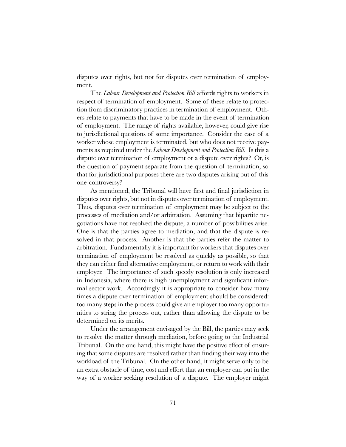disputes over rights, but not for disputes over termination of employment.

The Labour Development and Protection Bill affords rights to workers in respect of termination of employment. Some of these relate to protection from discriminatory practices in termination of employment. Others relate to payments that have to be made in the event of termination of employment. The range of rights available, however, could give rise to jurisdictional questions of some importance. Consider the case of a worker whose employment is terminated, but who does not receive payments as required under the *Labour Development and Protection Bill*. Is this a dispute over termination of employment or a dispute over rights? Or, is the question of payment separate from the question of termination, so that for jurisdictional purposes there are two disputes arising out of this one controversy?

As mentioned, the Tribunal will have first and final jurisdiction in disputes over rights, but not in disputes over termination of employment. Thus, disputes over termination of employment may be subject to the processes of mediation and/or arbitration. Assuming that bipartite negotiations have not resolved the dispute, a number of possibilities arise. One is that the parties agree to mediation, and that the dispute is resolved in that process. Another is that the parties refer the matter to arbitration. Fundamentally it is important for workers that disputes over termination of employment be resolved as quickly as possible, so that they can either find alternative employment, or return to work with their employer. The importance of such speedy resolution is only increased in Indonesia, where there is high unemployment and significant informal sector work. Accordingly it is appropriate to consider how many times a dispute over termination of employment should be considered: too many steps in the process could give an employer too many opportunities to string the process out, rather than allowing the dispute to be determined on its merits.

Under the arrangement envisaged by the Bill, the parties may seek to resolve the matter through mediation, before going to the Industrial Tribunal. On the one hand, this might have the positive effect of ensuring that some disputes are resolved rather than finding their way into the workload of the Tribunal. On the other hand, it might serve only to be an extra obstacle of time, cost and effort that an employer can put in the way of a worker seeking resolution of a dispute. The employer might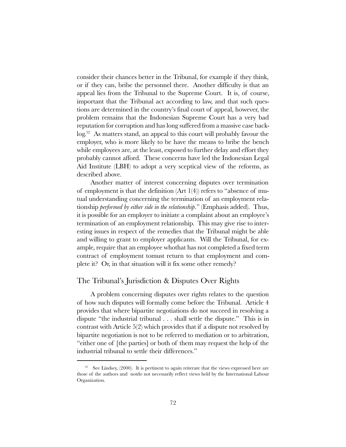consider their chances better in the Tribunal, for example if they think, or if they can, bribe the personnel there. Another difficulty is that an appeal lies from the Tribunal to the Supreme Court. It is, of course, important that the Tribunal act according to law, and that such questions are determined in the countrys final court of appeal, however, the problem remains that the Indonesian Supreme Court has a very bad reputation for corruption and has long suffered from a massive case backlog.52 As matters stand, an appeal to this court will probably favour the employer, who is more likely to be have the means to bribe the bench while employees are, at the least, exposed to further delay and effort they probably cannot afford. These concerns have led the Indonesian Legal Aid Institute (LBH) to adopt a very sceptical view of the reforms, as described above.

Another matter of interest concerning disputes over termination of employment is that the definition  $(Art 1(4))$  refers to "absence of mutual understanding concerning the termination of an employment relationship *performed by either side in the relationship*." (Emphasis added). Thus, it is possible for an employer to initiate a complaint about an employee's termination of an employment relationship. This may give rise to interesting issues in respect of the remedies that the Tribunal might be able and willing to grant to employer applicants. Will the Tribunal, for example, require that an employee whothat has not completed a fixed term contract of employment tomust return to that employment and complete it? Or, in that situation will it fix some other remedy?

# The Tribunal's Jurisdiction & Disputes Over Rights

A problem concerning disputes over rights relates to the question of how such disputes will formally come before the Tribunal. Article 4 provides that where bipartite negotiations do not succeed in resolving a dispute "the industrial tribunal . . . shall settle the dispute." This is in contrast with Article 5(2) which provides that if a dispute not resolved by bipartite negotiation is not to be referred to mediation or to arbitration, either one of [the parties] or both of them may request the help of the industrial tribunal to settle their differences."

 $52$  See Lindsey, (2000). It is pertinent to again reiterate that the views expressed here are those of the authors and notdo not necessarily reflect views held by the International Labour Organization.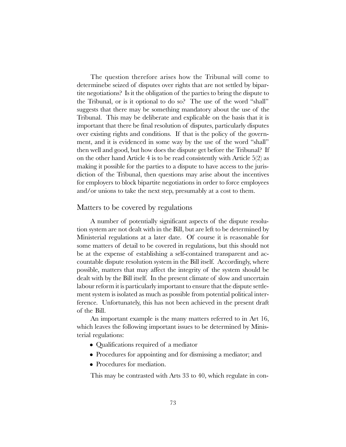The question therefore arises how the Tribunal will come to determinebe seized of disputes over rights that are not settled by bipartite negotiations? Is it the obligation of the parties to bring the dispute to the Tribunal, or is it optional to do so? The use of the word "shall" suggests that there may be something mandatory about the use of the Tribunal. This may be deliberate and explicable on the basis that it is important that there be final resolution of disputes, particularly disputes over existing rights and conditions. If that is the policy of the government, and it is evidenced in some way by the use of the word "shall" then well and good, but how does the dispute get before the Tribunal? If on the other hand Article 4 is to be read consistently with Article 5(2) as making it possible for the parties to a dispute to have access to the jurisdiction of the Tribunal, then questions may arise about the incentives for employers to block bipartite negotiations in order to force employees and/or unions to take the next step, presumably at a cost to them.

#### Matters to be covered by regulations

A number of potentially significant aspects of the dispute resolution system are not dealt with in the Bill, but are left to be determined by Ministerial regulations at a later date. Of course it is reasonable for some matters of detail to be covered in regulations, but this should not be at the expense of establishing a self-contained transparent and accountable dispute resolution system in the Bill itself. Accordingly, where possible, matters that may affect the integrity of the system should be dealt with by the Bill itself. In the present climate of slow and uncertain labour reform it is particularly important to ensure that the dispute settlement system is isolated as much as possible from potential political interference. Unfortunately, this has not been achieved in the present draft of the Bill.

An important example is the many matters referred to in Art 16, which leaves the following important issues to be determined by Ministerial regulations:

- Qualifications required of a mediator
- Procedures for appointing and for dismissing a mediator; and
- Procedures for mediation.

This may be contrasted with Arts 33 to 40, which regulate in con-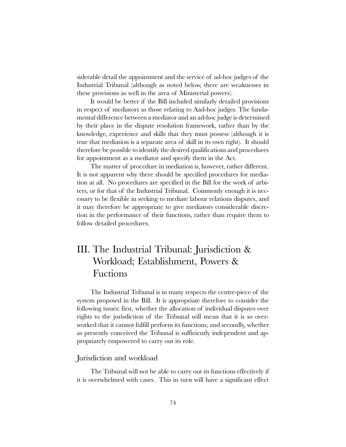siderable detail the appointment and the service of ad-hoc judges of the Industrial Tribunal (although as noted below, there are weaknesses in these provisions as well in the area of Ministerial powers).

It would be better if the Bill included similarly detailed provisions in respect of mediators as those relating to Aad-hoc judges. The fundamental difference between a mediator and an ad-hoc judge is determined by their place in the dispute resolution framework, rather than by the knowledge, experience and skills that they must possess (although it is true that mediation is a separate area of skill in its own right). It should therefore be possible to identify the desired qualifications and procedures for appointment as a mediator and specify them in the Act.

The matter of procedure in mediation is, however, rather different. It is not apparent why there should be specified procedures for mediation at all. No procedures are specified in the Bill for the work of arbiters, or for that of the Industrial Tribunal. Commonly enough it is necessary to be flexible in seeking to mediate labour relations disputes, and it may therefore be appropriate to give mediators considerable discretion in the performance of their functions, rather than require them to follow detailed procedures.

# III. The Industrial Tribunal: Jurisdiction & Workload; Establishment, Powers & Fuctions

The Industrial Tribunal is in many respects the centre-piece of the system proposed in the Bill. It is appropriate therefore to consider the following issues: first, whether the allocation of individual disputes over rights to the jurisdiction of the Tribunal will mean that it is so overworked that it cannot fulfill perform its functions; and secondly, whether as presently conceived the Tribunal is sufficiently independent and appropriately empowered to carry out its role.

#### Jurisdiction and workload

The Tribunal will not be able to carry out its functions effectively if it is overwhelmed with cases. This in turn will have a significant effect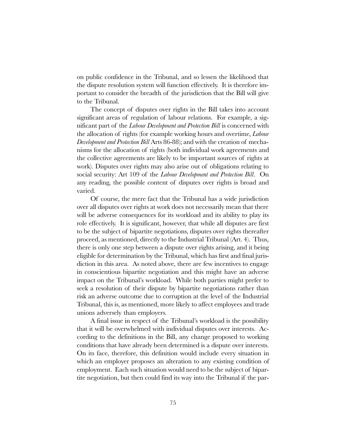on public confidence in the Tribunal, and so lessen the likelihood that the dispute resolution system will function effectively. It is therefore important to consider the breadth of the jurisdiction that the Bill will give to the Tribunal.

The concept of disputes over rights in the Bill takes into account significant areas of regulation of labour relations. For example, a significant part of the Labour Development and Protection Bill is concerned with the allocation of rights (for example working hours and overtime, Labour Development and Protection Bill Arts 86-88); and with the creation of mechanisms for the allocation of rights (both individual work agreements and the collective agreements are likely to be important sources of rights at work). Disputes over rights may also arise out of obligations relating to social security: Art 109 of the Labour Development and Protection Bill. On any reading, the possible content of disputes over rights is broad and varied.

Of course, the mere fact that the Tribunal has a wide jurisdiction over all disputes over rights at work does not necessarily mean that there will be adverse consequences for its workload and its ability to play its role effectively. It is significant, however, that while all disputes are first to be the subject of bipartite negotiations, disputes over rights thereafter proceed, as mentioned, directly to the Industrial Tribunal (Art. 4). Thus, there is only one step between a dispute over rights arising, and it being eligible for determination by the Tribunal, which has first and final jurisdiction in this area. As noted above, there are few incentives to engage in conscientious bipartite negotiation and this might have an adverse impact on the Tribunal's workload. While both parties might prefer to seek a resolution of their dispute by bipartite negotiations rather than risk an adverse outcome due to corruption at the level of the Industrial Tribunal, this is, as mentioned, more likely to affect employees and trade unions adversely than employers.

A final issue in respect of the Tribunal's workload is the possibility that it will be overwhelmed with individual disputes over interests. According to the definitions in the Bill, any change proposed to working conditions that have already been determined is a dispute over interests. On its face, therefore, this definition would include every situation in which an employer proposes an alteration to any existing condition of employment. Each such situation would need to be the subject of bipartite negotiation, but then could find its way into the Tribunal if the par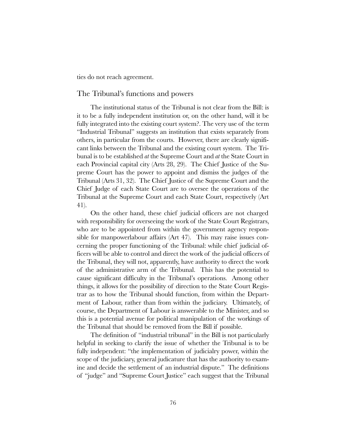ties do not reach agreement.

#### The Tribunal's functions and powers

The institutional status of the Tribunal is not clear from the Bill: is it to be a fully independent institution or, on the other hand, will it be fully integrated into the existing court system?. The very use of the term "Industrial Tribunal" suggests an institution that exists separately from others, in particular from the courts. However, there are clearly significant links between the Tribunal and the existing court system. The Tribunal is to be established at the Supreme Court and at the State Court in each Provincial capital city (Arts 28, 29). The Chief Justice of the Supreme Court has the power to appoint and dismiss the judges of the Tribunal (Arts 31, 32). The Chief Justice of the Supreme Court and the Chief Judge of each State Court are to oversee the operations of the Tribunal at the Supreme Court and each State Court, respectively (Art 41).

On the other hand, these chief judicial officers are not charged with responsibility for overseeing the work of the State Court Registrars, who are to be appointed from within the government agency responsible for manpowerlabour affairs (Art 47). This may raise issues concerning the proper functioning of the Tribunal: while chief judicial officers will be able to control and direct the work of the judicial officers of the Tribunal, they will not, apparently, have authority to direct the work of the administrative arm of the Tribunal. This has the potential to cause significant difficulty in the Tribunal's operations. Among other things, it allows for the possibility of direction to the State Court Registrar as to how the Tribunal should function, from within the Department of Labour, rather than from within the judiciary. Ultimately, of course, the Department of Labour is answerable to the Minister, and so this is a potential avenue for political manipulation of the workings of the Tribunal that should be removed from the Bill if possible.

The definition of "industrial tribunal" in the Bill is not particularly helpful in seeking to clarify the issue of whether the Tribunal is to be fully independent: "the implementation of judicialry power, within the scope of the judiciary, general judicature that has the authority to examine and decide the settlement of an industrial dispute." The definitions of "judge" and "Supreme Court Justice" each suggest that the Tribunal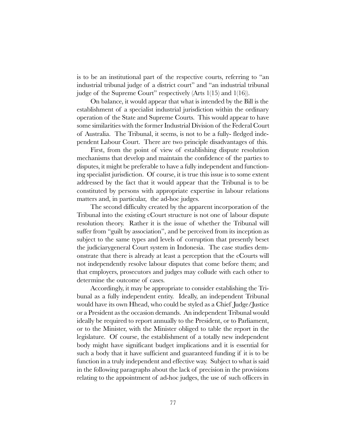is to be an institutional part of the respective courts, referring to "an industrial tribunal judge of a district court" and "an industrial tribunal judge of the Supreme Court" respectively (Arts  $1(15)$  and  $1(16)$ ).

On balance, it would appear that what is intended by the Bill is the establishment of a specialist industrial jurisdiction within the ordinary operation of the State and Supreme Courts. This would appear to have some similarities with the former Industrial Division of the Federal Court of Australia. The Tribunal, it seems, is not to be a fully- fledged independent Labour Court. There are two principle disadvantages of this.

First, from the point of view of establishing dispute resolution mechanisms that develop and maintain the confidence of the parties to disputes, it might be preferable to have a fully independent and functioning specialist jurisdiction. Of course, it is true this issue is to some extent addressed by the fact that it would appear that the Tribunal is to be constituted by persons with appropriate expertise in labour relations matters and, in particular, the ad-hoc judges.

The second difficulty created by the apparent incorporation of the Tribunal into the existing cCourt structure is not one of labour dispute resolution theory. Rather it is the issue of whether the Tribunal will suffer from "guilt by association", and be perceived from its inception as subject to the same types and levels of corruption that presently beset the judiciarygeneral Court system in Indonesia. The case studies demonstrate that there is already at least a perception that the cCourts will not independently resolve labour disputes that come before them; and that employers, prosecutors and judges may collude with each other to determine the outcome of cases.

Accordingly, it may be appropriate to consider establishing the Tribunal as a fully independent entity. Ideally, an independent Tribunal would have its own Hhead, who could be styled as a Chief Judge/Justice or a President as the occasion demands. An independent Tribunal would ideally be required to report annually to the President, or to Parliament, or to the Minister, with the Minister obliged to table the report in the legislature. Of course, the establishment of a totally new independent body might have significant budget implications and it is essential for such a body that it have sufficient and guaranteed funding if it is to be function in a truly independent and effective way. Subject to what is said in the following paragraphs about the lack of precision in the provisions relating to the appointment of ad-hoc judges, the use of such officers in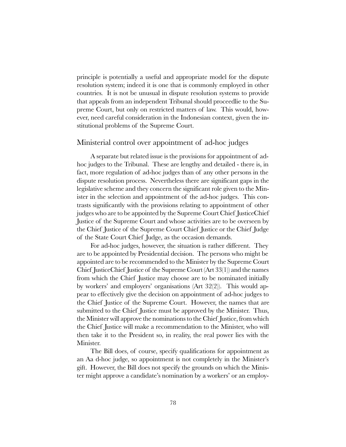principle is potentially a useful and appropriate model for the dispute resolution system; indeed it is one that is commonly employed in other countries. It is not be unusual in dispute resolution systems to provide that appeals from an independent Tribunal should proceedlie to the Supreme Court, but only on restricted matters of law. This would, however, need careful consideration in the Indonesian context, given the institutional problems of the Supreme Court.

#### Ministerial control over appointment of ad-hoc judges

A separate but related issue is the provisions for appointment of adhoc judges to the Tribunal. These are lengthy and detailed - there is, in fact, more regulation of ad-hoc judges than of any other persons in the dispute resolution process. Nevertheless there are significant gaps in the legislative scheme and they concern the significant role given to the Minister in the selection and appointment of the ad-hoc judges. This contrasts significantly with the provisions relating to appointment of other judges who are to be appointed by the Supreme Court Chief JusticeChief Justice of the Supreme Court and whose activities are to be overseen by the Chief Justice of the Supreme Court Chief Justice or the Chief Judge of the State Court Chief Judge, as the occasion demands.

For ad-hoc judges, however, the situation is rather different. They are to be appointed by Presidential decision. The persons who might be appointed are to be recommended to the Minister by the Supreme Court Chief JusticeChief Justice of the Supreme Court (Art 33(1)) and the names from which the Chief Justice may choose are to be nominated initially by workers' and employers' organisations (Art  $32(2)$ ). This would appear to effectively give the decision on appointment of ad-hoc judges to the Chief Justice of the Supreme Court. However, the names that are submitted to the Chief Justice must be approved by the Minister. Thus, the Minister will approve the nominations to the Chief Justice, from which the Chief Justice will make a recommendation to the Minister, who will then take it to the President so, in reality, the real power lies with the Minister.

The Bill does, of course, specify qualifications for appointment as an Aa d-hoc judge, so appointment is not completely in the Minister's gift. However, the Bill does not specify the grounds on which the Minister might approve a candidate's nomination by a workers' or an employ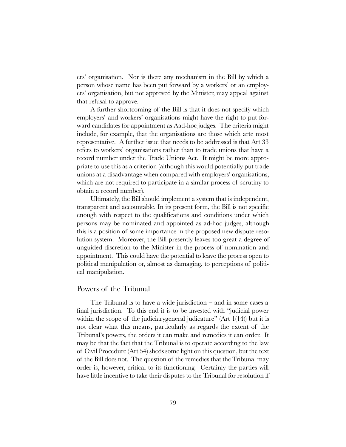ers' organisation. Nor is there any mechanism in the Bill by which a person whose name has been put forward by a workers' or an employers' organisation, but not approved by the Minister, may appeal against that refusal to approve.

A further shortcoming of the Bill is that it does not specify which employers' and workers' organisations might have the right to put forward candidates for appointment as Aad-hoc judges. The criteria might include, for example, that the organisations are those which arte most representative. A further issue that needs to be addressed is that Art 33 refers to workers' organisations rather than to trade unions that have a record number under the Trade Unions Act. It might be more appropriate to use this as a criterion (although this would potentially put trade unions at a disadvantage when compared with employers' organisations, which are not required to participate in a similar process of scrutiny to obtain a record number).

Ultimately, the Bill should implement a system that is independent, transparent and accountable. In its present form, the Bill is not specific enough with respect to the qualifications and conditions under which persons may be nominated and appointed as ad-hoc judges, although this is a position of some importance in the proposed new dispute resolution system. Moreover, the Bill presently leaves too great a degree of unguided discretion to the Minister in the process of nomination and appointment. This could have the potential to leave the process open to political manipulation or, almost as damaging, to perceptions of political manipulation.

#### Powers of the Tribunal

The Tribunal is to have a wide jurisdiction  $-$  and in some cases a final jurisdiction. To this end it is to be invested with "judicial power within the scope of the judiciary general judicature" (Art  $1(14)$ ) but it is not clear what this means, particularly as regards the extent of the Tribunal's powers, the orders it can make and remedies it can order. It may be that the fact that the Tribunal is to operate according to the law of Civil Procedure (Art 54) sheds some light on this question, but the text of the Bill does not. The question of the remedies that the Tribunal may order is, however, critical to its functioning. Certainly the parties will have little incentive to take their disputes to the Tribunal for resolution if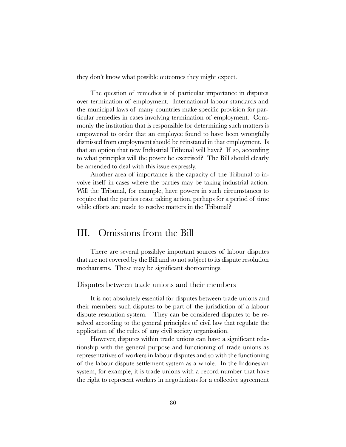they don't know what possible outcomes they might expect.

The question of remedies is of particular importance in disputes over termination of employment. International labour standards and the municipal laws of many countries make specific provision for particular remedies in cases involving termination of employment. Commonly the institution that is responsible for determining such matters is empowered to order that an employee found to have been wrongfully dismissed from employment should be reinstated in that employment. Is that an option that new Industrial Tribunal will have? If so, according to what principles will the power be exercised? The Bill should clearly be amended to deal with this issue expressly.

Another area of importance is the capacity of the Tribunal to involve itself in cases where the parties may be taking industrial action. Will the Tribunal, for example, have powers in such circumstances to require that the parties cease taking action, perhaps for a period of time while efforts are made to resolve matters in the Tribunal?

## III. Omissions from the Bill

There are several possiblye important sources of labour disputes that are not covered by the Bill and so not subject to its dispute resolution mechanisms. These may be significant shortcomings.

#### Disputes between trade unions and their members

It is not absolutely essential for disputes between trade unions and their members such disputes to be part of the jurisdiction of a labour dispute resolution system. They can be considered disputes to be resolved according to the general principles of civil law that regulate the application of the rules of any civil society organisation.

However, disputes within trade unions can have a significant relationship with the general purpose and functioning of trade unions as representatives of workers in labour disputes and so with the functioning of the labour dispute settlement system as a whole. In the Indonesian system, for example, it is trade unions with a record number that have the right to represent workers in negotiations for a collective agreement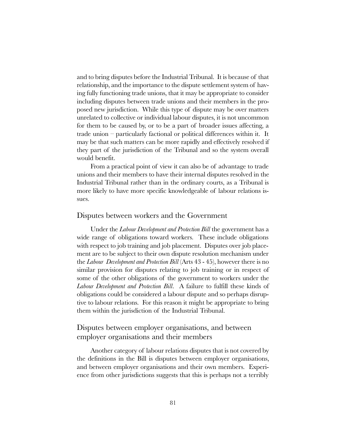and to bring disputes before the Industrial Tribunal. It is because of that relationship, and the importance to the dispute settlement system of having fully functioning trade unions, that it may be appropriate to consider including disputes between trade unions and their members in the proposed new jurisdiction. While this type of dispute may be over matters unrelated to collective or individual labour disputes, it is not uncommon for them to be caused by, or to be a part of broader issues affecting, a trade union  $-$  particularly factional or political differences within it. It may be that such matters can be more rapidly and effectively resolved if they part of the jurisdiction of the Tribunal and so the system overall would benefit.

From a practical point of view it can also be of advantage to trade unions and their members to have their internal disputes resolved in the Industrial Tribunal rather than in the ordinary courts, as a Tribunal is more likely to have more specific knowledgeable of labour relations issues.

#### Disputes between workers and the Government

Under the *Labour Development and Protection Bill* the government has a wide range of obligations toward workers. These include obligations with respect to job training and job placement. Disputes over job placement are to be subject to their own dispute resolution mechanism under the Labour Development and Protection Bill (Arts 43 - 45), however there is no similar provision for disputes relating to job training or in respect of some of the other obligations of the government to workers under the Labour Development and Protection Bill. A failure to fulfill these kinds of obligations could be considered a labour dispute and so perhaps disruptive to labour relations. For this reason it might be appropriate to bring them within the jurisdiction of the Industrial Tribunal.

## Disputes between employer organisations, and between employer organisations and their members

Another category of labour relations disputes that is not covered by the definitions in the Bill is disputes between employer organisations, and between employer organisations and their own members. Experience from other jurisdictions suggests that this is perhaps not a terribly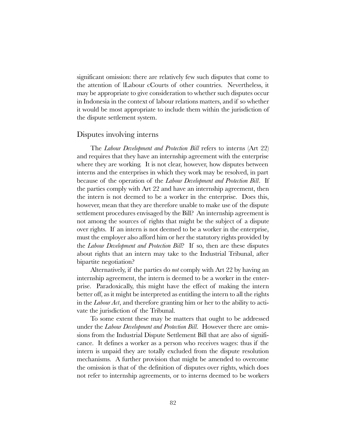significant omission: there are relatively few such disputes that come to the attention of lLabour cCourts of other countries. Nevertheless, it may be appropriate to give consideration to whether such disputes occur in Indonesia in the context of labour relations matters, and if so whether it would be most appropriate to include them within the jurisdiction of the dispute settlement system.

#### Disputes involving interns

The Labour Development and Protection Bill refers to interns (Art 22) and requires that they have an internship agreement with the enterprise where they are working. It is not clear, however, how disputes between interns and the enterprises in which they work may be resolved, in part because of the operation of the Labour Development and Protection Bill. If the parties comply with Art 22 and have an internship agreement, then the intern is not deemed to be a worker in the enterprise. Does this, however, mean that they are therefore unable to make use of the dispute settlement procedures envisaged by the Bill? An internship agreement is not among the sources of rights that might be the subject of a dispute over rights. If an intern is not deemed to be a worker in the enterprise, must the employer also afford him or her the statutory rights provided by the Labour Development and Protection Bill? If so, then are these disputes about rights that an intern may take to the Industrial Tribunal, after bipartite negotiation?

Alternatively, if the parties do not comply with Art 22 by having an internship agreement, the intern is deemed to be a worker in the enterprise. Paradoxically, this might have the effect of making the intern better off, as it might be interpreted as entitling the intern to all the rights in the Labour Act, and therefore granting him or her to the ability to activate the jurisdiction of the Tribunal.

To some extent these may be matters that ought to be addressed under the Labour Development and Protection Bill. However there are omissions from the Industrial Dispute Settlement Bill that are also of significance. It defines a worker as a person who receives wages: thus if the intern is unpaid they are totally excluded from the dispute resolution mechanisms. A further provision that might be amended to overcome the omission is that of the definition of disputes over rights, which does not refer to internship agreements, or to interns deemed to be workers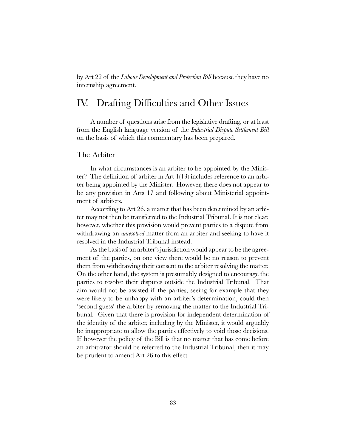by Art 22 of the Labour Development and Protection Bill because they have no internship agreement.

# IV. Drafting Difficulties and Other Issues

A number of questions arise from the legislative drafting, or at least from the English language version of the Industrial Dispute Settlement Bill on the basis of which this commentary has been prepared.

#### The Arbiter

In what circumstances is an arbiter to be appointed by the Minister? The definition of arbiter in Art 1(13) includes reference to an arbiter being appointed by the Minister. However, there does not appear to be any provision in Arts 17 and following about Ministerial appointment of arbiters.

According to Art 26, a matter that has been determined by an arbiter may not then be transferred to the Industrial Tribunal. It is not clear, however, whether this provision would prevent parties to a dispute from withdrawing an *unresolved* matter from an arbiter and seeking to have it resolved in the Industrial Tribunal instead.

As the basis of an arbiter's jurisdiction would appear to be the agreement of the parties, on one view there would be no reason to prevent them from withdrawing their consent to the arbiter resolving the matter. On the other hand, the system is presumably designed to encourage the parties to resolve their disputes outside the Industrial Tribunal. That aim would not be assisted if the parties, seeing for example that they were likely to be unhappy with an arbiter's determination, could then second guess' the arbiter by removing the matter to the Industrial Tribunal. Given that there is provision for independent determination of the identity of the arbiter, including by the Minister, it would arguably be inappropriate to allow the parties effectively to void those decisions. If however the policy of the Bill is that no matter that has come before an arbitrator should be referred to the Industrial Tribunal, then it may be prudent to amend Art 26 to this effect.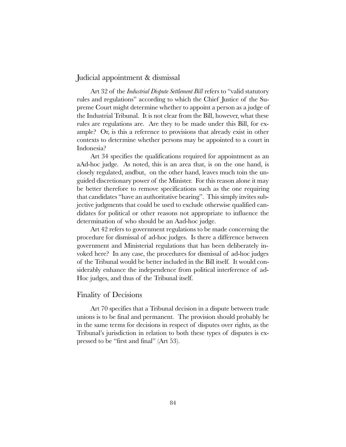### Judicial appointment & dismissal

Art 32 of the *Industrial Dispute Settlement Bill* refers to "valid statutory" rules and regulations" according to which the Chief Justice of the Supreme Court might determine whether to appoint a person as a judge of the Industrial Tribunal. It is not clear from the Bill, however, what these rules are regulations are. Are they to be made under this Bill, for example? Or, is this a reference to provisions that already exist in other contexts to determine whether persons may be appointed to a court in Indonesia?

Art 34 specifies the qualifications required for appointment as an aAd-hoc judge. As noted, this is an area that, is on the one hand, is closely regulated, andbut, on the other hand, leaves much toin the unguided discretionary power of the Minister. For this reason alone it may be better therefore to remove specifications such as the one requiring that candidates "have an authoritative bearing". This simply invites subjective judgments that could be used to exclude otherwise qualified candidates for political or other reasons not appropriate to influence the determination of who should be an Aad-hoc judge.

Art 42 refers to government regulations to be made concerning the procedure for dismissal of ad-hoc judges. Is there a difference between government and Ministerial regulations that has been deliberately invoked here? In any case, the procedures for dismissal of ad-hoc judges of the Tribunal would be better included in the Bill itself. It would considerably enhance the independence from political interference of ad-Hoc judges, and thus of the Tribunal itself.

#### Finality of Decisions

Art 70 specifies that a Tribunal decision in a dispute between trade unions is to be final and permanent. The provision should probably be in the same terms for decisions in respect of disputes over rights, as the Tribunal's jurisdiction in relation to both these types of disputes is expressed to be "first and final" (Art 53).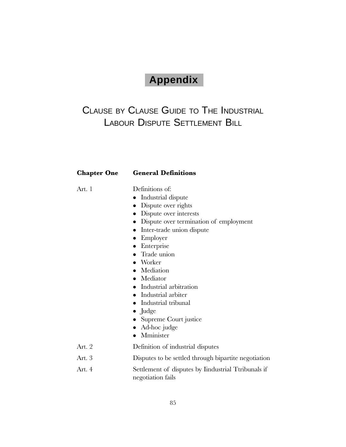# **Appendix**

# CLAUSE BY CLAUSE GUIDE TO THE INDUSTRIAL LABOUR DISPUTE SETTLEMENT BILL

#### Chapter One General Definitions

Art. 1 Definitions of:

- Industrial dispute
- Dispute over rights
- Dispute over interests
- Dispute over termination of employment
- Inter-trade union dispute
- $\bullet$  Employer
- Enterprise
- Trade union
- $\bullet$  Worker
- Mediation
- Mediator
- $\bullet$  Industrial arbitration
- Industrial arbiter
- Industrial tribunal
- $\bullet$  Judge
- Supreme Court justice
- $\bullet$  Ad-hoc judge
- Mminister
- Art. 2 Definition of industrial disputes
- Art. 3 Disputes to be settled through bipartite negotiation
- Art. 4 Settlement of disputes by Iindustrial Ttribunals if negotiation fails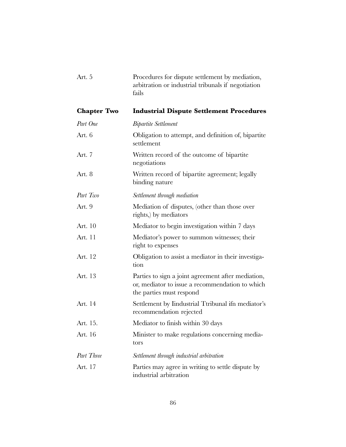|                    | arbitration or industrial tribunals if negotiation<br>fails                                                                       |
|--------------------|-----------------------------------------------------------------------------------------------------------------------------------|
| <b>Chapter Two</b> | <b>Industrial Dispute Settlement Procedures</b>                                                                                   |
| Part One           | <b>Bipartite Settlement</b>                                                                                                       |
| Art. 6             | Obligation to attempt, and definition of, bipartite<br>settlement                                                                 |
| Art. 7             | Written record of the outcome of bipartite<br>negotiations                                                                        |
| Art. 8             | Written record of bipartite agreement; legally<br>binding nature                                                                  |
| Part Two           | Settlement through mediation                                                                                                      |
| Art. 9             | Mediation of disputes, (other than those over<br>rights, by mediators                                                             |
| Art. 10            | Mediator to begin investigation within 7 days                                                                                     |
| Art. 11            | Mediator's power to summon witnesses; their<br>right to expenses                                                                  |
| Art. 12            | Obligation to assist a mediator in their investiga-<br>tion                                                                       |
| Art. 13            | Parties to sign a joint agreement after mediation,<br>or, mediator to issue a recommendation to which<br>the parties must respond |
| Art. 14            | Settlement by Iindustrial Ttribunal ifn mediator's<br>recommendation rejected                                                     |
| Art. 15.           | Mediator to finish within 30 days                                                                                                 |
| Art. 16            | Minister to make regulations concerning media-<br>tors                                                                            |
| Part Three         | Settlement through industrial arbitration                                                                                         |
| Art. 17            | Parties may agree in writing to settle dispute by<br>industrial arbitration                                                       |

Art. 5 Procedures for dispute settlement by mediation,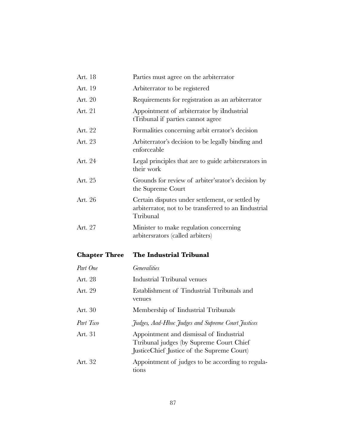| Art. 18              | Parties must agree on the arbiterrator                                                                                             |
|----------------------|------------------------------------------------------------------------------------------------------------------------------------|
| Art. 19              | Arbiterrator to be registered                                                                                                      |
| Art. 20              | Requirements for registration as an arbiterrator                                                                                   |
| Art. 21              | Appointment of arbiterrator by iIndustrial<br>tTribunal if parties cannot agree                                                    |
| Art. 22              | Formalities concerning arbit errator's decision                                                                                    |
| Art. 23              | Arbiterrator's decision to be legally binding and<br>enforceable                                                                   |
| Art. 24              | Legal principles that are to guide arbiters rators in<br>their work                                                                |
| Art. 25              | Grounds for review of arbiter's rator's decision by<br>the Supreme Court                                                           |
| Art. 26              | Certain disputes under settlement, or settled by<br>arbiterrator, not to be transferred to an Iindustrial<br>Ttribunal             |
| Art. 27              | Minister to make regulation concerning<br>arbiters rators (called arbiters)                                                        |
| <b>Chapter Three</b> | The Industrial Tribunal                                                                                                            |
| Part One             | <b>Generalities</b>                                                                                                                |
| Art. 28              | Industrial Ttribunal venues                                                                                                        |
| Art. 29              | Establishment of Tindustrial Ttribunals and<br>venues                                                                              |
| Art. 30              | Membership of Iindustrial Ttribunals                                                                                               |
| Part Two             | Judges, Aad-Hhoc Judges and Supreme Court Justices                                                                                 |
| Art. 31              | Appointment and dismissal of Iindustrial<br>Ttribunal judges (by Supreme Court Chief<br>JusticeChief Justice of the Supreme Court) |
| Art. 32              | Appointment of judges to be according to regula-<br>tions                                                                          |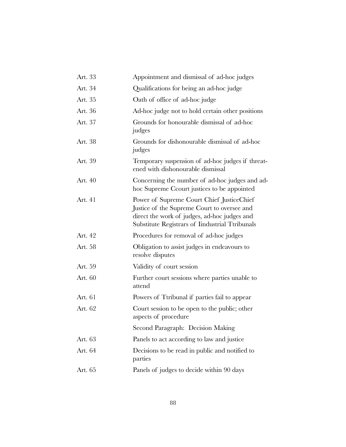| Art. 33 | Appointment and dismissal of ad-hoc judges                                                                                                                                                   |
|---------|----------------------------------------------------------------------------------------------------------------------------------------------------------------------------------------------|
| Art. 34 | Qualifications for being an ad-hoc judge                                                                                                                                                     |
| Art. 35 | Oath of office of ad-hoc judge                                                                                                                                                               |
| Art. 36 | Ad-hoc judge not to hold certain other positions                                                                                                                                             |
| Art. 37 | Grounds for honourable dismissal of ad-hoc<br>judges                                                                                                                                         |
| Art. 38 | Grounds for dishonourable dismissal of ad-hoc<br>judges                                                                                                                                      |
| Art. 39 | Temporary suspension of ad-hoc judges if threat-<br>ened with dishonourable dismissal                                                                                                        |
| Art. 40 | Concerning the number of ad-hoc judges and ad-<br>hoc Supreme Ccourt justices to be appointed                                                                                                |
| Art. 41 | Power of Supreme Court Chief Justice Chief<br>Justice of the Supreme Court to oversee and<br>direct the work of judges, ad-hoc judges and<br>Substitute Registrars of Iindustrial Ttribunals |
| Art. 42 | Procedures for removal of ad-hoc judges                                                                                                                                                      |
| Art. 58 | Obligation to assist judges in endeavours to<br>resolve disputes                                                                                                                             |
| Art. 59 | Validity of court session                                                                                                                                                                    |
| Art. 60 | Further court sessions where parties unable to<br>attend                                                                                                                                     |
| Art. 61 | Powers of Ttribunal if parties fail to appear                                                                                                                                                |
| Art. 62 | Court session to be open to the public; other<br>aspects of procedure                                                                                                                        |
|         | Second Paragraph: Decision Making                                                                                                                                                            |
| Art. 63 | Panels to act according to law and justice                                                                                                                                                   |
| Art. 64 | Decisions to be read in public and notified to<br>parties                                                                                                                                    |
| Art. 65 | Panels of judges to decide within 90 days                                                                                                                                                    |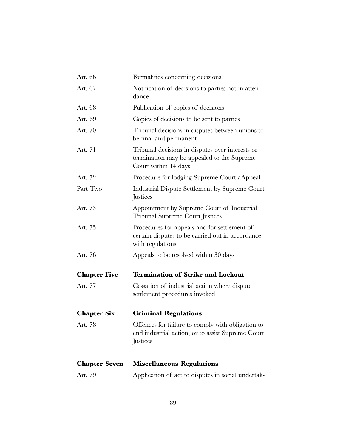| Art. 66              | Formalities concerning decisions                                                                                       |
|----------------------|------------------------------------------------------------------------------------------------------------------------|
| Art. 67              | Notification of decisions to parties not in atten-<br>dance                                                            |
| Art. 68              | Publication of copies of decisions                                                                                     |
| Art. 69              | Copies of decisions to be sent to parties                                                                              |
| Art. 70              | Tribunal decisions in disputes between unions to<br>be final and permanent                                             |
| Art. 71              | Tribunal decisions in disputes over interests or<br>termination may be appealed to the Supreme<br>Court within 14 days |
| Art. 72              | Procedure for lodging Supreme Court aAppeal                                                                            |
| Part Two             | Industrial Dispute Settlement by Supreme Court<br>Justices                                                             |
| Art. 73              | Appointment by Supreme Court of Industrial<br><b>Tribunal Supreme Court Justices</b>                                   |
| Art. 75              | Procedures for appeals and for settlement of<br>certain disputes to be carried out in accordance<br>with regulations   |
| Art. 76              | Appeals to be resolved within 30 days                                                                                  |
| <b>Chapter Five</b>  | <b>Termination of Strike and Lockout</b>                                                                               |
| Art. 77              | Cessation of industrial action where dispute<br>settlement procedures invoked                                          |
| <b>Chapter Six</b>   | <b>Criminal Regulations</b>                                                                                            |
| Art. 78              | Offences for failure to comply with obligation to<br>end industrial action, or to assist Supreme Court<br>Justices     |
| <b>Chapter Seven</b> | <b>Miscellaneous Regulations</b>                                                                                       |
| Art. 79              | Application of act to disputes in social undertak-                                                                     |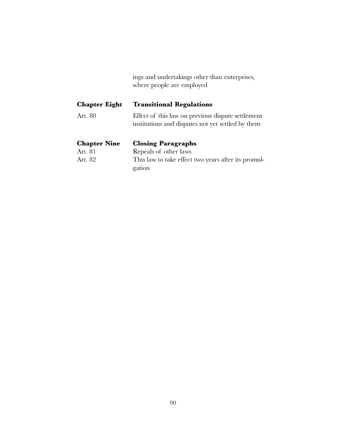|  |                           |  | ings and undertakings other than enterprises, |  |
|--|---------------------------|--|-----------------------------------------------|--|
|  | where people are employed |  |                                               |  |

| <b>Chapter Eight</b> | <b>Transitional Regulations</b>                                                                        |
|----------------------|--------------------------------------------------------------------------------------------------------|
| Art. 80              | Effect of this law on previous dispute settlement<br>institutions and disputes not yet settled by them |
|                      |                                                                                                        |
| <b>Chapter Nine</b>  | <b>Closing Paragraphs</b>                                                                              |
| Art. 81              | Repeals of other laws                                                                                  |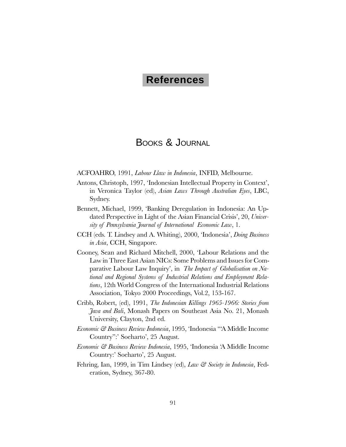# **References**

# BOOKS & JOURNAL

ACFOAHRO, 1991, Labour Llaw in Indonesia, INFID, Melbourne.

- Antons, Christoph, 1997, 'Indonesian Intellectual Property in Context', in Veronica Taylor (ed), Asian Laws Through Australian Eyes, LBC, Sydney.
- Bennett, Michael, 1999, Banking Deregulation in Indonesia: An Updated Perspective in Light of the Asian Financial Crisis', 20, University of Pennsylvania Journal of International Economic Law, 1.
- CCH (eds. T. Lindsey and A. Whiting), 2000, 'Indonesia', *Doing Business* in Asia, CCH, Singapore.
- Cooney, Sean and Richard Mitchell, 2000, Labour Relations and the Law in Three East Asian NICs: Some Problems and Issues for Comparative Labour Law Inquiry', in The Impact of Globalisation on National and Regional Systems of Industrial Relations and Employment Relations, 12th World Congress of the International Industrial Relations Association, Tokyo 2000 Proceedings, Vol.2, 153-167.
- Cribb, Robert, (ed), 1991, The Indonesian Killings 1965-1966: Stories from Java and Bali, Monash Papers on Southeast Asia No. 21, Monash University, Clayton, 2nd ed.
- Economic & Business Review Indonesia, 1995, 'Indonesia "A Middle Income Country": Soeharto', 25 August.
- Economic & Business Review Indonesia, 1995, Indonesia A Middle Income Country:' Soeharto', 25 August.
- Fehring, Ian, 1999, in Tim Lindsey (ed), Law & Society in Indonesia, Federation, Sydney, 367-80.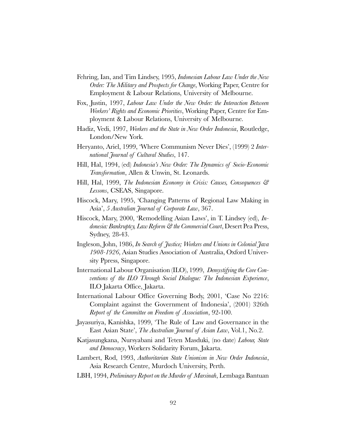- Fehring, Ian, and Tim Lindsey, 1995, Indonesian Labour Law Under the New Order: The Military and Prospects for Change, Working Paper, Centre for Employment & Labour Relations, University of Melbourne.
- Fox, Justin, 1997, Labour Law Under the New Order: the Interaction Between Workers' Rights and Economic Priorities, Working Paper, Centre for Employment & Labour Relations, University of Melbourne.
- Hadiz, Vedi, 1997, Workers and the State in New Order Indonesia, Routledge, London/New York.
- Heryanto, Ariel, 1999, 'Where Communism Never Dies', (1999) 2 International Journal of Cultural Studies, 147.
- Hill, Hal, 1994, (ed) Indonesia's New Order: The Dynamics of Socio-Economic Transformation, Allen & Unwin, St. Leonards.
- Hill, Hal, 1999, The Indonesian Economy in Crisis: Causes, Consequences & Lessons, CSEAS, Singapore.
- Hiscock, Mary, 1995, Changing Patterns of Regional Law Making in Asia', 5 Australian Journal of Corporate Law, 367.
- Hiscock, Mary, 2000, 'Remodelling Asian Laws', in T. Lindsey (ed), *In*donesia: Bankruptcy, Law Reform & the Commercial Court, Desert Pea Press, Sydney, 28-43.
- Ingleson, John, 1986, In Search of Justice; Workers and Unions in Colonial Java 1908-1926, Asian Studies Association of Australia, Oxford University Ppress, Singapore.
- International Labour Organisation (ILO), 1999, Demystifying the Core Conventions of the ILO Through Social Dialogue: The Indonesian Experience, ILO Jakarta Office, Jakarta.
- International Labour Office Governing Body, 2001, Case No 2216: Complaint against the Government of Indonesia, (2001) 326th Report of the Committee on Freedom of Association, 92-100.
- Jayasuriya, Kanishka, 1999, The Rule of Law and Governance in the East Asian State', The Australian Journal of Asian Law, Vol.1, No.2.
- Katjasungkana, Nursyabani and Teten Masduki, (no date) Labour, State and Democracy, Workers Solidarity Forum, Jakarta.
- Lambert, Rod, 1993, Authoritarian State Unionism in New Order Indonesia, Asia Research Centre, Murdoch University, Perth.
- LBH, 1994, Preliminary Report on the Murder of Marsinah, Lembaga Bantuan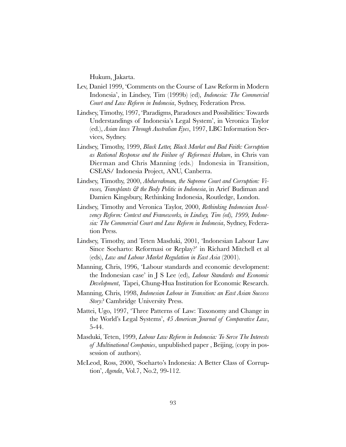Hukum, Jakarta.

- Lev, Daniel 1999, Comments on the Course of Law Reform in Modern Indonesia', in Lindsey, Tim (1999b) (ed), *Indonesia: The Commercial* Court and Law Reform in Indonesia, Sydney, Federation Press.
- Lindsey, Timothy, 1997, Paradigms, Paradoxes and Possibilities: Towards Understandings of Indonesia's Legal System', in Veronica Taylor (ed.), Asian laws Through Australian Eyes, 1997, LBC Information Services, Sydney.
- Lindsey, Timothy, 1999, Black Letter, Black Market and Bad Faith: Corruption as Rational Response and the Failure of Reformasi Hukum, in Chris van Dierman and Chris Manning (eds.) Indonesia in Transition, CSEAS/ Indonesia Project, ANU, Canberra.
- Lindsey, Timothy, 2000, Abdurrahman, the Supreme Court and Corruption: Viruses, *Transplants & the Body Politic in Indonesia*, in Arief Budiman and Damien Kingsbury, Rethinking Indonesia, Routledge, London.
- Lindsey, Timothy and Veronica Taylor, 2000, Rethinking Indonesian Insolvency Reform: Context and Frameworks, in Lindsey, Tim (ed), 1999, Indonesia: The Commercial Court and Law Reform in Indonesia, Sydney, Federation Press.
- Lindsey, Timothy, and Teten Masduki, 2001, Indonesian Labour Law Since Soeharto: Reformasi or Replay? in Richard Mitchell et al (eds), Law and Labour Market Regulation in East Asia (2001).
- Manning, Chris, 1996, Labour standards and economic development: the Indonesian case' in J S Lee (ed), *Labour Standards and Economic* Development, Tapei, Chung-Hua Institution for Economic Research.
- Manning, Chris, 1998, Indonesian Labour in Transition: an East Asian Success Story? Cambridge University Press.
- Mattei, Ugo, 1997, Three Patterns of Law: Taxonomy and Change in the World's Legal Systems', 45 American Journal of Comparative Law, 5-44.
- Masduki, Teten, 1999, Labour Law Reform in Indonesia: To Serve The Interests of *Multinational Companies*, unpublished paper, Beijing, (copy in possession of authors).
- McLeod, Ross, 2000, 'Soeharto's Indonesia: A Better Class of Corruption', *Agenda*, Vol.7, No.2, 99-112.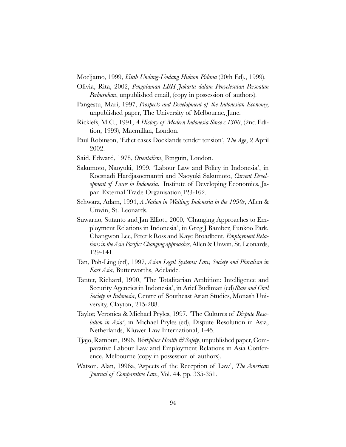Moeljatno, 1999, Kitab Undang-Undang Hukum Pidana (20th Ed)., 1999).

- Olivia, Rita, 2002, Pengalaman LBH Jakarta dalam Penyelesaian Persoalan *Perburuhan*, unpublished email, (copy in possession of authors).
- Pangestu, Mari, 1997, Prospects and Development of the Indonesian Economy, unpublished paper, The University of Melbourne, June.
- Ricklefs, M.C., 1991, A History of Modern Indonesia Since c.1300, (2nd Edition, 1993), Macmillan, London.
- Paul Robinson, 'Edict eases Docklands tender tension', The Age, 2 April 2002.
- Said, Edward, 1978, Orientalism, Penguin, London.
- Sakumoto, Naoyuki, 1999, 'Labour Law and Policy in Indonesia', in Koesnadi Hardjasoemantri and Naoyuki Sakumoto, Current Development of Laws in Indonesia, Institute of Developing Economies, Japan External Trade Organisation,123-162.
- Schwarz, Adam, 1994, A Nation in Waiting; Indonesia in the 1990s, Allen & Unwin, St. Leonards.
- Suwarno, Sutanto and Jan Elliott, 2000, Changing Approaches to Employment Relations in Indonesia, in Greg J Bamber, Funkoo Park, Changwon Lee, Peter k Ross and Kaye Broadbent, Employment Relations in the Asia Pacific: Changing approaches, Allen & Unwin, St. Leonards, 129-141.
- Tan, Poh-Ling (ed), 1997, Asian Legal Systems; Law, Society and Pluralism in East Asia, Butterworths, Adelaide.
- Tanter, Richard, 1990, The Totalitarian Ambition: Intelligence and Security Agencies in Indonesia', in Arief Budiman (ed) State and Civil Society in Indonesia, Centre of Southeast Asian Studies, Monash University, Clayton, 215-288.
- Taylor, Veronica & Michael Pryles, 1997, The Cultures of Dispute Resolution in Asia<sup>2</sup>, in Michael Pryles (ed), Dispute Resolution in Asia, Netherlands, Kluwer Law International, 1-45.
- Tjajo, Rambun, 1996, *Workplace Health* & Safety, unpublished paper, Comparative Labour Law and Employment Relations in Asia Conference, Melbourne (copy in possession of authors).
- Watson, Alan, 1996a, 'Aspects of the Reception of Law', The American Journal of Comparative Law, Vol. 44, pp. 335-351.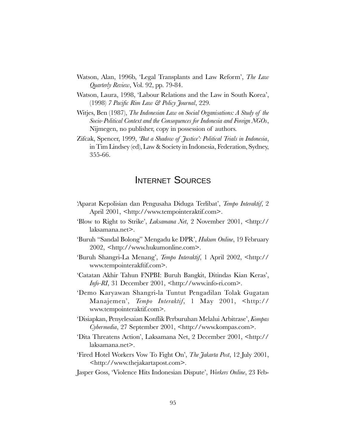- Watson, Alan, 1996b, 'Legal Transplants and Law Reform', The Law Quarterly Review, Vol. 92, pp. 79-84.
- Watson, Laura, 1998, 'Labour Relations and the Law in South Korea', (1998) 7 Pacific Rim Law & Policy Journal, 229.
- Witjes, Ben (1987), The Indonesian Law on Social Organisations: A Study of the Socio-Political Context and the Consequences for Indonesia and Foreign NGOs, Nijmegen, no publisher, copy in possession of authors.
- Zifcak, Spencer, 1999, But a Shadow of Justice: Political Trials in Indonesia, in Tim Lindsey (ed), Law & Society in Indonesia, Federation, Sydney, 355-66.

## INTERNET SOURCES

- Aparat Kepolisian dan Pengusaha Diduga Terlibat, Tempo Interaktif, 2 April 2001, <http://www.tempointeraktif.com>.
- Blow to Right to Strike, Laksamana Net, 2 November 2001, <http:// laksamana.net>.
- 'Buruh "Sandal Bolong" Mengadu ke DPR', *Hukum Online*, 19 February 2002, <http://www.hukumonline.com>.
- Buruh Shangri-La Menang, Tempo Interaktif, 1 April 2002, <http:// www.tempointerakftif.com>.
- Catatan Akhir Tahun FNPBI: Buruh Bangkit, Ditindas Kian Keras, Info-RI, 31 December 2001, <http://www.info-ri.com>.
- Demo Karyawan Shangri-la Tuntut Pengadilan Tolak Gugatan Manajemen, Tempo Interaktif, 1 May 2001, <http:// www.tempointeraktif.com>.
- 'Disiapkan, Penyelesaian Konflik Perburuhan Melalui Arbitrase', Kompas Cybermedia, 27 September 2001, <http://www.kompas.com>.
- Dita Threatens Action, Laksamana Net, 2 December 2001, <http:// laksamana.net>.
- Fired Hotel Workers Vow To Fight On', The Jakarta Post, 12 July 2001, <http://www.thejakartapost.com>.
- Jasper Goss, 'Violence Hits Indonesian Dispute', Workers Online, 23 Feb-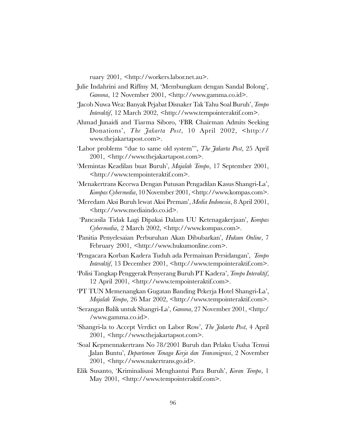ruary 2001, <http://workers.labor.net.au>.

- Julie Indahrini and Riffmy M, 'Membungkam dengan Sandal Bolong', Gamma, 12 November 2001, <http://www.gamma.co.id>.
- Jacob Nuwa Wea: Banyak Pejabat Disnaker Tak Tahu Soal Buruh, Tempo Interaktif, 12 March 2002, <http://www.tempointeraktif.com>.
- Ahmad Junaidi and Tiarma Siboro, FBR Chairman Admits Seeking Donations', The Jakarta Post, 10 April 2002, <http:// www.thejakartapost.com>.
- 'Labor problems "due to same old system"', The Jakarta Post, 25 April 2001, <http://www.thejakartapost.com>.
- Memintas Keadilan buat Buruh', Majalah Tempo, 17 September 2001, <http://www.tempointeraktif.com>.
- Menakertrans Kecewa Dengan Putusan Pengadilan Kasus Shangri-La, Kompas Cybermedia, 10 November 2001, <http://www.kompas.com>.
- 'Meredam Aksi Buruh lewat Aksi Preman', *Media Indonesia*, 8 April 2001, <http://www.mediaindo.co.id>.
- Pancasila Tidak Lagi Dipakai Dalam UU Ketenagakerjaan', Kompas Cybermedia, 2 March 2002, <http://www.kompas.com>.
- Panitia Penyelesaian Perburuhan Akan Dibubarkan', Hukum Online, 7 February 2001, <http://www.hukumonline.com>.
- 'Pengacara Korban Kadera Tuduh ada Permainan Persidangan', Tempo Interaktif, 13 December 2001, <http://www.tempointeraktif.com>.
- 'Polisi Tangkap Penggerak Penyerang Buruh PT Kadera', Tempo Interaktif, 12 April 2001, <http://www.tempointeraktif.com>.
- PT TUN Memenangkan Gugatan Banding Pekerja Hotel Shangri-La', Majalah Tempo, 26 Mar 2002, <http://www.tempointeraktif.com>.
- Serangan Balik untuk Shangri-La, Gamma, 27 November 2001, <http:/ /www.gamma.co.id>.
- Shangri-la to Accept Verdict on Labor Row', The Jakarta Post, 4 April 2001, <http://www.thejakartapsot.com>.
- Soal Kepmennakertrans No 78/2001 Buruh dan Pelaku Usaha Temui Jalan Buntu', *Departemen Tenaga Kerja dan Transmigrasi*, 2 November 2001, <http://www.nakertrans.go.id>.
- Elik Susanto, 'Kriminalisasi Menghantui Para Buruh', Koran Tempo, 1 May 2001, <http://www.tempointeraktif.com>.